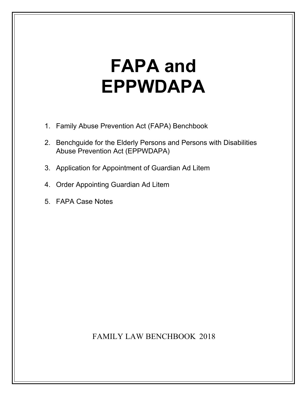# **FAPA and EPPWDAPA**

- 1. [Family Abuse Prevention Act \(FAPA\) Benchbook](#page-1-0)
- 2. [Benchguide for the Elderly Persons and Persons with Disabilities](#page-66-0) Abuse Prevention Act (EPPWDAPA)
- 3. [Application for Appointment of Guardian Ad Litem](#page-91-0)
- 4. [Order Appointing Guardian Ad Litem](#page-94-0)
- 5. [FAPA Case Notes](#page-96-0)

FAMILY LAW BENCHBOOK 2018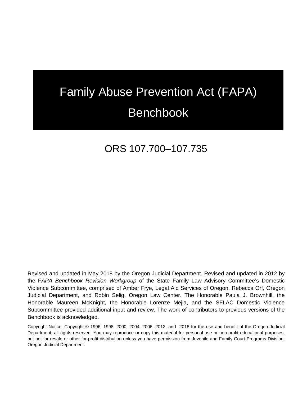# <span id="page-1-0"></span>Family Abuse Prevention Act (FAPA) Benchbook

## ORS 107.700–107.735

Revised and updated in May 2018 by the Oregon Judicial Department. Revised and updated in 2012 by the F*APA Benchbook Revision Workgroup* of the State Family Law Advisory Committee's Domestic Violence Subcommittee, comprised of Amber Frye, Legal Aid Services of Oregon, Rebecca Orf, Oregon Judicial Department, and Robin Selig, Oregon Law Center. The Honorable Paula J. Brownhill, the Honorable Maureen McKnight, the Honorable Lorenze Mejia, and the SFLAC Domestic Violence Subcommittee provided additional input and review. The work of contributors to previous versions of the Benchbook is acknowledged.

Copyright Notice: Copyright © 1996, 1998, 2000, 2004, 2006, 2012, and 2018 for the use and benefit of the Oregon Judicial Department, all rights reserved. You may reproduce or copy this material for personal use or non-profit educational purposes, but not for resale or other for-profit distribution unless you have permission from Juvenile and Family Court Programs Division, Oregon Judicial Department.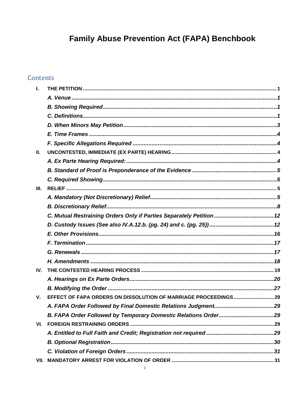## Family Abuse Prevention Act (FAPA) Benchbook

## Contents

| L           |                                                                      |  |
|-------------|----------------------------------------------------------------------|--|
|             |                                                                      |  |
|             |                                                                      |  |
|             |                                                                      |  |
|             |                                                                      |  |
|             |                                                                      |  |
|             |                                                                      |  |
| Ш.          |                                                                      |  |
|             |                                                                      |  |
|             |                                                                      |  |
|             |                                                                      |  |
| III.        |                                                                      |  |
|             |                                                                      |  |
|             |                                                                      |  |
|             | C. Mutual Restraining Orders Only if Parties Separately Petition  12 |  |
|             |                                                                      |  |
|             |                                                                      |  |
|             |                                                                      |  |
|             |                                                                      |  |
|             |                                                                      |  |
| IV.         |                                                                      |  |
|             |                                                                      |  |
|             |                                                                      |  |
| $V_{\cdot}$ |                                                                      |  |
|             |                                                                      |  |
|             |                                                                      |  |
| VI.         |                                                                      |  |
|             |                                                                      |  |
|             |                                                                      |  |
|             |                                                                      |  |
| VII.        |                                                                      |  |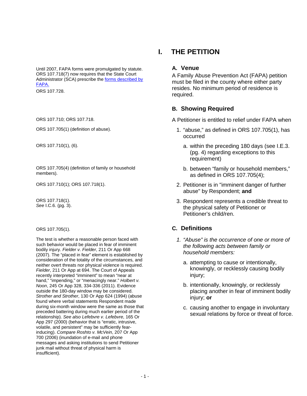Until 2007, FAPA forms were promulgated by statute. ORS 107.718(7) now requires that the State Court Administrator (SCA) prescribe the [forms described by](http://www.courts.oregon.gov/programs/family/domestic-violence/Pages/restraining.aspx)  [FAPA.](http://www.courts.oregon.gov/programs/family/domestic-violence/Pages/restraining.aspx)

ORS 107.705(4) (definition of family or household members).

ORS 107.718(1). *See* I.C.6. (pg. 3).

The test is whether a reasonable person faced with such behavior would be placed in fear of imminent bodily injury*. Fielder v. Fielder*, 211 Or App 668 (2007). The "placed in fear" element is established by consideration of the totality of the circumstances, and neither overt threats nor physical violence is required. *Fielder*, 211 Or App at 694. The Court of Appeals recently interpreted "imminent" to mean "near at hand," "impending," or "menacingly near." *Holbert v. Noon*, 245 Or App 328, 334-336 (2011). Evidence outside the 180-day window may be considered. *Strother and Strother*, 130 Or App 624 (1994) (abuse found where verbal statements Respondent made during six-month window were the same as those that preceded battering during much earlier period of the relationship). *See also Lefebvre v. Lefebvre*, 165 Or App 297 (2000) (behavior that is "erratic, intrusive, volatile, and persistent" may be sufficiently fearinducing). *Compare Roshto v. McVein*, 207 Or App 700 (2006) (inundation of e-mail and phone messages and asking institutions to send Petitioner junk mail without threat of physical harm is insufficient).

### <span id="page-4-1"></span><span id="page-4-0"></span>**I. THE PETITION**

#### **A. Venue**

A Family Abuse Prevention Act (FAPA) petition must be filed in the county where either party resides. No minimum period of residence is ors 107.728.<br>
required. The conduction of the conduction of the conduction of the conduction of the conduction of the conduction of the conduction of the conduction of the conduction of the conduction of the conduction of

#### <span id="page-4-2"></span>**B. Showing Required**

ORS 107.710; ORS 107.718. CORS 107.718.

- ORS 107.705(1) (definition of abuse). 1. "abuse," as defined in ORS 107.705(1), has occurred
- ORS 107.710(1), (6). a. within the preceding 180 days (see I.E.3. (pg. 4) regarding exceptions to this requirement)
	- b. between "family or household members," as defined in ORS 107.705(4);
- ORS 107.710(1); ORS 107.718(1). 2. Petitioner is in "imminent danger of further abuse" by Respondent; **and**
	- 3. Respondent represents a credible threat to the physical safety of Petitioner or Petitioner's child/ren.

#### ORS 107.705(1). **C. Definitions**

- <span id="page-4-3"></span>*1. "Abuse" is the occurrence of one or more of the following acts between family or household members:*
	- a. attempting to cause or intentionally, knowingly, or recklessly causing bodily injury;
	- b. intentionally, knowingly, or recklessly placing another in fear of imminent bodily injury; **or**
	- c. causing another to engage in involuntary sexual relations by force or threat of force.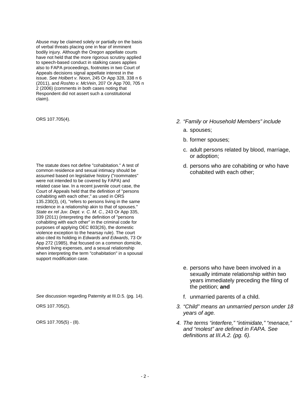Abuse may be claimed solely or partially on the basis of verbal threats placing one in fear of imminent bodily injury. Although the Oregon appellate courts have not held that the more rigorous scrutiny applied to speech-based conduct in stalking cases applies also to FAPA proceedings, footnotes in two Court of Appeals decisions signal appellate interest in the issue. *See Holbert v. Noon*, 245 Or App 328, 338 n 6 (2011), and *Roshto v. McVein*, 207 Or App 700, 705 n 2 (2006) (comments in both cases noting that Respondent did not assert such a constitutional claim).

The statute does not define "cohabitation." A test of common residence and sexual intimacy should be assumed based on legislative history ("roommates" were not intended to be covered by FAPA) and related case law. In a recent juvenile court case, the Court of Appeals held that the definition of "persons cohabiting with each other," as used in ORS 135.230(3), (4), "refers to persons living in the same residence in a relationship akin to that of spouses." *State ex rel Juv. Dept. v. C. M. C.*, 243 Or App 335, 339 (2011) (interpreting the definition of "persons cohabiting with each other" in the criminal code for purposes of applying OEC 803(26), the domestic violence exception to the hearsay rule). The court also cited its holding in *Edwards and Edwards*, 73 Or App 272 (1985), that focused on a common domicile, shared living expenses, and a sexual relationship when interpreting the term "cohabitation" in a spousal support modification case.

See discussion regarding Paternity at III.D.5. (pg. 14). **Fully 10 and 11 See discussion regarding Paternity at III.D.5. (pg. 14). <b>Fully** 1. **fully** 1. **unmarried parents of a child.** 

- ORS 107.705(4). *2. "Family or Household Members" include*
	- a. spouses;
	- b. former spouses;
	- c. adult persons related by blood, marriage, or adoption;
	- d. persons who are cohabiting or who have cohabited with each other;

- e. persons who have been involved in a sexually intimate relationship within two years immediately preceding the filing of the petition; **and**
- 
- ORS 107.705(2). *3. "Child" means an unmarried person under 18 years of age.*
- ORS 107.705(5) (8). *4. The terms "interfere," "intimidate," "menace," and "molest" are defined in FAPA. See definitions at III.A.2. (pg. 6).*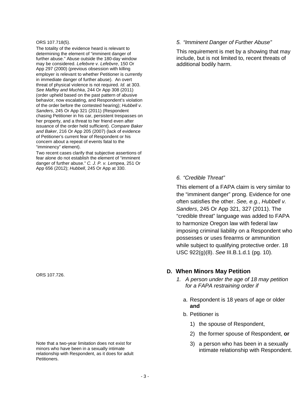#### ORS 107.718(5).

The totality of the evidence heard is relevant to determining the element of "imminent danger of further abuse." Abuse outside the 180-day window may be considered. *Lefebvre v. Lefebvre*, 150 Or App 297 (2000) (previous obsession with killing employer is relevant to whether Petitioner is currently in immediate danger of further abuse). An overt threat of physical violence is not required. *Id.* at 303. *See Maffey and Muchka*, 244 Or App 308 (2011) (order upheld based on the past pattern of abusive behavior, now escalating, and Respondent's violation of the order before the contested hearing); *Hubbell v. Sanders*, 245 Or App 321 (2011) (Respondent chasing Petitioner in his car, persistent trespasses on her property, and a threat to her friend even after issuance of the order held sufficient). *Compare Baker and Baker*, 216 Or App 205 (2007) (lack of evidence of Petitioner's current fear of Respondent or his concern about a repeat of events fatal to the "imminency" element).

Two recent cases clarify that subjective assertions of fear alone do not establish the element of "imminent danger of further abuse." *C. J. P. v. Lempea*, 251 Or App 656 (2012); *Hubbell*, 245 Or App at 330.

ORS 107.726.

Note that a two-year limitation does not exist for minors who have been in a sexually intimate relationship with Respondent, as it does for adult Petitioners.

#### *5. "Imminent Danger of Further Abuse"*

This requirement is met by a showing that may include, but is not limited to, recent threats of additional bodily harm.

#### *6. "Credible Threat"*

This element of a FAPA claim is very similar to the "imminent danger" prong. Evidence for one often satisfies the other. *See, e.g.*, *Hubbell v. Sanders*, 245 Or App 321, 327 (2011). The "credible threat" language was added to FAPA to harmonize Oregon law with federal law imposing criminal liability on a Respondent who possesses or uses firearms or ammunition while subject to qualifying protective order. 18 USC 922(g)(8). *See* III.B.1.d.1 (pg. 10).

#### <span id="page-6-0"></span>**D. When Minors May Petition**

- *1. A person under the age of 18 may petition for a FAPA restraining order if*
	- a. Respondent is 18 years of age or older **and**
	- b. Petitioner is
		- 1) the spouse of Respondent,
		- 2) the former spouse of Respondent, **or**
		- 3) a person who has been in a sexually intimate relationship with Respondent.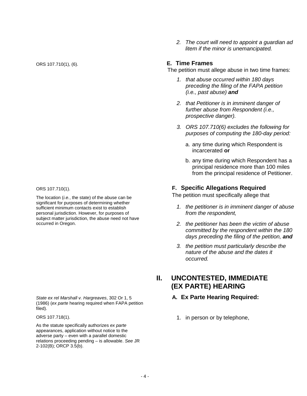significant for purposes of determining whether sufficient minimum contacts exist to establish personal jurisdiction. However, for purposes of subject matter jurisdiction, the abuse need not have occurred in Oregon.

*State ex rel Marshall v. Hargreaves*, 302 Or 1, 5 (1986) (*ex parte* hearing required when FAPA petition filed).

ORS 107.718(1).

As the statute specifically authorizes *ex parte*  appearances, application without notice to the adverse party – even with a parallel domestic relations proceeding pending – is allowable. *See* JR 2-102(B); ORCP 3.5(b).

*2. The court will need to appoint a guardian ad litem if the minor is unemancipated.*

#### ORS 107.710(1), (6). **E. Time Frames**

<span id="page-7-0"></span>The petition must allege abuse in two time frames:

- *1. that abuse occurred within 180 days preceding the filing of the FAPA petition (i.e., past abuse) and*
- *2. that Petitioner is in imminent danger of further abuse from Respondent (i.e., prospective danger).*
- *3. ORS 107.710(6) excludes the following for purposes of computing the 180-day period:*
	- a. any time during which Respondent is incarcerated **or**
	- b. any time during which Respondent has a principal residence more than 100 miles from the principal residence of Petitioner.

#### ORS 107.710(1). **F. Specific Allegations Required**

The petition must specifically allege that The location (*i.e.*, the state) of the abuse can be

- <span id="page-7-1"></span>*1. the petitioner is in imminent danger of abuse from the respondent,*
- *2. the petitioner has been the victim of abuse committed by the respondent within the 180 days preceding the filing of the petition, and*
- *3. the petition must particularly describe the nature of the abuse and the dates it occurred.*

## <span id="page-7-2"></span>**II. UNCONTESTED, IMMEDIATE (EX PARTE) HEARING**

#### <span id="page-7-3"></span>**A. Ex Parte Hearing Required:**

1. in person or by telephone,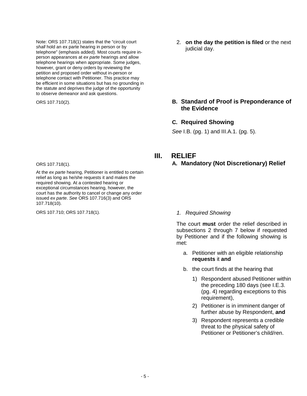Note: ORS 107.718(1) states that the "circuit court *shall* hold an ex parte hearing in person or by telephone" (emphasis added). Most courts require inperson appearances at *ex parte* hearings and allow telephone hearings when appropriate. Some judges, however, grant or deny orders by reviewing the petition and proposed order without in-person or telephone contact with Petitioner. This practice may be efficient in some situations but has no grounding in the statute and deprives the judge of the opportunity to observe demeanor and ask questions.

2. **on the day the petition is filed** or the next judicial day.

#### ORS 107.710(2). **B. Standard of Proof is Preponderance of the Evidence**

#### <span id="page-8-1"></span><span id="page-8-0"></span>**C. Required Showing**

*See* I.B. (pg. 1) and III.A.1. (pg. 5).

#### <span id="page-8-3"></span><span id="page-8-2"></span>**III. RELIEF**

**A. Mandatory (Not Discretionary) Relief**

The court **must** order the relief described in subsections 2 through 7 below if requested by Petitioner and if the following showing is met:

- a. Petitioner with an eligible relationship **requests** it **and**
- b. the court finds at the hearing that
	- 1) Respondent abused Petitioner within the preceding 180 days (see I.E.3. (pg. 4) regarding exceptions to this requirement),
	- 2) Petitioner is in imminent danger of further abuse by Respondent, **and**
	- 3) Respondent represents a credible threat to the physical safety of Petitioner or Petitioner's child/ren.

ORS 107.718(1).

At the *ex parte* hearing, Petitioner is entitled to certain relief as long as he/she requests it and makes the required showing. At a contested hearing or exceptional circumstances hearing, however, the court has the authority to cancel or change any order issued *ex parte*. *See* ORS 107.716(3) and ORS 107.718(10).

ORS 107.710; ORS 107.718(1). *1. Required Showing*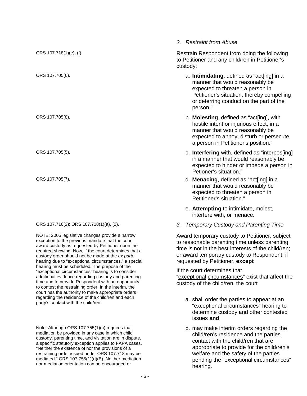|                                                                                                                                                                                                                                                                                                                                                                                 | 2. Restraint from Abuse                                                                                                                                                                                                                   |
|---------------------------------------------------------------------------------------------------------------------------------------------------------------------------------------------------------------------------------------------------------------------------------------------------------------------------------------------------------------------------------|-------------------------------------------------------------------------------------------------------------------------------------------------------------------------------------------------------------------------------------------|
| ORS 107.718(1)(e), (f).                                                                                                                                                                                                                                                                                                                                                         | Restrain Respondent from doing the following<br>to Petitioner and any child/ren in Petitioner's<br>custody:                                                                                                                               |
| ORS 107.705(6).                                                                                                                                                                                                                                                                                                                                                                 | a. Intimidating, defined as "act[ing] in a<br>manner that would reasonably be<br>expected to threaten a person in<br>Petitioner's situation, thereby compelling<br>or deterring conduct on the part of the<br>person."                    |
| ORS 107.705(8).                                                                                                                                                                                                                                                                                                                                                                 | b. Molesting, defined as "act[ing], with<br>hostile intent or injurious effect, in a<br>manner that would reasonably be<br>expected to annoy, disturb or persecute<br>a person in Petitioner's position."                                 |
| ORS 107.705(5).                                                                                                                                                                                                                                                                                                                                                                 | c. Interfering with, defined as "interpos[ing]<br>in a manner that would reasonably be<br>expected to hinder or impede a person in<br>Petioner's situation."                                                                              |
| ORS 107.705(7).                                                                                                                                                                                                                                                                                                                                                                 | d. Menacing, defined as "act[ing] in a<br>manner that would reasonably be<br>expected to threaten a person in<br>Petitioner's situation."                                                                                                 |
|                                                                                                                                                                                                                                                                                                                                                                                 | e. Attempting to intimidate, molest,<br>interfere with, or menace.                                                                                                                                                                        |
| ORS 107.716(2); ORS 107.718(1)(a), (2).                                                                                                                                                                                                                                                                                                                                         | 3.<br><b>Temporary Custody and Parenting Time</b>                                                                                                                                                                                         |
| NOTE: 2005 legislative changes provide a narrow<br>exception to the previous mandate that the court<br>award custody as requested by Petitioner upon the<br>required showing. Now, if the court determines that a<br>custody order should not be made at the ex parte<br>hearing due to "exceptional circumstances," a special<br>hearing must be scheduled. The purpose of the | Award temporary custody to Petitioner, subject<br>to reasonable parenting time unless parenting<br>time is not in the best interests of the child/ren;<br>or award temporary custody to Respondent, if<br>requested by Petitioner, except |
| "exceptional circumstances" hearing is to consider<br>additional evidence regarding custody and parenting<br>time and to provide Respondent with an opportunity<br>to contest the restraining order. In the interim, the<br>court has the authority to make appropriate orders<br>regarding the residence of the child/ren and each<br>party's contact with the child/ren.      | If the court determines that<br>"exceptional circumstances" exist that affect the<br>custody of the child/ren, the court                                                                                                                  |
|                                                                                                                                                                                                                                                                                                                                                                                 | a. shall order the parties to appear at an<br>"exceptional circumstances" hearing to<br>determine custody and other contested<br>issues and                                                                                               |
| Note: Although ORS $107.755(1)(c)$ requires that<br>mediation be provided in any case in which child<br>custody, parenting time, and visitation are in dispute,<br>specific statutory exception applies to EADA cases                                                                                                                                                           | b. may make interim orders regarding the<br>child/ren's residence and the parties'<br>contact with the child/ren that are                                                                                                                 |

a specific statutory exception applies to FAPA cases. "Neither the existence of nor the provisions of a restraining order issued under ORS 107.718 may be mediated." ORS 107.755(1)(d)(B). Neither mediation nor mediation orientation can be encouraged or

appropriate to provide for the child/ren's welfare and the safety of the parties pending the "exceptional circumstances"

hearing.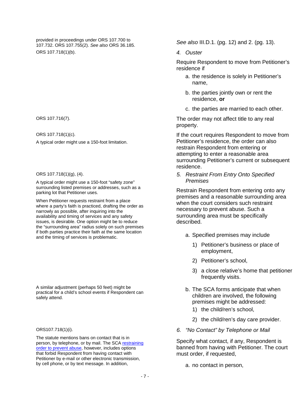provided in proceedings under ORS 107.700 to 107.732. ORS 107.755(2). *See also* ORS 36.185. *See also* III.D.1. (pg. 12) and 2. (pg. 13). ORS 107.718(1)(b). *4. Ouster*

ORS 107.718(1)(c).

A typical order might use a 150-foot limitation.

#### ORS 107.718(1)(g), (4).

A typical order might use a 150-foot "safety zone" surrounding listed premises or addresses, such as a parking lot that Petitioner uses.

When Petitioner requests restraint from a place where a party's faith is practiced, drafting the order as narrowly as possible, after inquiring into the availability and timing of services and any safety issues, is desirable. One option might be to reduce the "surrounding area" radius solely on such premises if both parties practice their faith at the same location and the timing of services is problematic.

A similar adjustment (perhaps 50 feet) might be practical for a child's school events if Respondent can safely attend.

#### ORS107.718(1)(i).

The statute mentions bans on contact that is in person, by telephone, or by mail. The SCA restraining [order to prevent abuse,](http://www.courts.oregon.gov/programs/family/domestic-violence/Pages/restraining.aspx) however, includes options that forbid Respondent from having contact with Petitioner by e-mail or other electronic transmission, by cell phone, or by text message. In addition,

Require Respondent to move from Petitioner's residence if

- a. the residence is solely in Petitioner's name,
- b. the parties jointly own or rent the residence, **or**
- c. the parties are married to each other.

ORS 107.716(7). The order may not affect title to any real property.

> If the court requires Respondent to move from Petitioner's residence, the order can also restrain Respondent from entering or attempting to enter a reasonable area surrounding Petitioner's current or subsequent residence.

*5. Restraint From Entry Onto Specified Premises*

Restrain Respondent from entering onto any premises and a reasonable surrounding area when the court considers such restraint necessary to prevent abuse. Such a surrounding area must be specifically described.

- a. Specified premises may include
	- 1) Petitioner's business or place of employment,
	- 2) Petitioner's school,
	- 3) a close relative's home that petitioner frequently visits.
- b. The SCA forms anticipate that when children are involved, the following premises might be addressed:
	- 1) the child/ren's school,
	- 2) the child/ren's day care provider.
- *6. "No Contact" by Telephone or Mail*

Specify what contact, if any, Respondent is banned from having with Petitioner. The court must order, if requested,

a. no contact in person,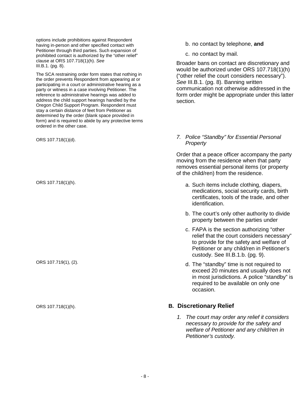options include prohibitions against Respondent having in-person and other specified contact with Petitioner through third parties. Such expansion of prohibited contact is authorized by the "other relief" clause at ORS 107.718(1)(h). *See* III.B.1. (pg. 8).

The SCA restraining order form states that nothing in the order prevents Respondent from appearing at or participating in a court or administrative hearing as a party or witness in a case involving Petitioner. The reference to administrative hearings was added to address the child support hearings handled by the Oregon Child Support Program. Respondent must stay a certain distance of feet from Petitioner as determined by the order (blank space provided in form) and is required to abide by any protective terms ordered in the other case.

b. no contact by telephone, **and**

c. no contact by mail.

Broader bans on contact are discretionary and would be authorized under ORS 107.718(1)(h) ("other relief the court considers necessary"). *See* III.B.1. (pg. 8). Banning written communication not otherwise addressed in the form order might be appropriate under this latter section.

#### ORS 107.718(1)(d). *7. Police "Standby" for Essential Personal Property*

Order that a peace officer accompany the party moving from the residence when that party removes essential personal items (or property of the child/ren) from the residence.

- ORS 107.718(1)(h). ORS 107.718(1)(h). medications, social security cards, birth certificates, tools of the trade, and other identification.
	- b. The court's only other authority to divide property between the parties under
	- c. FAPA is the section authorizing "other relief that the court considers necessary" to provide for the safety and welfare of Petitioner or any child/ren in Petitioner's custody. See III.B.1.b. (pg. 9).
- ORS 107.719(1), (2). d. The "standby" time is not required to exceed 20 minutes and usually does not in most jurisdictions. A police "standby" is required to be available on only one occasion.

#### ORS 107.718(1)(h). **B. Discretionary Relief**

<span id="page-11-0"></span>*1. The court may order any relief it considers necessary to provide for the safety and welfare of Petitioner and any child/ren in Petitioner's custody.*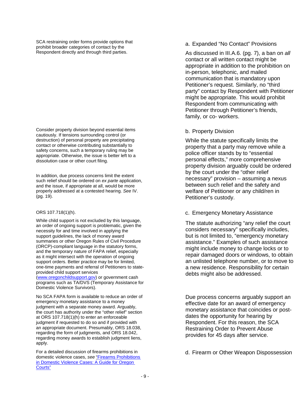SCA restraining order forms provide options that prohibit broader categories of contact by the Respondent directly and through third parties.

Consider property division beyond essential items cautiously. If tensions surrounding control (or destruction) of personal property are precipitating contact or otherwise contributing substantially to safety concerns, such a temporary ruling may be appropriate. Otherwise, the issue is better left to a dissolution case or other court filing.

In addition, due process concerns limit the extent such relief should be ordered on *ex parte* application, and the issue, if appropriate at all, would be more properly addressed at a contested hearing. *See* IV. (pg. 19).

#### ORS 107.718(1)(h).

While child support is not excluded by this language, an order of ongoing support is problematic, given the necessity for and time involved in applying the support guidelines, the lack of money award summaries or other Oregon Rules of Civil Procedure (ORCP)-compliant language in the statutory forms, and the temporary nature of FAPA relief, especially as it might intersect with the operation of ongoing support orders. Better practice may be for limited, one-time payments and referr[al of Petitioners to state](http://www.oregonchildsupport.gov/)provided child support services

[\(www.oregonchildsupport.gov\)](http://www.oregonchildsupport.gov/) or government cash programs such as TA/DVS (Temporary Assistance for Domestic Violence Survivors).

No SCA FAPA form is available to reduce an order of emergency monetary assistance to a money judgment with a separate money award. Arguably, the court has authority under the "other relief" section at ORS 107.718(1)(h) to enter an enforceable judgment if requested to do so and if provided with an appropriate document. Presumably, ORS 18.038, regarding the form of judgments, and ORS 18.042, regarding money awards to establish judgment liens, apply.

For a detailed discussion of firearms prohibitions in domestic violence cases, *see* ["Firearms Prohibitions](http://www.courts.oregon.gov/forms/Documents/Firearms%20Guide%20for%20Oregon%20Courts.pdf) [in Domestic Violence Cases: A Guide for Oregon](http://www.courts.oregon.gov/forms/Documents/Firearms%20Guide%20for%20Oregon%20Courts.pdf) Courts"

#### a. Expanded "No Contact" Provisions

As discussed in III.A.6. (pg. 7), a ban on *all*  contact or all written contact might be appropriate in addition to the prohibition on in-person, telephonic, and mailed communication that is mandatory upon Petitioner's request. Similarly, no "third party" contact by Respondent with Petitioner might be appropriate. This would prohibit Respondent from communicating with Petitioner through Petitioner's friends, family, or co- workers.

#### b. Property Division

While the statute specifically limits the property that a party may remove while a police officer stands by to "essential personal effects," more comprehensive property division arguably could be ordered by the court under the "other relief necessary" provision – assuming a nexus between such relief and the safety and welfare of Petitioner or any child/ren in Petitioner's custody.

#### c. Emergency Monetary Assistance

The statute authorizing "any relief the court considers necessary" specifically includes, but is not limited to, "emergency monetary assistance." Examples of such assistance might include money to change locks or to repair damaged doors or windows, to obtain an unlisted telephone number, or to move to a new residence. Responsibility for certain debts might also be addressed.

Due process concerns arguably support an effective date for an award of emergency monetary assistance that coincides or postdates the opportunity for hearing by Respondent. For this reason, the SCA Restraining Order to Prevent Abuse provides for 45 days after service.

d. Firearm or Other Weapon Dispossession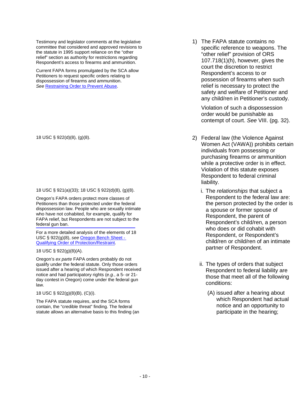Testimony and legislator comments at the legislative committee that considered and approved revisions to the statute in 1995 support reliance on the "other relief" section as authority for restrictions regarding Respondent's access to firearms and ammunition.

Current FAPA forms promulgated by the SCA allow Petitioners to request specific orders relating to dispossession of firearms and ammunition. *See* [Restraining Order to Prevent Abuse.](http://www.courts.oregon.gov/programs/family/domestic-violence/Pages/restraining.aspx)

#### 18 USC § 921(a)(33); 18 USC § 922(d)(8), (g)(8).

Oregon's FAPA orders protect more classes of Petitioners than those protected under the federal dispossession law. People who are sexually intimate who have not cohabited, for example, qualify for FAPA relief, but Respondents are not subject to the federal gun ban.

For a more detailed analysis of the elements of 18 USC § 922(g)(8), *see* [Oregon Bench Sheet -](http://www.courts.oregon.gov/forms/Documents/Firearms%20Protection%20Orders%20Benchsheet.pdf) [Qualifying Order of Protection/Restraint.](http://www.courts.oregon.gov/forms/Documents/Firearms%20Protection%20Orders%20Benchsheet.pdf)

18 USC § 922(g)(8)(A).

Oregon's *ex parte* FAPA orders probably do not qualify under the federal statute. Only those orders issued after a hearing of which Respondent received notice and had participatory rights (*e.g.*, a 5- or 21 day contest in Oregon) come under the federal gun law.

18 USC § 922(g)(8)(B), (C)(i).

The FAPA statute requires, and the SCA forms contain, the "credible threat" finding. The federal statute allows an alternative basis to this finding (an 1) The FAPA statute contains no specific reference to weapons. The "other relief" provision of ORS 107.718(1)(h), however, gives the court the discretion to restrict Respondent's access to or possession of firearms when such relief is necessary to protect the safety and welfare of Petitioner and any child/ren in Petitioner's custody.

Violation of such a dispossession order would be punishable as contempt of court. *See* VIII. (pg. 32).

- 18 USC § 922(d)(8), (g)(8). 2) Federal law (the Violence Against Women Act (VAWA)) prohibits certain individuals from possessing or purchasing firearms or ammunition while a protective order is in effect. Violation of this statute exposes Respondent to federal criminal liability.
	- i. The *relationships* that subject a Respondent to the federal law are: the person protected by the order is a spouse or former spouse of Respondent, the parent of Respondent's child/ren, a person who does or did cohabit with Respondent, or Respondent's child/ren or child/ren of an intimate partner of Respondent.
	- ii. The types of orders that subject Respondent to federal liability are those that meet all of the following conditions:
		- (A) issued after a hearing about which Respondent had actual notice and an opportunity to participate in the hearing;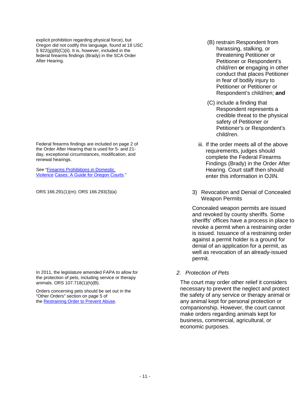explicit prohibition regarding physical force), but Oregon did not codify this language, found at 18 USC § 922(g)(8)(C)(ii). It is, however, included in the federal firearms findings (Brady) in the SCA Order [After Hearing.](http://courts.oregon.gov/OJD/docs/osca/cpsd/courtimprovement/familylaw/forms/2010fapaupdate/packet2/orderafterhearingmodify-5-11.pdf)

Federal firearms findings are included on page 2 of the Order After Hearing that is used for 5- and 21 day, exceptional circumstances, modification, and renewal hearings.

*See* ["Firearms Prohibitions in Domestic](https://www.courts.oregon.gov/forms/Documents/Firearms%20Guide%20for%20Oregon%20Courts.pdf)  [Violence](https://www.courts.oregon.gov/forms/Documents/Firearms%20Guide%20for%20Oregon%20Courts.pdf) [Cases: A Guide for Oregon Courts.](http://courts.oregon.gov/OJD/docs/OSCA/cpsd/courtimprovement/familylaw/FGuide.pdf)"

In 2011, the legislature amended FAPA to allow for the protection of pets, including service or therapy animals. ORS 107.718(1)(h)(B).

Orders concerning pets should be set out in the "Other Orders" section on page 5 of the [Restraining Order to Prevent Abuse.](http://www.courts.oregon.gov/forms/Documents/FAPA%20-%20Restraining%20Order%20to%20Prevent%20Abuse.pdf)

- (B) restrain Respondent from harassing, stalking, or threatening Petitioner or Petitioner or Respondent's child/ren **or** engaging in other conduct that places Petitioner in fear of bodily injury to Petitioner or Petitioner or Respondent's child/ren; **and**
- (C) include a finding that Respondent represents a credible threat to the physical safety of Petitioner or Petitioner's or Respondent's child/ren.
- iii. If the order meets all of the above requirements, judges should complete the Federal Firearms Findings (Brady) in the Order After Hearing. Court staff then should enter this information in OJIN.
- ORS 166.291(1)(m); ORS 166.293(3)(a) 3) Revocation and Denial of Concealed Weapon Permits

Concealed weapon permits are issued and revoked by county sheriffs. Some sheriffs' offices have a process in place to revoke a permit when a restraining order is issued. Issuance of a restraining order against a permit holder is a ground for denial of an application for a permit, as well as revocation of an already-issued permit.

*2. Protection of Pets*

The court may order other relief it considers necessary to prevent the neglect and protect the safety of any service or therapy animal or any animal kept for personal protection or companionship. However, the court cannot make orders regarding animals kept for business, commercial, agricultural, or economic purposes.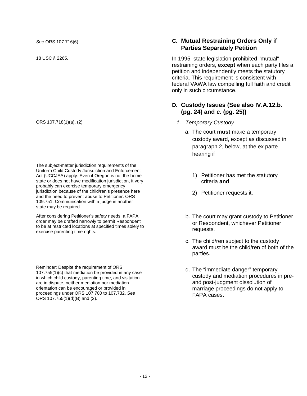The subject-matter jurisdiction requirements of the Uniform Child Custody Jurisdiction and Enforcement Act (UCCJEA) apply. Even if Oregon is not the home state or does not have modification jurisdiction, it very probably can exercise temporary emergency jurisdiction because of the child/ren's presence here and the need to prevent abuse to Petitioner. ORS 109.751. Communication with a judge in another state may be required.

After considering Petitioner's safety needs, a FAPA order may be drafted narrowly to permit Respondent to be at restricted locations at specified times solely to exercise parenting time rights.

Reminder: Despite the requirement of ORS 107.755(1)(c) that mediation be provided in any case in which child custody, parenting time, and visitation are in dispute, neither mediation nor mediation orientation can be encouraged or provided in proceedings under ORS 107.700 to 107.732. *See*  ORS 107.755(1)(d)(B) and (2).

#### *See* ORS 107.716(6). **C. Mutual Restraining Orders Only if Parties Separately Petition**

18 USC § 2265. In 1995, state legislation prohibited "mutual" restraining orders, **except** when each party files a petition and independently meets the statutory criteria. This requirement is consistent with federal VAWA law compelling full faith and credit only in such circumstance.

#### <span id="page-15-1"></span><span id="page-15-0"></span>**D. Custody Issues (See also IV.A.12.b. (pg. 24) and c. (pg. 25))**

- ORS 107.718(1)(a), (2). *1. Temporary Custody*
	- a. The court **must** make a temporary custody award, except as discussed in paragraph 2, below, at the ex parte hearing if
		- 1) Petitioner has met the statutory criteria **and**
		- 2) Petitioner requests it.
	- b. The court may grant custody to Petitioner or Respondent, whichever Petitioner requests.
	- c. The child/ren subject to the custody award must be the child/ren of both of the parties.
	- d. The "immediate danger" temporary custody and mediation procedures in preand post-judgment dissolution of marriage proceedings do not apply to FAPA cases.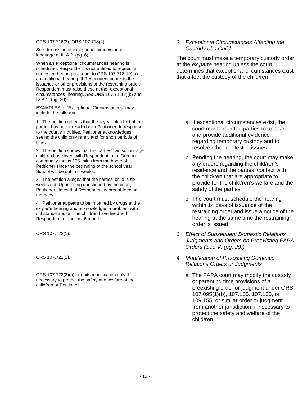ORS 107.716(2); ORS 107.718(2).

*See* discussion of exceptional circumstances language at III.A.2. (pg. 6).

When an exceptional circumstances hearing is scheduled, Respondent is not entitled to request a contested hearing pursuant to ORS 107.718(10); *i.e.*, an additional hearing. If Respondent contests the issuance or other provisions of the restraining order, Respondent must raise these at the "exceptional circumstances" hearing. *See* ORS 107.716(2)(b) and IV.A.1. (pg. 20).

EXAMPLES of "Exceptional Circumstances" may include the following:

1. The petition reflects that the 4-year-old child of the parties has never resided with Petitioner. In response to the court's inquiries, Petitioner acknowledges seeing the child only rarely and for short periods of time.

2. The petition shows that the parties' two school-age children have lived with Respondent in an Oregon community that is 125 miles from the home of Petitioner since the beginning of the school year. School will be out in 6 weeks.

3. The petition alleges that the parties' child is six weeks old. Upon being questioned by the court, Petitioner states that Respondent is breast-feeding the baby.

4. Petitioner appears to be impaired by drugs at the *ex parte* hearing and acknowledges a problem with substance abuse. The children have lived with Respondent for the last 6 months.

ORS 107.722(2)(a) permits modification only if necessary to protect the safety and welfare of the child/ren or Petitioner.

*2. Exceptional Circumstances Affecting the Custody of a Child*

The court must make a temporary custody order at the *ex parte* hearing unless the court determines that exceptional circumstances exist that affect the custody of the child/ren.

- a. If exceptional circumstances exist, the court must order the parties to appear and provide additional evidence regarding temporary custody and to resolve other contested issues.
- b. Pending the hearing, the court may make any orders regarding the child/ren's residence and the parties' contact with the child/ren that are appropriate to provide for the child/ren's welfare and the safety of the parties.
- c. The court must schedule the hearing within 14 days of issuance of the restraining order and issue a notice of the hearing at the same time the restraining order is issued.
- ORS 107.722(1). *3. Effect of Subsequent Domestic Relations Judgments and Orders on Preexisting FAPA Orders (See V. (pg. 29))*
- ORS 107.722(2). *4. Modification of Preexisting Domestic Relations Orders or Judgments*
	- a. The FAPA court may modify the custody or parenting time provisions of a preexisting order or judgment under ORS 107.095(1)(b), 107.105*,* 107.135, or 109.155, or similar order or judgment from another jurisdiction, if necessary to protect the safety and welfare of the child/ren.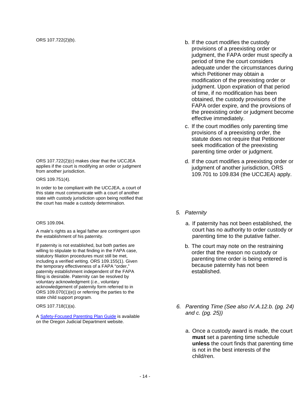ORS 107.722(2)(c) makes clear that the UCCJEA applies if the court is modifying an order or judgment from another jurisdiction.

ORS 109.751(4).

In order to be compliant with the UCCJEA, a court of this state must communicate with a court of another state with custody jurisdiction upon being notified that the court has made a custody determination.

#### ORS 109.094.

A male's rights as a legal father are contingent upon the establishment of his paternity.

If paternity is not established, but both parties are willing to stipulate to that finding in the FAPA case, statutory filiation procedures must still be met, including a verified writing. ORS 109.155(1). Given the temporary effectiveness of a FAPA "order," paternity establishment independent of the FAPA filing is desirable. Paternity can be resolved by voluntary acknowledgment (*i.e.*, voluntary acknowledgement of paternity form referred to in ORS 109.070(1)(e)) or referring the parties to the state child support program.

ORS 107.718(1)(a).

[A Safety-Focused Parenting Plan Guide](http://www.courts.oregon.gov/programs/family/children/Pages/parenting-plans.aspx) is available on the Oregon Judicial Department website.

- ORS 107.722(2)(b). CONS 107.722(2)(b). provisions of a preexisting order or judgment, the FAPA order must specify a period of time the court considers adequate under the circumstances during which Petitioner may obtain a modification of the preexisting order or judgment. Upon expiration of that period of time, if no modification has been obtained, the custody provisions of the FAPA order expire, and the provisions of the preexisting order or judgment become effective immediately.
	- c. If the court modifies only parenting time provisions of a preexisting order, the statute does not require that Petitioner seek modification of the preexisting parenting time order or judgment.
	- d. If the court modifies a preexisting order or judgment of another jurisdiction, ORS 109.701 to 109.834 (the UCCJEA) apply.
	- *5. Paternity*
		- a. If paternity has not been established, the court has no authority to order custody or parenting time to the putative father.
		- b. The court may note on the restraining order that the reason no custody or parenting time order is being entered is because paternity has not been established.
	- *6. Parenting Time (See also IV.A.12.b. (pg. 24) and c. (pg. 25))*
		- a. Once a custody award is made, the court **must** set a parenting time schedule **unless** the court finds that parenting time is not in the best interests of the child/ren.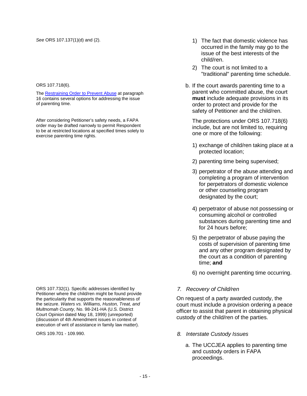#### ORS 107.718(6).

The [Restraining Order to Prevent Abuse](http://www.courts.oregon.gov/forms/Documents/FAPA%20-%20Restraining%20Order%20to%20Prevent%20Abuse.pdf) at paragraph 16 contains several options for addressing the issue of parenting time.

After considering Petitioner's safety needs, a FAPA order may be drafted narrowly to permit Respondent to be at restricted locations at specified times solely to exercise parenting time rights.

ORS 107.732(1). Specific addresses identified by Petitioner where the child/ren might be found provide the particularity that supports the reasonableness of the seizure. *Waters vs. Williams, Huston, Treat, and Multnomah County*, No. 98-241-HA (U.S. District Court Opinion dated May 18, 1999) (unreported) (discussion of 4th Amendment issues in context of execution of writ of assistance in family law matter).

- See ORS 107.137(1)(d) and (2). 10 and (2). 10 and (2). 1 and 1) The fact that domestic violence has occurred in the family may go to the issue of the best interests of the child/ren.
	- 2) The court is not limited to a "traditional" parenting time schedule.
	- b. If the court awards parenting time to a parent who committed abuse, the court **must** include adequate provisions in its order to protect and provide for the safety of Petitioner and the child/ren.

The protections under ORS 107.718(6) include, but are not limited to, requiring one or more of the following:

- 1) exchange of child/ren taking place at a protected location;
- 2) parenting time being supervised;
- 3) perpetrator of the abuse attending and completing a program of intervention for perpetrators of domestic violence or other counseling program designated by the court;
- 4) perpetrator of abuse not possessing or consuming alcohol or controlled substances during parenting time and for 24 hours before;
- 5) the perpetrator of abuse paying the costs of supervision of parenting time and any other program designated by the court as a condition of parenting time; **and**
- 6) no overnight parenting time occurring.

#### *7. Recovery of Child/ren*

On request of a party awarded custody, the court must include a provision ordering a peace officer to assist that parent in obtaining physical custody of the child/ren of the parties.

- ORS 109.701 109.990. *8. Interstate Custody Issues*
	- a. The UCCJEA applies to parenting time and custody orders in FAPA proceedings.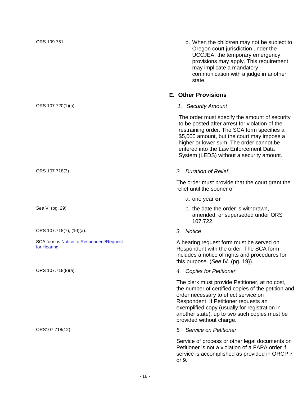ORS 107.718(7), (10)(a). *3. Notice*

SCA form i[s Notice to Respondent/Request](http://www.courts.oregon.gov/forms/Documents/FAPA%20-%20Notice%20to%20Respondent%20Request%20for%20Hearing.pdf) 

ORS 109.751. b. When the child/ren may not be subject to Oregon court jurisdiction under the UCCJEA, the temporary emergency provisions may apply. This requirement may implicate a mandatory communication with a judge in another state.

#### <span id="page-19-0"></span>**E. Other Provisions**

ORS 107.720(1)(a). *1. Security Amount*

The order must specify the amount of security to be posted after arrest for violation of the restraining order. The SCA form specifies a \$5,000 amount, but the court may impose a higher or lower sum. The order cannot be entered into the Law Enforcement Data System (LEDS) without a security amount.

#### ORS 107.718(3). *2. Duration of Relief*

The order must provide that the court grant the relief until the sooner of

- a. one year **or**
- See V. (pg. 29). See V. (pg. 29). amended, or superseded under ORS 107.722.
	-

SCA [for](http://www.courts.oregon.gov/forms/Documents/FAPA%20-%20Notice%20to%20Respondent%20Request%20for%20Hearing.pdf)m is **Notice to Respondent/Request** A hearing request form must be served on<br>for [Hearing.](http://courts.oregon.gov/OJD/docs/OSCA/cpsd/courtimprovement/familylaw/forms/2010FAPAUpdate/Packet4/NoticetoRespRequestHearingRenewalFormerProtectedChildFINAL12-12-11.pdf)<br>Respondent with the order. The SCA form Respondent with the order. The SCA form includes a notice of rights and procedures for this purpose. (*See* IV. (pg. 19)).

ORS 107.718(8)(a). *4. Copies for Petitioner*

The clerk must provide Petitioner, at no cost, the number of certified copies of the petition and order necessary to effect service on Respondent. If Petitioner requests an exemplified copy (usually for registration in another state), up to two such copies must be provided without charge.

ORS107.718(12). *5. Service on Petitioner*

Service of process or other legal documents on Petitioner is not a violation of a FAPA order if service is accomplished as provided in ORCP 7 or 9.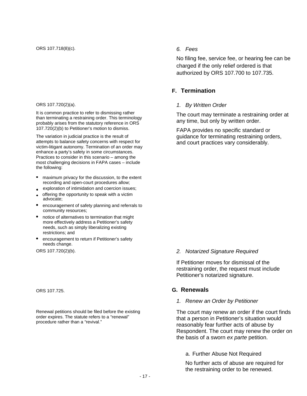#### ORS 107.720(2)(a).

It is common practice to refer to dismissing rather than terminating a restraining order. This terminology probably arises from the statutory reference in ORS 107.720(2)(b) to Petitioner's motion to dismiss.

The variation in judicial practice is the result of attempts to balance safety concerns with respect for victim-litigant autonomy. Termination of an order may enhance a party's safety in some circumstances. Practices to consider in this scenario – among the most challenging decisions in FAPA cases – include the following:

- maximum privacy for the discussion, to the extent recording and open-court procedures allow;
- exploration of intimidation and coercion issues;
- offering the opportunity to speak with a victim advocate;
- encouragement of safety planning and referrals to community resources;
- notice of alternatives to termination that might more effectively address a Petitioner's safety needs, such as simply liberalizing existing restrictions; and
- encouragement to return if Petitioner's safety needs change.

Renewal petitions should be filed before the existing order expires. The statute refers to a "renewal" procedure rather than a "revival."

No filing fee, service fee, or hearing fee can be charged if the only relief ordered is that authorized by ORS 107.700 to 107.735.

#### <span id="page-20-0"></span>**F. Termination**

#### *1. By Written Order*

The court may terminate a restraining order at any time, but only by written order.

FAPA provides no specific standard or guidance for terminating restraining orders, and court practices vary considerably.

#### ORS 107.720(2)(b). *2. Notarized Signature Required*

If Petitioner moves for dismissal of the restraining order, the request must include Petitioner's notarized signature.

#### ORS 107.725. **G. Renewals**

#### <span id="page-20-1"></span>*1. Renew an Order by Petitioner*

The court may renew an order if the court finds that a person in Petitioner's situation would reasonably fear further acts of abuse by Respondent. The court may renew the order on the basis of a sworn *ex parte* petition.

#### a. Further Abuse Not Required

No further acts of abuse are required for the restraining order to be renewed.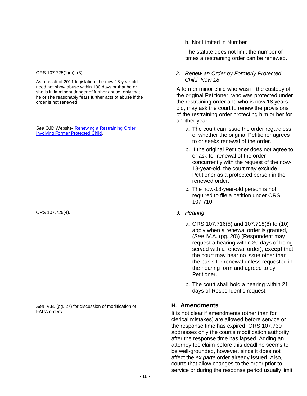As a result of 2011 legislation, the now-18-year-old need not show abuse within 180 days or that he or she is in imminent danger of further abuse, only that he or she reasonably fears further acts of abuse if the order is not renewed.

*See* OJD Website- [Renewing a Restraining Order](http://www.courts.oregon.gov/programs/family/domestic-violence/Pages/restraining.aspx) 

ORS 107.725(4). *3. Hearing*

*See* IV.B. (pg. 27) for discussion of modification of FAPA orders.

b. Not Limited in Number

The statute does not limit the number of times a restraining order can be renewed.

ORS 107.725(1)(b), (3). *2. Renew an Order by Formerly Protected Child, Now 18*

> A former minor child who was in the custody of the original Petitioner, who was protected under the restraining order and who is now 18 years old, may ask the court to renew the provisions of the restraining order protecting him or her for another year.

- See OJD Website- Renewing a Restraining Order and See Court can issue the order regardless<br>[Involving Former Protected Child.](http://www.courts.oregon.gov/programs/family/domestic-violence/Pages/restraining.aspx) And The court can issue the original Potitioner agrees of whether the original Petitioner agrees to or seeks renewal of the order.
	- b. If the original Petitioner does not agree to or ask for renewal of the order concurrently with the request of the now-18-year-old, the court may exclude Petitioner as a protected person in the renewed order.
	- c. The now-18-year-old person is not required to file a petition under ORS 107.710.
	- - a. ORS 107.716(5) and 107.718(8) to (10) apply when a renewal order is granted, (*See* IV.A. (pg. 20)) (Respondent may request a hearing within 30 days of being served with a renewal order), **except** that the court may hear no issue other than the basis for renewal unless requested in the hearing form and agreed to by Petitioner.
		- b. The court shall hold a hearing within 21 days of Respondent's request.

#### <span id="page-21-0"></span>**H. Amendments**

It is not clear if amendments (other than for clerical mistakes) are allowed before service or the response time has expired. ORS 107.730 addresses only the court's modification authority after the response time has lapsed. Adding an attorney fee claim before this deadline seems to be well-grounded, however, since it does not affect the *ex parte* order already issued. Also, courts that allow changes to the order prior to service or during the response period usually limit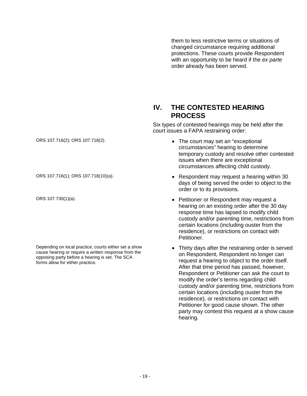them to less restrictive terms or situations of changed circumstance requiring additional protections. These courts provide Respondent with an opportunity to be heard if the *ex parte*  order already has been served.

#### <span id="page-22-0"></span>**IV. THE CONTESTED HEARING PROCESS**

Six types of contested hearings may be held after the court issues a FAPA restraining order:

ORS 107.716(2); ORS 107.718(2).  $\bullet$  The court may set an "exceptional circumstances" hearing to determine temporary custody and resolve other contested issues when there are exceptional circumstances affecting child custody.

- ORS 107.716(1); ORS 107.718(10)(a). Respondent may request a hearing within 30 days of being served the order to object to the order or to its provisions.
- ORS 107.730(1)(a). Petitioner or Respondent may request a hearing on an existing order after the 30 day response time has lapsed to modify child custody and/or parenting time, restrictions from certain locations (including ouster from the residence), or restrictions on contact with Petitioner.
	- Thirty days after the restraining order is served on Respondent, Respondent no longer can request a hearing to object to the order itself. After that time period has passed, however, Respondent or Petitioner can ask the court to modify the order's terms regarding child custody and/or parenting time, restrictions from certain locations (including ouster from the residence), or restrictions on contact with Petitioner for good cause shown. The other party may contest this request at a show cause hearing.

Depending on local practice, courts either set a show cause hearing or require a written response from the opposing party before a hearing is set. The SCA forms allow for either practice.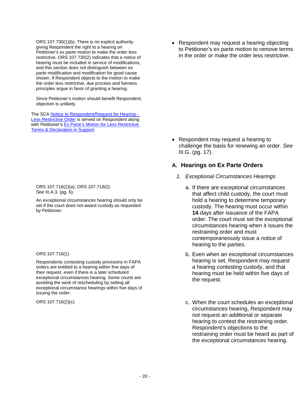ORS 107.730(1)(b). There is no explicit authority giving Respondent the right to a hearing on Petitioner's *ex parte* motion to make the order less restrictive. ORS 107.730(2) indicates that a notice of hearing must be included in service of modifications, and this section does not distinguish between *ex parte* modification and modification for good cause shown. If Respondent objects to the motion to make the order less restrictive, due process and fairness principles argue in favor of granting a hearing.

Since Petitioner's motion should benefit Respondent, objection is unlikely.

The SCA [Notice to Respondent/Request for Hearing -](http://www.courts.oregon.gov/forms/Documents/FAPA-NoticetoRespondentRequestforHearingreLessRestrictiveOrder.pdf) [Less Restrictive Order](http://www.courts.oregon.gov/forms/Documents/FAPA-NoticetoRespondentRequestforHearingreLessRestrictiveOrder.pdf) is served on Respondent along with Petitioner's Ex Parte's Motion for Less Restrictive [Terms & Declaration in Support.](http://www.courts.oregon.gov/forms/Documents/FAPA%20-%20Petitioner)

ORS 107.716(2)(a); ORS 107.718(2). *See* III.A.3. (pg. 6).

An exceptional circumstances hearing should only be set if the court does not award custody as requested by Petitioner.

ORS 107.716(1).

Respondents contesting custody provisions in FAPA orders are entitled to a hearing within five days of their request, even if there is a later scheduled exceptional circumstances hearing. Some courts are avoiding the work of rescheduling by setting all exceptional circumstance hearings within five days of issuing the order.

• Respondent may request a hearing objecting to Petitioner's ex parte motion to remove terms in the order or make the order less restrictive.

• Respondent may request a hearing to challenge the basis for renewing an order. *See* III.G. (pg. 17).

#### <span id="page-23-0"></span>**A. Hearings on Ex Parte Orders**

- *1. Exceptional Circumstances Hearings*
	- a. If there are exceptional circumstances that affect child custody, the court must hold a hearing to determine temporary custody. The hearing must occur within **14** days after issuance of the FAPA order. The court must set the exceptional circumstances hearing when it issues the restraining order and must contemporaneously issue a notice of hearing to the parties.
	- b. Even when an exceptional circumstances hearing is set, Respondent may request a hearing contesting custody, and that hearing must be held within five days of the request.
- ORS 107.716(2)(c). CRS 107.716(2)(c). circumstances hearing, Respondent may not request an additional or separate hearing to contest the restraining order. Respondent's objections to the restraining order must be heard as part of the exceptional circumstances hearing.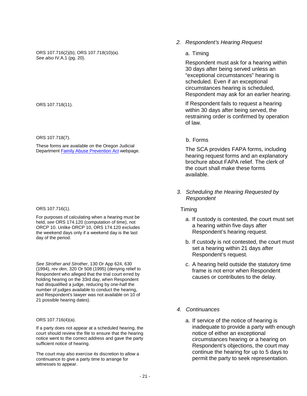ORS 107.716(2)(b); ORS 107.718(10)(a). *See also* IV.A.1 (pg. 20).

ORS 107.718(11).

ORS 107.718(7).

These forms are available on the Oregon Judicial Departmen[t Family Abuse Prevention Act](http://www.courts.oregon.gov/programs/family/domestic-violence/Pages/restraining.aspx) webpage.

#### ORS 107.716(1).

For purposes of calculating when a hearing must be held, *see* ORS 174.120 (computation of time), not ORCP 10. Unlike ORCP 10, ORS 174.120 excludes the weekend days only if a weekend day is the last day of the period.

*See Strother and Strother*, 130 Or App 624, 630 (1994), *rev den*, 320 Or 508 (1995) (denying relief to Respondent who alleged that the trial court erred by holding hearing on the 33rd day, when Respondent had disqualified a judge, reducing by one-half the number of judges available to conduct the hearing, and Respondent's lawyer was not available on 10 of 21 possible hearing dates).

#### ORS 107.716(4)(a).

If a party does not appear at a scheduled hearing, the court should review the file to ensure that the hearing notice went to the correct address and gave the party sufficient notice of hearing.

The court may also exercise its discretion to allow a continuance to give a party time to arrange for witnesses to appear.

*2. Respondent's Hearing Request*

#### a. Timing

Respondent must ask for a hearing within 30 days after being served unless an "exceptional circumstances" hearing is scheduled. Even if an exceptional circumstances hearing is scheduled, Respondent may ask for an earlier hearing.

If Respondent fails to request a hearing within 30 days after being served, the restraining order is confirmed by operation of law.

#### b. Forms

The SCA provides FAPA forms, including hearing request forms and an explanatory brochure about FAPA relief. The clerk of the court shall make these forms available.

*3. Scheduling the Hearing Requested by Respondent*

Timing

- a. If custody is contested, the court must set a hearing within five days after Respondent's hearing request.
- b. If custody is not contested, the court must set a hearing within 21 days after Respondent's request.
- c. A hearing held outside the statutory time frame is not error when Respondent causes or contributes to the delay.
- *4. Continuances*
	- a. If service of the notice of hearing is inadequate to provide a party with enough notice of either an exceptional circumstances hearing or a hearing on Respondent's objections, the court may continue the hearing for up to 5 days to permit the party to seek representation.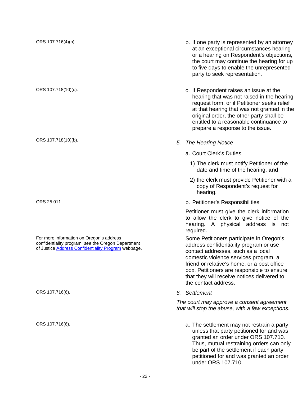For more information on Oregon's address confidentiality program, *see* the Oregon Department of Justic[e Address Confidentiality Program](http://www.doj.state.or.us/victims/confidentiality.shtml) webpage.

- ORS 107.716(4)(b). b. If one party is represented by an attorney at an exceptional circumstances hearing or a hearing on Respondent's objections, the court may continue the hearing for up to five days to enable the unrepresented party to seek representation.
- ORS 107.718(10)(c). C. If Respondent raises an issue at the hearing that was not raised in the hearing request form, or if Petitioner seeks relief at that hearing that was not granted in the original order, the other party shall be entitled to a reasonable continuance to prepare a response to the issue.
- ORS 107.718(10)(b). *5. The Hearing Notice*
	- a. Court Clerk's Duties
		- 1) The clerk must notify Petitioner of the date and time of the hearing, **and**
		- 2) the clerk must provide Petitioner with a copy of Respondent's request for hearing.
- ORS 25.011. b. Petitioner's Responsibilities

Petitioner must give the clerk information to allow the clerk to give notice of the hearing. A physical address is not required.

Some Petitioners participate in Oregon's address confidentiality program or use contact addresses, such as a local domestic violence services program, a friend or relative's home, or a post office box. Petitioners are responsible to ensure that they will receive notices delivered to the contact address.

ORS 107.716(6). *6. Settlement*

*The court may approve a consent agreement that will stop the abuse, with a few exceptions.*

ORS 107.716(6). CONSINST 2008 2. The settlement may not restrain a party unless that party petitioned for and was granted an order under ORS 107.710. Thus, mutual restraining orders can only be part of the settlement if each party petitioned for and was granted an order under ORS 107.710.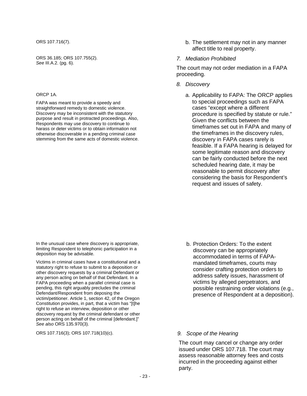ORS 36.185; ORS 107.755(2). *See* III.A.2. (pg. 6).

#### ORCP 1A.

FAPA was meant to provide a speedy and straightforward remedy to domestic violence. Discovery may be inconsistent with the statutory purpose and result in protracted proceedings. Also, Respondents may use discovery to continue to harass or deter victims or to obtain information not otherwise discoverable in a pending criminal case stemming from the same acts of domestic violence.

- ORS 107.716(7). b. The settlement may not in any manner affect title to real property.
	- *7. Mediation Prohibited*

The court may not order mediation in a FAPA proceeding.

- *8. Discovery*
	- a. Applicability to FAPA: The ORCP applies to special proceedings such as FAPA cases "except where a different procedure is specified by statute or rule." Given the conflicts between the timeframes set out in FAPA and many of the timeframes in the discovery rules, discovery in FAPA cases rarely is feasible. If a FAPA hearing is delayed for some legitimate reason and discovery can be fairly conducted before the next scheduled hearing date, it may be reasonable to permit discovery after considering the basis for Respondent's request and issues of safety.

In the unusual case where discovery is appropriate, limiting Respondent to telephonic participation in a deposition may be advisable.

Victims in criminal cases have a constitutional and a statutory right to refuse to submit to a deposition or other discovery requests by a criminal Defendant or any person acting on behalf of that Defendant. In a FAPA proceeding when a parallel criminal case is pending, this right arguably precludes the criminal Defendant/Respondent from deposing the victim/petitioner. Article 1, section 42, of the Oregon Constitution provides, in part, that a victim has "[t]he right to refuse an interview, deposition or other discovery request by the criminal defendant or other person acting on behalf of the criminal [defendant.]" *See also* ORS 135.970(3).

ORS 107.716(3); ORS 107.718(10)(c). *9. Scope of the Hearing*

- b. Protection Orders: To the extent discovery can be appropriately accommodated in terms of FAPAmandated timeframes, courts may consider crafting protection orders to address safety issues, harassment of victims by alleged perpetrators, and possible restraining order violations (e.g., presence of Respondent at a deposition).
- 

The court may cancel or change any order issued under ORS 107.718. The court may assess reasonable attorney fees and costs incurred in the proceeding against either party.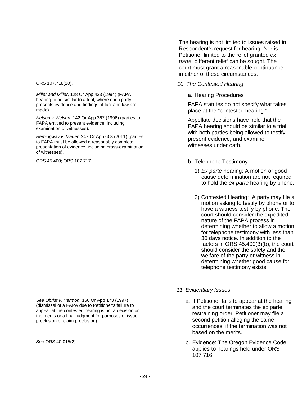*Miller and Miller*, 128 Or App 433 (1994) (FAPA hearing to be similar to a trial, where each party presents evidence and findings of fact and law are made).

*Nelson v. Nelson*, 142 Or App 367 (1996) (parties to FAPA entitled to present evidence, including examination of witnesses).

*Hemingway v. Mauer*, 247 Or App 603 (2011) (parties to FAPA must be allowed a reasonably complete presentation of evidence, including cross-examination of witnesses).

The hearing is not limited to issues raised in Respondent's request for hearing. Nor is Petitioner limited to the relief granted *ex parte*; different relief can be sought. The court must grant a reasonable continuance in either of these circumstances.

#### ORS 107.718(10). *10. The Contested Hearing*

a. Hearing Procedures

FAPA statutes do not specify what takes place at the "contested hearing."

Appellate decisions have held that the FAPA hearing should be similar to a trial, with both parties being allowed to testify, present evidence, and examine witnesses under oath.

- ORS 45.400; ORS 107.717. b. Telephone Testimony
	- 1) *Ex parte* hearing: A motion or good cause determination are not required to hold the *ex parte* hearing by phone.
	- 2) Contested Hearing: A party may file a motion asking to testify by phone or to have a witness testify by phone. The court should consider the expedited nature of the FAPA process in determining whether to allow a motion for telephone testimony with less than 30 days notice. In addition to the factors in ORS 45.400(3)(b), the court should consider the safety and the welfare of the party or witness in determining whether good cause for telephone testimony exists.

*See Obrist v. Harmon*, 150 Or App 173 (1997) (dismissal of a FAPA due to Petitioner's failure to appear at the contested hearing is not a decision on the merits or a final judgment for purposes of issue preclusion or claim preclusion).

#### *11. Evidentiary Issues*

- a. If Petitioner fails to appear at the hearing and the court terminates the ex parte restraining order, Petitioner may file a second petition alleging the same occurrences, if the termination was not based on the merits.
- *See* ORS 40.015(2). b. Evidence: The Oregon Evidence Code applies to hearings held under ORS 107.716.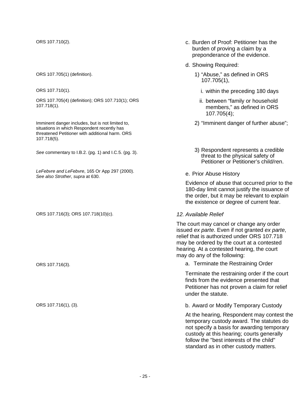ORS 107.705(4) (definition); ORS 107.710(1); ORS 107.718(1).

Imminent danger includes, but is not limited to, situations in which Respondent recently has threatened Petitioner with additional harm. ORS 107.718(5).

*LeFebvre and LeFebvre*, 165 Or App 297 (2000). *See also Strother, supra at 630.* App 237 (2000). E. Frior Abuse History See also Strother, supra at 630.

ORS 107.716(3); ORS 107.718(10)(c). *12. Available Relief*

- ORS 107.710(2). c. Burden of Proof: Petitioner has the burden of proving a claim by a preponderance of the evidence.
	- d. Showing Required:
- ORS 107.705(1) (definition). 1) "Abuse," as defined in ORS 107.705(1),
- ORS 107.710(1). CONSERVING THE USE OF STREET AND THE USE OF STREET AND THE USE OF STREET ASSAULT AS A LOCAL CONSERVED AND THE USE OF STREET AND THE USE OF STREET ASSAULT AS A LOCAL CONSERVED ASSAULT AS A LOCAL CONSERVED AS
	- ii. between "family or household members," as defined in ORS 107.705(4);
	- 2) "Imminent danger of further abuse";
- See commentary to I.B.2. (pg. 1) and I.C.5. (pg. 3). 3) Respondent represents a credible threat to the physical safety of Petitioner or Petitioner's child/ren.
	-

Evidence of abuse that occurred prior to the 180-day limit cannot justify the issuance of the order, but it may be relevant to explain the existence or degree of current fear.

The court may cancel or change any order issued *ex parte*. Even if not granted *ex parte*, relief that is authorized under ORS 107.718 may be ordered by the court at a contested hearing. At a contested hearing, the court may do any of the following:

ORS 107.716(3). a. Terminate the Restraining Order

Terminate the restraining order if the court finds from the evidence presented that Petitioner has not proven a claim for relief under the statute.

ORS 107.716(1), (3). CORS 107.716(1), (3). b. Award or Modify Temporary Custody

At the hearing, Respondent may contest the temporary custody award. The statutes do not specify a basis for awarding temporary custody at this hearing; courts generally follow the "best interests of the child" standard as in other custody matters.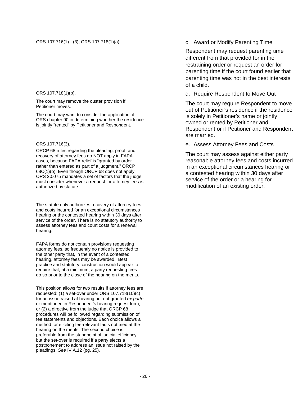#### ORS 107.718(1)(b).

The court may remove the ouster provision if Petitioner moves.

The court may want to consider the application of ORS chapter 90 in determining whether the residence is jointly "rented" by Petitioner and Respondent.

#### ORS 107.716(3).

ORCP 68 rules regarding the pleading, proof, and recovery of attorney fees do NOT apply in FAPA cases, because FAPA relief is "granted by order rather than entered as part of a judgment." ORCP 68C(1)(b). Even though ORCP 68 does not apply, ORS 20.075 mandates a set of factors that the judge must consider whenever a request for attorney fees is authorized by statute.

The statute only authorizes recovery of attorney fees and costs incurred for an exceptional circumstances hearing or the contested hearing within 30 days after service of the order. There is no statutory authority to assess attorney fees and court costs for a renewal hearing.

FAPA forms do not contain provisions requesting attorney fees, so frequently no notice is provided to the other party that, in the event of a contested hearing, attorney fees may be awarded. Best practice and statutory construction would appear to require that, at a minimum, a party requesting fees do so prior to the close of the hearing on the merits.

This position allows for two results if attorney fees are requested: (1) a set-over under ORS 107.718(10)(c) for an issue raised at hearing but not granted *ex parte*  or mentioned in Respondent's hearing request form, or (2) a directive from the judge that ORCP 68 procedures will be followed regarding submission of fee statements and objections. Each choice allows a method for eliciting fee-relevant facts not tried at the hearing on the merits. The second choice is preferable from the standpoint of judicial efficiency, but the set-over is required if a party elects a postponement to address an issue not raised by the pleadings. *See* IV.A.12 (pg. 25).

Respondent may request parenting time different from that provided for in the restraining order or request an order for parenting time if the court found earlier that parenting time was not in the best interests of a child.

d. Require Respondent to Move Out

The court may require Respondent to move out of Petitioner's residence if the residence is solely in Petitioner's name or jointly owned or rented by Petitioner and Respondent or if Petitioner and Respondent are married.

e. Assess Attorney Fees and Costs

The court may assess against either party reasonable attorney fees and costs incurred in an exceptional circumstances hearing or a contested hearing within 30 days after service of the order or a hearing for modification of an existing order.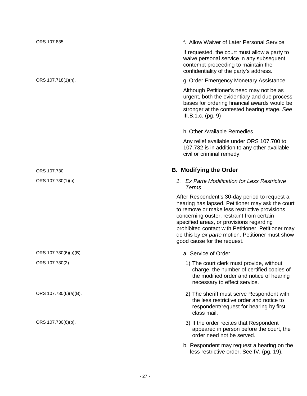ORS 107.835. f. Allow Waiver of Later Personal Service

If requested, the court must allow a party to waive personal service in any subsequent contempt proceeding to maintain the confidentiality of the party's address.

#### ORS 107.718(1)(h). g. Order Emergency Monetary Assistance

Although Petitioner's need may not be as urgent, both the evidentiary and due process bases for ordering financial awards would be stronger at the contested hearing stage. *See*  III.B.1.c. (pg. 9)

#### h. Other Available Remedies

Any relief available under ORS 107.700 to 107.732 is in addition to any other available civil or criminal remedy.

#### ORS 107.730. **B. Modifying the Order**

ORS 107.730(1)(b). *1. Ex Parte Modification for Less Restrictive Terms*

> <span id="page-30-0"></span>After Respondent's 30-day period to request a hearing has lapsed, Petitioner may ask the court to remove or make less restrictive provisions concerning ouster, restraint from certain specified areas, or provisions regarding prohibited contact with Petitioner. Petitioner may do this by *ex parte* motion. Petitioner must show good cause for the request.

- ORS 107.730(6)(a)(B). CORS 107.730(6)(a)(B).
- ORS 107.730(2). 1) The court clerk must provide, without charge, the number of certified copies of the modified order and notice of hearing necessary to effect service.
- ORS 107.730(6)(a)(B). 2) The sheriff must serve Respondent with the less restrictive order and notice to respondent/request for hearing by first class mail.
- ORS 107.730(6)(b). CONSERVING THE ORS 107.730(6)(b). appeared in person before the court, the order need not be served.
	- b. Respondent may request a hearing on the less restrictive order. See IV. (pg. 19).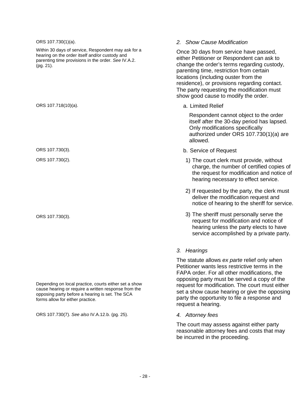ORS 107.730(1)(a). Within 30 days of service, Respondent may ask for a hearing on the order itself and/or custody and parenting time provisions in the order. *See* IV.A.2. (pg. 21). *2. Show Cause Modification* Once 30 days from service have passed, either Petitioner or Respondent can ask to change the order's terms regarding custody, parenting time, restriction from certain locations (including ouster from the residence), or provisions regarding contact. The party requesting the modification must show good cause to modify the order. ORS 107.718(10)(a). **a. Limited Relief** Respondent cannot object to the order itself after the 30-day period has lapsed. Only modifications specifically authorized under ORS 107.730(1)(a) are allowed. ORS 107.730(3). b. Service of Request ORS 107.730(2). 1) The court clerk must provide, without charge, the number of certified copies of the request for modification and notice of hearing necessary to effect service. 2) If requested by the party, the clerk must deliver the modification request and notice of hearing to the sheriff for service. ORS 107.730(3).  $\qquad \qquad$  2) The sheriff must personally serve the request for modification and notice of hearing unless the party elects to have service accomplished by a private party. *3. Hearings* The statute allows *ex parte* relief only when Petitioner wants less restrictive terms in the FAPA order. For all other modifications, the

Depending on local practice, courts either set a show cause hearing or require a written response from the opposing party before a hearing is set. The SCA forms allow for either practice.

ORS 107.730(7). *See also* IV.A.12.b. (pg. 25). *4. Attorney fees*

request a hearing.

The court may assess against either party reasonable attorney fees and costs that may be incurred in the proceeding.

opposing party must be served a copy of the request for modification. The court must either set a show cause hearing or give the opposing party the opportunity to file a response and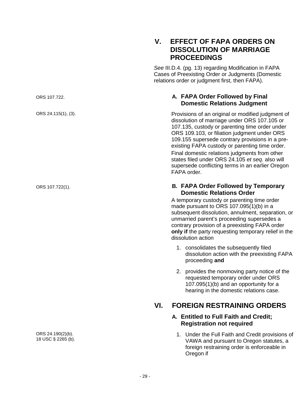<span id="page-32-3"></span>ORS 24.190(2)(b). 18 USC § 2265 (b).

### <span id="page-32-0"></span>**V. EFFECT OF FAPA ORDERS ON DISSOLUTION OF MARRIAGE PROCEEDINGS**

<span id="page-32-1"></span>*See* III.D.4. (pg. 13) regarding Modification in FAPA Cases of Preexisting Order or Judgments (Domestic relations order or judgment first, then FAPA).

#### ORS 107.722. **A. FAPA Order Followed by Final Domestic Relations Judgment**

ORS 24.115(1), (3). Provisions of an original or modified judgment of dissolution of marriage under ORS 107.105 or 107.135, custody or parenting time order under ORS 109.103, or filiation judgment under ORS 109.155 supersede contrary provisions in a preexisting FAPA custody or parenting time order. Final domestic relations judgments from other states filed under ORS 24.105 *et seq.* also will supersede conflicting terms in an earlier Oregon FAPA order.

#### ORS 107.722(1). **B. FAPA Order Followed by Temporary Domestic Relations Order**

<span id="page-32-2"></span>A temporary custody or parenting time order made pursuant to ORS 107.095(1)(b) in a subsequent dissolution, annulment, separation, or unmarried parent's proceeding supersedes a contrary provision of a preexisting FAPA order **only if** the party requesting temporary relief in the dissolution action

- 1. consolidates the subsequently filed dissolution action with the preexisting FAPA proceeding **and**
- 2. provides the nonmoving party notice of the requested temporary order under ORS 107.095(1)(b) and an opportunity for a hearing in the domestic relations case.

## <span id="page-32-4"></span>**VI. FOREIGN RESTRAINING ORDERS**

#### **A. Entitled to Full Faith and Credit; Registration not required**

1. Under the Full Faith and Credit provisions of VAWA and pursuant to Oregon statutes, a foreign restraining order is enforceable in Oregon if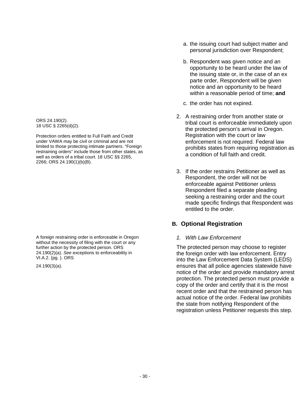ORS 24.190(2). 18 USC § 2265(d)(2).

Protection orders entitled to Full Faith and Credit under VAWA may be civil or criminal and are not limited to those protecting intimate partners. "Foreign restraining orders" include those from other states, as well as orders of a tribal court. 18 USC §§ 2265, 2266; ORS 24.190(1)(b)(B).

A foreign restraining order is enforceable in Oregon without the necessity of filing with the court or any further action by the protected person. ORS 24.190(2)(a). *See* exceptions to enforceability in VI.A.2. (pg. ). ORS

24.190(3)(a).

- a. the issuing court had subject matter and personal jurisdiction over Respondent;
- b. Respondent was given notice and an opportunity to be heard under the law of the issuing state or, in the case of an ex parte order, Respondent will be given notice and an opportunity to be heard within a reasonable period of time; **and**
- c. the order has not expired.
- 2. A restraining order from another state or tribal court is enforceable immediately upon the protected person's arrival in Oregon. Registration with the court or law enforcement is not required. Federal law prohibits states from requiring registration as a condition of full faith and credit.
- 3. If the order restrains Petitioner as well as Respondent, the order will not be enforceable against Petitioner unless Respondent filed a separate pleading seeking a restraining order and the court made specific findings that Respondent was entitled to the order.

#### <span id="page-33-0"></span>**B. Optional Registration**

#### *1. With Law Enforcement*

The protected person may choose to register the foreign order with law enforcement. Entry into the Law Enforcement Data System (LEDS) ensures that all police agencies statewide have notice of the order and provide mandatory arrest protection. The protected person must provide a copy of the order and certify that it is the most recent order and that the restrained person has actual notice of the order. Federal law prohibits the state from notifying Respondent of the registration unless Petitioner requests this step.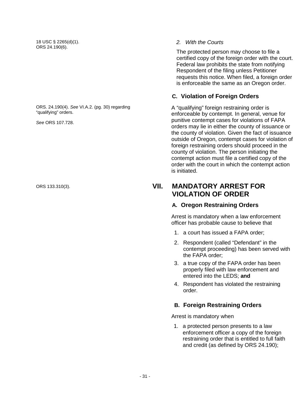18 USC § 2265(d)(1). ORS 24.190(6).

ORS. 24.190(4). *See* VI.A.2. (pg. 30) regarding "qualifying" orders.

*See* ORS 107.728.

#### *2. With the Courts*

The protected person may choose to file a certified copy of the foreign order with the court. Federal law prohibits the state from notifying Respondent of the filing unless Petitioner requests this notice. When filed, a foreign order is enforceable the same as an Oregon order.

#### <span id="page-34-0"></span>**C. Violation of Foreign Orders**

A "qualifying" foreign restraining order is enforceable by contempt. In general, venue for punitive contempt cases for violations of FAPA orders may lie in either the county of issuance or the county of violation. Given the fact of issuance outside of Oregon, contempt cases for violation of foreign restraining orders should proceed in the county of violation. The person initiating the contempt action must file a certified copy of the order with the court in which the contempt action is initiated.

### ORS 133.310(3). **VII. MANDATORY ARREST FOR VIOLATION OF ORDER**

#### <span id="page-34-2"></span><span id="page-34-1"></span>**A. Oregon Restraining Orders**

Arrest is mandatory when a law enforcement officer has probable cause to believe that

- 1. a court has issued a FAPA order;
- 2. Respondent (called "Defendant" in the contempt proceeding) has been served with the FAPA order;
- 3. a true copy of the FAPA order has been properly filed with law enforcement and entered into the LEDS; **and**
- 4. Respondent has violated the restraining order.

#### <span id="page-34-3"></span>**B. Foreign Restraining Orders**

Arrest is mandatory when

1. a protected person presents to a law enforcement officer a copy of the foreign restraining order that is entitled to full faith and credit (as defined by ORS 24.190);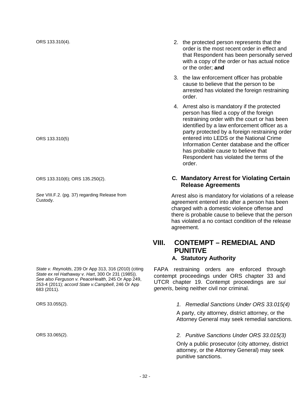ORS 133.310(5)

See VIII.F.2. (pg. 37) regarding Release from<br>Custody.

*State v. Reynolds*, 239 Or App 313, 316 (2010) (citing *State ex rel Hathaway v. Hart*, 300 Or 231 (1985)). *See also Ferguson v. PeaceHealth*, 245 Or App 249, 253-4 (2011); *accord State v.Campbell*, 246 Or App 683 (2011).

- ORS 133.310(4). 2. the protected person represents that the order is the most recent order in effect and that Respondent has been personally served with a copy of the order or has actual notice or the order; **and**
	- 3. the law enforcement officer has probable cause to believe that the person to be arrested has violated the foreign restraining order.
	- 4. Arrest also is mandatory if the protected person has filed a copy of the foreign restraining order with the court or has been identified by a law enforcement officer as a party protected by a foreign restraining order entered into LEDS or the National Crime Information Center database and the officer has probable cause to believe that Respondent has violated the terms of the order.

#### ORS 133.310(6); ORS 135.250(2). **C. Mandatory Arrest for Violating Certain Release Agreements**

<span id="page-35-0"></span>Arrest also is mandatory for violations of a release agreement entered into after a person has been charged with a domestic violence offense and there is probable cause to believe that the person has violated a no contact condition of the release agreement.

#### <span id="page-35-1"></span>**VIII. CONTEMPT – REMEDIAL AND PUNITIVE A. Statutory Authority**

<span id="page-35-2"></span>FAPA restraining orders are enforced through contempt proceedings under ORS chapter 33 and UTCR chapter 19. Contempt proceedings are *sui generis*, being neither civil nor criminal.

#### ORS 33.055(2). *1. Remedial Sanctions Under ORS 33.015(4)*

A party, city attorney, district attorney, or the Attorney General may seek remedial sanctions.

#### ORS 33.065(2). *2. Punitive Sanctions Under ORS 33.015(3)*

Only a public prosecutor (city attorney, district attorney, or the Attorney General) may seek punitive sanctions.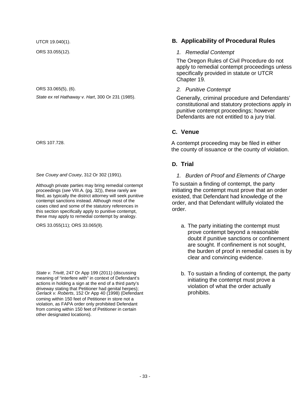ORS 33.065(5), (6).

*State ex rel Hathaway v. Hart*, 300 Or 231 (1985).

*See Couey and Couey*, 312 Or 302 (1991).

Although private parties may bring remedial contempt proceedings (*see* VIII.A. (pg. 32)), these rarely are filed, as typically the district attorney will seek punitive contempt sanctions instead. Although most of the cases cited and some of the statutory references in this section specifically apply to punitive contempt, these may apply to remedial contempt by analogy.

*State v. Trivitt*, 247 Or App 199 (2011) (discussing meaning of "interfere with" in context of Defendant's actions in holding a sign at the end of a third party's driveway stating that Petitioner had genital herpes); *Gerlack v. Roberts*, 152 Or App 40 (1998) (Defendant coming within 150 feet of Petitioner in store not a violation, as FAPA order only prohibited Defendant from coming within 150 feet of Petitioner in certain other designated locations).

#### UTCR 19.040(1). **B. Applicability of Procedural Rules**

#### ORS 33.055(12). *1. Remedial Contempt*

The Oregon Rules of Civil Procedure do not apply to remedial contempt proceedings unless specifically provided in statute or UTCR Chapter 19.

#### *2. Punitive Contempt*

Generally, criminal procedure and Defendants' constitutional and statutory protections apply in punitive contempt proceedings; however Defendants are not entitled to a jury trial.

#### **C. Venue**

ORS 107.728. A contempt proceeding may be filed in either the county of issuance or the county of violation.

#### **D. Trial**

*1. Burden of Proof and Elements of Charge*

To sustain a finding of contempt, the party initiating the contempt must prove that an order existed, that Defendant had knowledge of the order, and that Defendant willfully violated the order.

- ORS 33.055(11); ORS 33.065(9). The party initiating the contempt must prove contempt beyond a reasonable doubt if punitive sanctions or confinement are sought. If confinement is not sought, the burden of proof in remedial cases is by clear and convincing evidence.
	- b. To sustain a finding of contempt, the party initiating the contempt must prove a violation of what the order actually prohibits.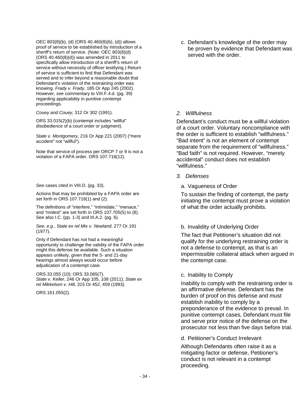OEC 803(8)(b), (d) (ORS 40.460(8)(b), (d)) allows proof of service to be established by introduction of a sheriff's return of service. (Note: OEC 803(8)(d) (ORS 40.460(8)(d)) was amended in 2011 to specifically allow introduction of a sheriff's return of service without necessity of officer testifying.) Return of service is sufficient to find that Defendant was served and to infer beyond a reasonable doubt that Defendant's violation of the restraining order was knowing. *Frady v. Frady*, 185 Or App 245 (2002). However, *see* commentary to VIII.F.4.d. (pg. 39) regarding applicability in punitive contempt proceedings.

*Couey and Couey,* 312 Or 302 (1991).

ORS 33.015(2)(b) (contempt includes "willful" disobedience of a court order or judgment).

*State v. Montgomery,* 216 Or App 221 (2007) ("mere accident" not "willful").

Note that service of process per ORCP 7 or 9 is not a violation of a FAPA order. ORS 107.718(12).

*See* cases cited in VIII.D. (pg. 33).

Actions that may be prohibited by a FAPA order are set forth in ORS 107.718(1) and (2).

The definitions of "interfere," "intimidate," "menace," and "molest" are set forth in ORS 107.705(5) to (8). See also I.C. (pp. 1-3) and III.A.2. (pg. 6).

*See*, *e.g.*, *State ex rel Mix v. Newland*, 277 Or 191 (1977).

Only if Defendant has not had a meaningful opportunity to challenge the validity of the FAPA order might this defense be available. Such a situation appears unlikely, given that the 5- and 21-day hearings almost always would occur before adjudication of a contempt case.

ORS 33.055 (10); ORS 33.065(7). *State v. Keller*, 246 Or App 105, 108 (2011); *State ex rel Mikkelsen v. Hill*, 315 Or 452, 459 (1993).

ORS 161.055(2).

c. Defendant's knowledge of the order may be proven by evidence that Defendant was served with the order.

#### *2. Willfulness*

Defendant's conduct must be a willful violation of a court order. Voluntary noncompliance with the order is sufficient to establish "willfulness." "Bad intent" is not an element of contempt separate from the requirement of "willfulness." "Bad faith" is not required. However, "merely accidental" conduct does not establish "willfulness."

- *3. Defenses*
	- a. Vagueness of Order

To sustain the finding of contempt, the party initiating the contempt must prove a violation of what the order actually prohibits.

#### b. Invalidity of Underlying Order

The fact that Petitioner's situation did not qualify for the underlying restraining order is not a defense to contempt, as that is an impermissible collateral attack when argued in the contempt case.

#### c. Inability to Comply

Inability to comply with the restraining order is an affirmative defense. Defendant has the burden of proof on this defense and must establish inability to comply by a preponderance of the evidence to prevail. In punitive contempt cases, Defendant must file and serve prior notice of the defense on the prosecutor not less than five days before trial.

d. Petitioner's Conduct Irrelevant

Although Defendants often raise it as a mitigating factor or defense, Petitioner's conduct is not relevant in a contempt proceeding.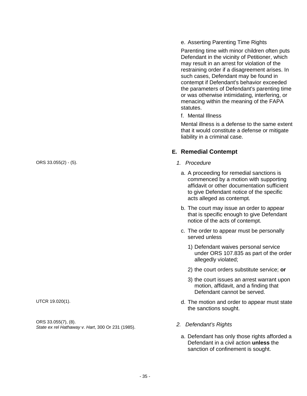e. Asserting Parenting Time Rights

Parenting time with minor children often puts Defendant in the vicinity of Petitioner, which may result in an arrest for violation of the restraining order if a disagreement arises. In such cases, Defendant may be found in contempt if Defendant's behavior exceeded the parameters of Defendant's parenting time or was otherwise intimidating, interfering, or menacing within the meaning of the FAPA statutes.

f. Mental Illness

Mental illness is a defense to the same extent that it would constitute a defense or mitigate liability in a criminal case.

## **E. Remedial Contempt**

- 
- a. A proceeding for remedial sanctions is commenced by a motion with supporting affidavit or other documentation sufficient to give Defendant notice of the specific acts alleged as contempt.
- b. The court may issue an order to appear that is specific enough to give Defendant notice of the acts of contempt.
- c. The order to appear must be personally served unless
	- 1) Defendant waives personal service under ORS 107.835 as part of the order allegedly violated;
	- 2) the court orders substitute service; **or**
	- 3) the court issues an arrest warrant upon motion, affidavit, and a finding that Defendant cannot be served.
- UTCR 19.020(1). UTCR 19.020(1). the sanctions sought.
	- - a. Defendant has only those rights afforded a Defendant in a civil action **unless** the sanction of confinement is sought.

ORS 33.055(2) - (5). *1. Procedure*

ORS 33.055(7), (8). *State ex rel Hathaway v. Hart*, 300 Or 231 (1985). *2. Defendant's Rights*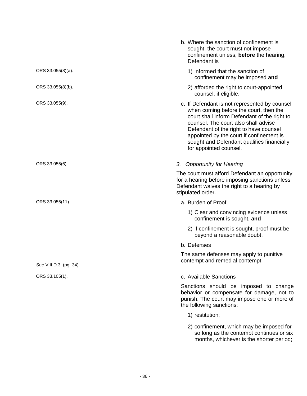|                         | b. Where the sanction of confinement is<br>sought, the court must not impose<br>confinement unless, before the hearing,<br>Defendant is                                                                                                                                                                                                       |
|-------------------------|-----------------------------------------------------------------------------------------------------------------------------------------------------------------------------------------------------------------------------------------------------------------------------------------------------------------------------------------------|
| ORS 33.055(8)(a).       | 1) informed that the sanction of<br>confinement may be imposed and                                                                                                                                                                                                                                                                            |
| ORS 33.055(8)(b).       | 2) afforded the right to court-appointed<br>counsel, if eligible.                                                                                                                                                                                                                                                                             |
| ORS 33.055(9).          | c. If Defendant is not represented by counsel<br>when coming before the court, then the<br>court shall inform Defendant of the right to<br>counsel. The court also shall advise<br>Defendant of the right to have counsel<br>appointed by the court if confinement is<br>sought and Defendant qualifies financially<br>for appointed counsel. |
| ORS 33.055(6).          | 3. Opportunity for Hearing                                                                                                                                                                                                                                                                                                                    |
|                         | The court must afford Defendant an opportunity<br>for a hearing before imposing sanctions unless<br>Defendant waives the right to a hearing by<br>stipulated order.                                                                                                                                                                           |
| ORS 33.055(11).         | a. Burden of Proof                                                                                                                                                                                                                                                                                                                            |
|                         | 1) Clear and convincing evidence unless<br>confinement is sought, and                                                                                                                                                                                                                                                                         |
|                         | 2) if confinement is sought, proof must be<br>beyond a reasonable doubt.                                                                                                                                                                                                                                                                      |
|                         | b. Defenses                                                                                                                                                                                                                                                                                                                                   |
| See VIII.D.3. (pg. 34). | The same defenses may apply to punitive<br>contempt and remedial contempt.                                                                                                                                                                                                                                                                    |
| ORS 33.105(1).          | c. Available Sanctions                                                                                                                                                                                                                                                                                                                        |
|                         | Sanctions should be imposed to change<br>behavior or compensate for damage, not to<br>punish. The court may impose one or more of<br>the following sanctions:                                                                                                                                                                                 |
|                         | 1) restitution;                                                                                                                                                                                                                                                                                                                               |
|                         | 2) confinement, which may be imposed for<br>so long as the contempt continues or six<br>months, whichever is the shorter period;                                                                                                                                                                                                              |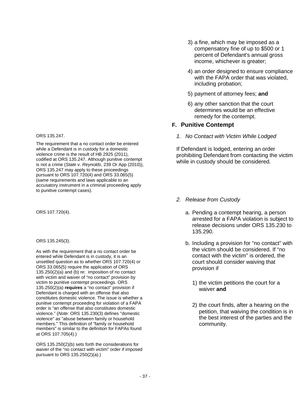ORS 135.247.

The requirement that a no contact order be entered while a Defendant is in custody for a domestic violence crime is the result of HB 2925 (2011), codified at ORS 135.247. Although punitive contempt is not a crime (*State v. Reynolds*, 239 Or App (2010)), ORS 135.247 may apply to these proceedings pursuant to ORS 107.720(4) and ORS 33.065(5) (same requirements and laws applicable to an accusatory instrument in a criminal proceeding apply to punitive contempt cases).

ORS 135.245(3).

As with the requirement that a no contact order be entered while Defendant is in custody, it is an unsettled question as to whether ORS 107.720(4) or ORS 33.065(5) require the application of ORS 135.250(2)(a) and (b) re: imposition of no contact with victim and waiver of "no contact" provision by victim to punitive contempt proceedings. ORS 135.250(2)(a) **requires** a "no contact" provision if Defendant is charged with an offense that also constitutes domestic violence. The issue is whether a punitive contempt proceeding for violation of a FAPA order is "an offense that also constitutes domestic violence." (*Note:* ORS 135.230(3) defines "domestic violence" as "abuse between family or household members." This definition of "family or household members" is similar to the definition for FAPAs found at ORS 107.705(4).)

ORS 135.250(2)(b) sets forth the considerations for waiver of the "no contact with victim" order if imposed pursuant to ORS 135.250(2)(a).)

- 3) a fine, which may be imposed as a compensatory fine of up to \$500 or 1 percent of Defendant's annual gross income, whichever is greater;
- 4) an order designed to ensure compliance with the FAPA order that was violated, including probation;
- 5) payment of attorney fees; **and**
- 6) any other sanction that the court determines would be an effective remedy for the contempt.

#### **F. Punitive Contempt**

*1. No Contact with Victim While Lodged*

If Defendant is lodged, entering an order prohibiting Defendant from contacting the victim while in custody should be considered.

#### *2. Release from Custody*

- ORS 107.720(4). a. Pending a contempt hearing, a person arrested for a FAPA violation is subject to release decisions under ORS 135.230 to 135.290.
	- b. Including a provision for "no contact" with the victim should be considered. If "no contact with the victim" is ordered, the court should consider waiving that provision if
		- 1) the victim petitions the court for a waiver **and**
		- 2) the court finds, after a hearing on the petition, that waiving the condition is in the best interest of the parties and the community.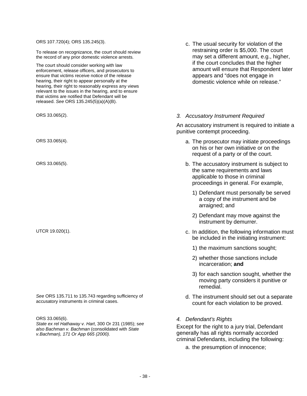ORS 107.720(4); ORS 135.245(3).

To release on recognizance, the court should review the record of any prior domestic violence arrests.

The court should consider working with law enforcement, release officers, and prosecutors to ensure that victims receive notice of the release hearing, their right to appear personally at the hearing, their right to reasonably express any views relevant to the issues in the hearing, and to ensure that victims are notified that Defendant will be released. *See* ORS 135.245(5)(a)(A)(B).

*See* ORS 135.711 to 135.743 regarding sufficiency of accusatory instruments in criminal cases.

ORS 33.065(6).

*State ex rel Hathaway v. Hart*, 300 Or 231 (1985); s*ee also Bachman v. Bachman* (consolidated with *State v.Bachman), 171 Or App 665 (2000).*

c. The usual security for violation of the restraining order is \$5,000. The court may set a different amount, e.g., higher, if the court concludes that the higher amount will ensure that Respondent later appears and "does not engage in domestic violence while on release."

#### ORS 33.065(2). *3. Accusatory Instrument Required*

An accusatory instrument is required to initiate a punitive contempt proceeding.

- ORS 33.065(4). **CONS** 23.065(4). **All 23.065(4). All 23.065(4). All 23.065(4). <b>a.** The prosecutor may initiate proceedings on his or her own initiative or on the request of a party or of the court.
- ORS 33.065(5). b. The accusatory instrument is subject to the same requirements and laws applicable to those in criminal proceedings in general. For example,
	- 1) Defendant must personally be served a copy of the instrument and be arraigned; and
	- 2) Defendant may move against the instrument by demurrer.
- UTCR 19.020(1). UTCR 19.020(1). be included in the initiating instrument:
	- 1) the maximum sanctions sought;
	- 2) whether those sanctions include incarceration; **and**
	- 3) for each sanction sought, whether the moving party considers it punitive or remedial.
	- d. The instrument should set out a separate count for each violation to be proved.

#### *4. Defendant's Rights*

Except for the right to a jury trial, Defendant generally has all rights normally accorded criminal Defendants, including the following:

a. the presumption of innocence;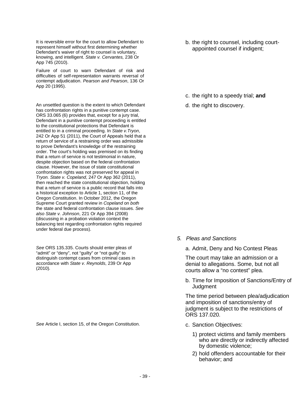It is reversible error for the court to allow Defendant to represent himself without first determining whether Defendant's waiver of right to counsel is voluntary, knowing, and intelligent. *State v. Cervantes,* 238 Or App 745 (2010).

Failure of court to warn Defendant of risk and difficulties of self-representation warrants reversal of contempt adjudication. *Pearson and Pearson*, 136 Or App 20 (1995).

An unsettled question is the extent to which Defendant has confrontation rights in a punitive contempt case. ORS 33.065 (6) provides that, except for a jury trial, Defendant in a punitive contempt proceeding is entitled to the constitutional protections that Defendant is entitled to in a criminal proceeding. In *State v.Tryon*, 242 Or App 51 (2011), the Court of Appeals held that a return of service of a restraining order was admissible to prove Defendant's knowledge of the restraining order. The court's holding was premised on its finding that a return of service is not testimonial in nature, despite objection based on the federal confrontation clause. However, the issue of state constitutional confrontation rights was not preserved for appeal in *Tryon. State v. Copeland*, 247 Or App 362 (2011), then reached the state constitutional objection, holding that a return of service is a public record that falls into a historical exception to Article 1, section 11, of the Oregon Constitution. In October 2012, the Oregon Supreme Court granted review in *Copeland* on *both*  the state and federal confrontation clause issues. *See also State v. Johnson*, 221 Or App 394 (2008) (discussing in a probation violation context the balancing test regarding confrontation rights required under federal due process).

*See* ORS 135.335. Courts should enter pleas of "admit" or "deny", not "guilty" or "not guilty" to distinguish contempt cases from criminal cases in accordance with *State v. Reynolds*, 239 Or App (2010)*.*

See Article I, section 15, of the Oregon Constitution. **c. Sanction Objectives:** 

b. the right to counsel, including courtappointed counsel if indigent;

- c. the right to a speedy trial; **and**
- d. the right to discovery.

- *5. Pleas and Sanctions*
	- a. Admit, Deny and No Contest Pleas

The court may take an admission or a denial to allegations. Some, but not all courts allow a "no contest" plea.

b. Time for Imposition of Sanctions/Entry of **Judgment** 

The time period between plea/adjudication and imposition of sanctions/entry of judgment is subject to the restrictions of ORS 137.020.

- - 1) protect victims and family members who are directly or indirectly affected by domestic violence;
	- 2) hold offenders accountable for their behavior; and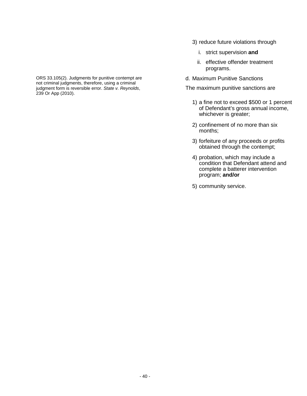- 3) reduce future violations through
	- i. strict supervision **and**
	- ii. effective offender treatment programs.
- d. Maximum Punitive Sanctions

The maximum punitive sanctions are

- 1) a fine not to exceed \$500 or 1 percent of Defendant's gross annual income, whichever is greater;
- 2) confinement of no more than six months;
- 3) forfeiture of any proceeds or profits obtained through the contempt;
- 4) probation, which may include a condition that Defendant attend and complete a batterer intervention program; **and/or**
- 5) community service.

ORS 33.105(2). Judgments for punitive contempt are not criminal judgments, therefore, using a criminal judgment form is reversible error. *State v. Reynolds*, 239 Or App (2010).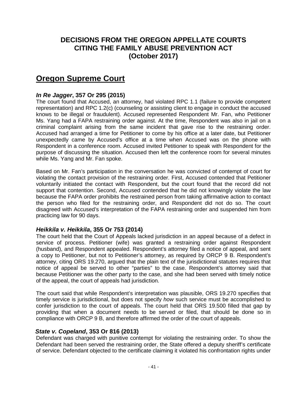## **DECISIONS FROM THE OREGON APPELLATE COURTS CITING THE FAMILY ABUSE PREVENTION ACT (October 2017)**

# **Oregon Supreme Court**

### *In Re Jagger***, 357 Or 295 (2015)**

The court found that Accused, an attorney, had violated RPC 1.1 (failure to provide competent representation) and RPC 1.2(c) (counseling or assisting client to engage in conduct the accused knows to be illegal or fraudulent). Accused represented Respondent Mr. Fan, who Petitioner Ms. Yang had a FAPA restraining order against. At the time, Respondent was also in jail on a criminal complaint arising from the same incident that gave rise to the restraining order. Accused had arranged a time for Petitioner to come by his office at a later date, but Petitioner unexpectedly came by Accused's office at a time when Accused was on the phone with Respondent in a conference room. Accused invited Petitioner to speak with Respondent for the purpose of discussing the situation. Accused then left the conference room for several minutes while Ms. Yang and Mr. Fan spoke.

Based on Mr. Fan's participation in the conversation he was convicted of contempt of court for violating the contact provision of the restraining order. First, Accused contended that Petitioner voluntarily initiated the contact with Respondent, but the court found that the record did not support that contention. Second, Accused contended that he did not knowingly violate the law because the FAPA order prohibits the restrained person from taking affirmative action to contact the person who filed for the restraining order, and Respondent did not do so. The court disagreed with Accused's interpretation of the FAPA restraining order and suspended him from practicing law for 90 days.

#### *Heikkila v. Heikkila***, 355 Or 753 (2014)**

The court held that the Court of Appeals lacked jurisdiction in an appeal because of a defect in service of process. Petitioner (wife) was granted a restraining order against Respondent (husband), and Respondent appealed. Respondent's attorney filed a notice of appeal, and sent a copy to Petitioner, but not to Petitioner's attorney, as required by ORCP 9 B. Respondent's attorney, citing ORS 19.270, argued that the plain text of the jurisdictional statutes requires that notice of appeal be served to other "parties" to the case. Respondent's attorney said that because Petitioner was the other party to the case, and she had been served with timely notice of the appeal, the court of appeals had jurisdiction.

The court said that while Respondent's interpretation was plausible, ORS 19.270 specifies that timely service is jurisdictional, but does not specify *how* such service must be accomplished to confer jurisdiction to the court of appeals. The court held that ORS 19.500 filled that gap by providing that when a document needs to be served or filed, that should be done so in compliance with ORCP 9 B, and therefore affirmed the order of the court of appeals.

### *State v. Copeland***, 353 Or 816 (2013)**

Defendant was charged with punitive contempt for violating the restraining order. To show the Defendant had been served the restraining order, the State offered a deputy sheriff's certificate of service. Defendant objected to the certificate claiming it violated his confrontation rights under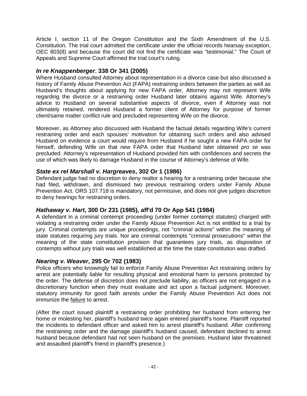Article I, section 11 of the Oregon Constitution and the Sixth Amendment of the U.S. Constitution. The trial court admitted the certificate under the official records hearsay exception, OEC 803(8) and because the court did not find the certificate was "testimonial." The Court of Appeals and Supreme Court affirmed the trial court's ruling.

### *In re Knappenberger*, **338 Or 341 (2005)**

Where Husband consulted Attorney about representation in a divorce case but also discussed a history of Family Abuse Prevention Act (FAPA) restraining orders between the parties as well as Husband's thoughts about applying for new FAPA order, Attorney may not represent Wife regarding the divorce or a restraining order Husband later obtains against Wife. Attorney's advice to Husband on several substantive aspects of divorce, even if Attorney was not ultimately retained, rendered Husband a former client of Attorney for purpose of former client/same matter conflict rule and precluded representing Wife on the divorce.

Moreover, as Attorney also discussed with Husband the factual details regarding Wife's current restraining order and each spouses' motivation for obtaining such orders and also advised Husband on evidence a court would require from Husband if he sought a new FAPA order for himself, defending Wife on that new FAPA order that Husband later obtained *pro se* was precluded. Attorney's representation of Husband provided him with confidences and secrets the use of which was likely to damage Husband in the course of Attorney's defense of Wife.

## *State ex rel Marshall v. Hargreaves***, 302 Or 1 (1986)**

Defendant judge had no discretion to deny realtor a hearing for a restraining order because she had filed, withdrawn, and dismissed two previous restraining orders under Family Abuse Prevention Act. ORS 107.718 is mandatory, not permissive, and does not give judges discretion to deny hearings for restraining orders.

### *Hathaway v. Hart***, 300 Or 231 (1985), aff'd 70 Or App 541 (1984)**

A defendant in a criminal contempt proceeding (under former contempt statutes) charged with violating a restraining order under the Family Abuse Prevention Act is not entitled to a trial by jury. Criminal contempts are unique proceedings, not "criminal actions" within the meaning of state statutes requiring jury trials. Nor are criminal contempts "criminal prosecutions" within the meaning of the state constitution provision that guarantees jury trials, as disposition of contempts without jury trials was well established at the time the state constitution was drafted.

### *Nearing v. Weaver***, 295 Or 702 (1983)**

Police officers who knowingly fail to enforce Family Abuse Prevention Act restraining orders by arrest are potentially liable for resulting physical and emotional harm to persons protected by the order. The defense of discretion does not preclude liability, as officers are not engaged in a discretionary function when they must evaluate and act upon a factual judgment. Moreover, statutory immunity for good faith arrests under the Family Abuse Prevention Act does not immunize the failure to arrest.

(After the court issued plaintiff a restraining order prohibiting her husband from entering her home or molesting her, plaintiff's husband twice again entered plaintiff's home. Plaintiff reported the incidents to defendant officer and asked him to arrest plaintiff's husband. After confirming the restraining order and the damage plaintiff's husband caused, defendant declined to arrest husband because defendant had not seen husband on the premises. Husband later threatened and assaulted plaintiff's friend in plaintiff's presence.)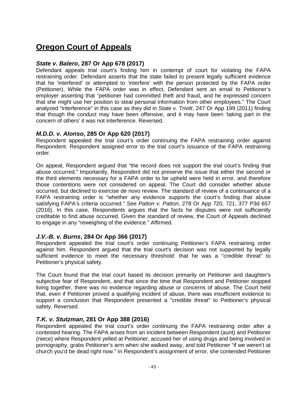# **Oregon Court of Appeals**

### *State v. Balero***, 287 Or App 678 (2017)**

Defendant appeals trial court's finding him in contempt of court for violating the FAPA restraining order. Defendant asserts that the state failed to present legally sufficient evidence that he 'interfered' or attempted to 'interfere' with the person protected by the FAPA order (Petitioner). While the FAPA order was in effect, Defendant sent an email to Petitioner's employer asserting that "petitioner had committed theft and fraud, and he expressed concern that she might use her position to steal personal information from other employees." The Court analyzed "interference" in this case as they did in *State v. Trivitt*, 247 Or App 199 (2011) finding that though the conduct may have been offensive, and it may have been 'taking part in the concern of others' it was not interference. Reversed.

## *M.D.D. v. Alonso***, 285 Or App 620 (2017)**

Respondent appealed the trial court's order continuing the FAPA restraining order against Respondent. Respondent assigned error to the trial court's issuance of the FAPA restraining order.

On appeal, Respondent argued that "the record does not support the trial court's finding that abuse occurred." Importantly, Respondent did not preserve the issue that either the second or the third elements necessary for a FAPA order to be upheld were held in error, and therefore those contentions were not considered on appeal. The Court did consider whether abuse occurred, but declined to exercise de novo review. The standard of review of a continuance of a FAPA restraining order is "whether any evidence supports the court's finding that abuse satisfying FAPA's criteria occurred." *See Patton v. Patton*, 278 Or App 720, 721, 377 P3d 657 (2016). In this case, Respondents argues that the facts he disputes were not sufficiently creditable to find abuse occurred. Given the standard of review, the Court of Appeals declined to engage in any "reweighing of the evidence." Affirmed.

## *J.V.-B. v. Burns***, 284 Or App 366 (2017)**

Respondent appealed the trial court's order continuing Petitioner's FAPA restraining order against him. Respondent argued that the trial court's decision was not supported by legally sufficient evidence to meet the necessary threshold: that he was a "credible threat" to Petitioner's physical safety.

The Court found that the trial court based its decision primarily on Petitioner and daughter's subjective fear of Respondent, and that since the time that Respondent and Petitioner stopped living together, there was no evidence regarding abuse or concerns of abuse. The Court held that, even if Petitioner proved a qualifying incident of abuse, there was insufficient evidence to support a conclusion that Respondent presented a "credible threat" to Petitioner's physical safety. Reversed.

## *T.K. v. Stutzman***, 281 Or App 388 (2016)**

Respondent appealed the trial court's order continuing the FAPA restraining order after a contested hearing. The FAPA arises from an incident between Respondent (aunt) and Petitioner (niece) where Respondent yelled at Petitioner, accused her of using drugs and being involved in pornography, grabs Petitioner's arm when she walked away, and told Petitioner "if we weren't at church you'd be dead right now." In Respondent's assignment of error, she contended Petitioner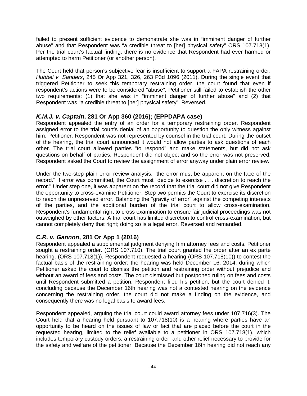failed to present sufficient evidence to demonstrate she was in "imminent danger of further abuse" and that Respondent was "a credible threat to [her] physical safety" ORS 107.718(1). Per the trial court's factual finding, there is no evidence that Respondent had ever harmed or attempted to harm Petitioner (or another person).

The Court held that person's subjective fear is insufficient to support a FAPA restraining order. *Hubbel v. Sanders*, 245 Or App 321, 326, 263 P3d 1096 (2011). During the single event that triggered Petitioner to seek this temporary restraining order, the court found that even if respondent's actions were to be considered "abuse", Petitioner still failed to establish the other two requirements: (1) that she was in "imminent danger of further abuse" and (2) that Respondent was "a credible threat to [her] physical safety". Reversed.

## *K.M.J. v. Captain***, 281 Or App 360 (2016); (EPPDAPA case)**

Respondent appealed the entry of an order for a temporary restraining order. Respondent assigned error to the trial court's denial of an opportunity to question the only witness against him, Petitioner. Respondent was not represented by counsel in the trial court. During the outset of the hearing, the trial court announced it would not allow parties to ask questions of each other. The trial court allowed parties "to respond" and make statements, but did not ask questions on behalf of parties. Respondent did not object and so the error was not preserved. Respondent asked the Court to review the assignment of error anyway under plain error review.

Under the two-step plain error review analysis, "the error must be apparent on the face of the record." If error was committed, the Court must "decide to exercise . . . discretion to reach the error." Under step one, it was apparent on the record that the trial court did not give Respondent the opportunity to cross-examine Petitioner. Step two permits the Court to exercise its discretion to reach the unpreserved error. Balancing the "gravity of error" against the competing interests of the parties, and the additional burden of the trial court to allow cross-examination, Respondent's fundamental right to cross examination to ensure fair judicial proceedings was not outweighed by other factors. A trial court has limited discretion to control cross-examination, but cannot completely deny that right; doing so is a legal error. Reversed and remanded.

## *C.R. v. Gannon***, 281 Or App 1 (2016)**

Respondent appealed a supplemental judgment denying him attorney fees and costs. Petitioner sought a restraining order. (ORS 107.710). The trial court granted the order after an ex parte hearing. (ORS 107.718(1)). Respondent requested a hearing (ORS 107.718(10)) to contest the factual basis of the restraining order; the hearing was held December 16, 2014, during which Petitioner asked the court to dismiss the petition and restraining order without prejudice and without an award of fees and costs. The court dismissed but postponed ruling on fees and costs until Respondent submitted a petition. Respondent filed his petition, but the court denied it, concluding because the December 16th hearing was not a contested hearing on the evidence concerning the restraining order, the court did not make a finding on the evidence, and consequently there was no legal basis to award fees.

Respondent appealed, arguing the trial court could award attorney fees under 107.716(3). The Court held that a hearing held pursuant to 107.718(10) is a hearing where parties have an opportunity to be heard on the issues of law or fact that are placed before the court in the requested hearing, limited to the relief available to a petitioner in ORS 107.718(1), which includes temporary custody orders, a restraining order, and other relief necessary to provide for the safety and welfare of the petitioner. Because the December 16th hearing did not reach any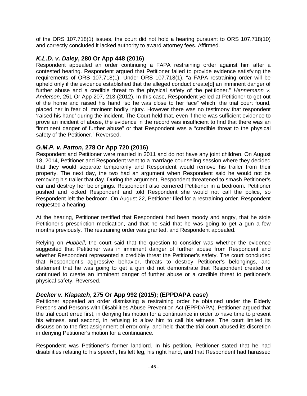of the ORS 107.718(1) issues, the court did not hold a hearing pursuant to ORS 107.718(10) and correctly concluded it lacked authority to award attorney fees. Affirmed.

## *K.L.D. v. Daley***, 280 Or App 448 (2016)**

Respondent appealed an order continuing a FAPA restraining order against him after a contested hearing. Respondent argued that Petitioner failed to provide evidence satisfying the requirements of ORS 107.718(1). Under ORS 107.718(1), "a FAPA restraining order will be upheld only if the evidence established that the alleged conduct create[d] an imminent danger of further abuse and a credible threat to the physical safety of the petitioner." *Hannemann v. Anderson*, 251 Or App 207, 213 (2012). In this case, Respondent yelled at Petitioner to get out of the home and raised his hand "so he was close to her face" which, the trial court found, placed her in fear of imminent bodily injury. However there was no testimony that respondent 'raised his hand' during the incident. The Court held that, even if there was sufficient evidence to prove an incident of abuse, the evidence in the record was insufficient to find that there was an "imminent danger of further abuse" or that Respondent was a "credible threat to the physical safety of the Petitioner." Reversed.

## *G.M.P. v. Patton***, 278 Or App 720 (2016)**

Respondent and Petitioner were married in 2011 and do not have any joint children. On August 18, 2014, Petitioner and Respondent went to a marriage counseling session where they decided that they would separate temporarily and Respondent would remove his trailer from their property. The next day, the two had an argument when Respondent said he would not be removing his trailer that day. During the argument, Respondent threatened to smash Petitioner's car and destroy her belongings. Respondent also cornered Petitioner in a bedroom. Petitioner pushed and kicked Respondent and told Respondent she would not call the police, so Respondent left the bedroom. On August 22, Petitioner filed for a restraining order. Respondent requested a hearing.

At the hearing, Petitioner testified that Respondent had been moody and angry, that he stole Petitioner's prescription medication, and that he said that he was going to get a gun a few months previously. The restraining order was granted, and Respondent appealed.

Relying on *Hubbell*, the court said that the question to consider was whether the evidence suggested that Petitioner was in imminent danger of further abuse from Respondent and whether Respondent represented a credible threat the Petitioner's safety. The court concluded that Respondent's aggressive behavior, threats to destroy Petitioner's belongings, and statement that he was going to get a gun did not demonstrate that Respondent created or continued to create an imminent danger of further abuse or a credible threat to petitioner's physical safety. Reversed.

### *Decker v. Klapatch***, 275 Or App 992 (2015); (EPPDAPA case)**

Petitioner appealed an order dismissing a restraining order he obtained under the Elderly Persons and Persons with Disabilities Abuse Prevention Act (EPPDAPA). Petitioner argued that the trial court erred first, in denying his motion for a continuance in order to have time to present his witness, and second, in refusing to allow him to call his witness. The court limited its discussion to the first assignment of error only, and held that the trial court abused its discretion in denying Petitioner's motion for a continuance.

Respondent was Petitioner's former landlord. In his petition, Petitioner stated that he had disabilities relating to his speech, his left leg, his right hand, and that Respondent had harassed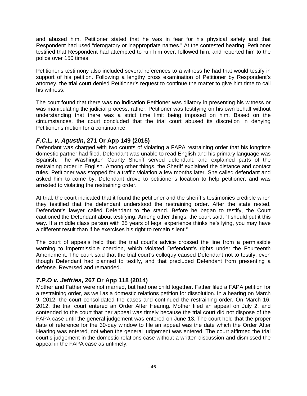and abused him. Petitioner stated that he was in fear for his physical safety and that Respondent had used "derogatory or inappropriate names." At the contested hearing, Petitioner testified that Respondent had attempted to run him over, followed him, and reported him to the police over 150 times.

Petitioner's testimony also included several references to a witness he had that would testify in support of his petition. Following a lengthy cross examination of Petitioner by Respondent's attorney, the trial court denied Petitioner's request to continue the matter to give him time to call his witness.

The court found that there was no indication Petitioner was dilatory in presenting his witness or was manipulating the judicial process; rather, Petitioner was testifying on his own behalf without understanding that there was a strict time limit being imposed on him. Based on the circumstances, the court concluded that the trial court abused its discretion in denying Petitioner's motion for a continuance.

## *F.C.L. v. Agustin***, 271 Or App 149 (2015)**

Defendant was charged with two counts of violating a FAPA restraining order that his longtime domestic partner had filed. Defendant was unable to read English and his primary language was Spanish. The Washington County Sheriff served defendant, and explained parts of the restraining order in English. Among other things, the Sheriff explained the distance and contact rules. Petitioner was stopped for a traffic violation a few months later. She called defendant and asked him to come by. Defendant drove to petitioner's location to help petitioner, and was arrested to violating the restraining order.

At trial, the court indicated that it found the petitioner and the sheriff's testimonies credible when they testified that the defendant understood the restraining order. After the state rested, Defendant's lawyer called Defendant to the stand. Before he began to testify, the Court cautioned the Defendant about testifying. Among other things, the court said: "I should put it this way. If a middle class person with 35 years of legal experience thinks he's lying, you may have a different result than if he exercises his right to remain silent."

The court of appeals held that the trial court's advice crossed the line from a permissible warning to impermissible coercion, which violated Defendant's rights under the Fourteenth Amendment. The court said that the trial court's colloquy caused Defendant not to testify, even though Defendant had planned to testify, and that precluded Defendant from presenting a defense. Reversed and remanded.

## *T.P.O v. Jeffries***, 267 Or App 118 (2014)**

Mother and Father were not married, but had one child together. Father filed a FAPA petition for a restraining order, as well as a domestic relations petition for dissolution. In a hearing on March 9, 2012, the court consolidated the cases and continued the restraining order. On March 16, 2012, the trial court entered an Order After Hearing. Mother filed an appeal on July 2, and contended to the court that her appeal was timely because the trial court did not dispose of the FAPA case until the general judgement was entered on June 13. The court held that the proper date of reference for the 30-day window to file an appeal was the date which the Order After Hearing was entered, not when the general judgement was entered. The court affirmed the trial court's judgement in the domestic relations case without a written discussion and dismissed the appeal in the FAPA case as untimely.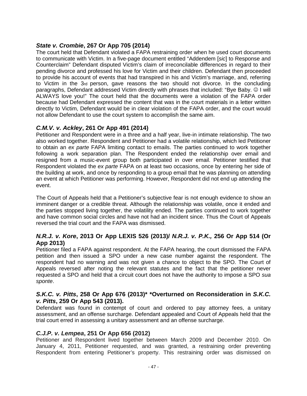## *State v. Crombie***, 267 Or App 705 (2014)**

The court held that Defendant violated a FAPA restraining order when he used court documents to communicate with Victim. In a five-page document entitled "Addendem [*sic*] to Response and Counterclaim" Defendant disputed Victim's claim of irreconcilable differences in regard to their pending divorce and professed his love for Victim and their children. Defendant then proceeded to provide his account of events that had transpired in his and Victim's marriage, and, referring to Victim in the 3rd person, gave reasons the two should not divorce. In the concluding paragraphs, Defendant addressed Victim directly with phrases that included: "Bye Baby.  $\circledcirc$  I will ALWAYS love you!" The court held that the documents were a violation of the FAPA order because had Defendant expressed the content that was in the court materials in a letter written directly to Victim, Defendant would be in clear violation of the FAPA order, and the court would not allow Defendant to use the court system to accomplish the same aim.

## *C.M.V. v. Ackley***, 261 Or App 491 (2014)**

Petitioner and Respondent were in a three and a half year, live-in intimate relationship. The two also worked together. Respondent and Petitioner had a volatile relationship, which led Petitioner to obtain an *ex parte* FAPA limiting contact to emails. The parties continued to work together following a work separation plan. The Respondent ended the relationship over email and resigned from a music-event group both participated in over email. Petitioner testified that Respondent violated the *ex parte* FAPA on at least two occasions, once by entering her side of the building at work, and once by responding to a group email that he was planning on attending an event at which Petitioner was performing. However, Respondent did not end up attending the event.

The Court of Appeals held that a Petitioner's subjective fear is not enough evidence to show an imminent danger or a credible threat. Although the relationship was volatile, once it ended and the parties stopped living together, the volatility ended. The parties continued to work together and have common social circles and have not had an incident since. Thus the Court of Appeals reversed the trial court and the FAPA was dismissed.

### *N.R.J. v. Kore***, 2013 Or App LEXIS 526 (2013)/** *N.R.J. v. P.K.,* **256 Or App 514 (Or App 2013)**

Petitioner filed a FAPA against respondent. At the FAPA hearing, the court dismissed the FAPA petition and then issued a SPO under a new case number against the respondent. The respondent had no warning and was not given a chance to object to the SPO. The Court of Appeals reversed after noting the relevant statutes and the fact that the petitioner never requested a SPO and held that a circuit court does not have the authority to impose a SPO *sua sponte*.

#### *S.K.C. v. Pitts***, 258 Or App 676 (2013)\* \*Overturned on Reconsideration in** *S.K.C. v. Pitts***, 259 Or App 543 (2013).**

Defendant was found in contempt of court and ordered to pay attorney fees, a unitary assessment, and an offense surcharge. Defendant appealed and Court of Appeals held that the trial court erred in assessing a unitary assessment and an offense surcharge.

### *C.J.P. v. Lempea***, 251 Or App 656 (2012)**

Petitioner and Respondent lived together between March 2009 and December 2010. On January 4, 2011, Petitioner requested, and was granted, a restraining order preventing Respondent from entering Petitioner's property. This restraining order was dismissed on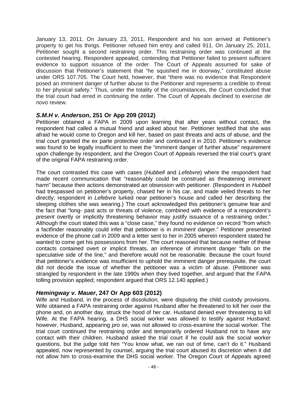January 13, 2011. On January 23, 2011, Respondent and his son arrived at Petitioner's property to get his things. Petitioner refused him entry and called 911. On January 25, 2011, Petitioner sought a second restraining order. This restraining order was continued at the contested hearing. Respondent appealed, contending that Petitioner failed to present sufficient evidence to support issuance of the order. The Court of Appeals assumed for sake of discussion that Petitioner's statement that "he squished me in doorway," constituted abuse under ORS 107.705. The Court held, however, that "there was no evidence that Respondent posed an imminent danger of further abuse to the Petitioner and represents a credible to threat to her physical safety." Thus, under the totality of the circumstances, the Court concluded that the trial court had erred in continuing the order. The Court of Appeals declined to exercise *de novo* review.

#### *S.M.H v. Anderson***, 251 Or App 209 (2012)**

Petitioner obtained a FAPA in 2009 upon learning that after years without contact, the respondent had called a mutual friend and asked about her. Petitioner testified that she was afraid he would come to Oregon and kill her, based on past threats and acts of abuse, and the trial court granted the ex parte protective order and continued it in 2010. Petitioner's evidence was found to be legally insufficient to meet the "imminent danger of further abuse" requirement upon challenge by respondent, and the Oregon Court of Appeals reversed the trial court's grant of the original FAPA restraining order.

The court contrasted this case with cases (*Hubbell* and *Lefebvre*) where the respondent had made recent communication that "reasonably could be construed as threatening imminent harm" because their actions demonstrated an obsession with petitioner. (Respondent in *Hubbell*  had trespassed on petitioner's property, chased her in his car, and made veiled threats to her directly; respondent in *Lefebvre* lurked near petitioner's house and called her describing the sleeping clothes she was wearing.) The court acknowledged this petitioner's genuine fear and the fact that "long- past acts or threats of violence, combined with evidence of a respondent's *present* overtly or implicitly threatening behavior may justify issuance of a restraining order." Although the court stated this was a "close case," they found no evidence on record "from which a factfinder reasonably could infer that petitioner is in *imminent* danger." Petitioner presented evidence of the phone call in 2009 and a letter sent to her in 2005 wherein respondent stated he wanted to come get his possessions from her. The court reasoned that because neither of these contacts contained overt or implicit threats, an inference of imminent danger "falls on the speculative side of the line," and therefore would not be reasonable. Because the court found that petitioner's evidence was insufficient to uphold the imminent danger prerequisite, the court did not decide the issue of whether the petitioner was a victim of abuse. (Petitioner was strangled by respondent in the late 1990s when they lived together, and argued that the FAPA tolling provision applied; respondent argued that ORS 12.140 applied.)

### *Hemingway v. Mauer***, 247 Or App 603 (2012)**

Wife and Husband, in the process of dissolution, were disputing the child custody provisions. Wife obtained a FAPA restraining order against Husband after he threatened to kill her over the phone and, on another day, struck the hood of her car. Husband denied ever threatening to kill Wife. At the FAPA hearing, a DHS social worker was allowed to testify against Husband; however, Husband, appearing *pro se*, was not allowed to cross-examine the social worker. The trial court continued the restraining order and temporarily ordered Husband not to have any contact with their children. Husband asked the trial court if he could ask the social worker questions, but the judge told him "You know what, we ran out of time, can't do it." Husband appealed, now represented by counsel, arguing the trial court abused its discretion when it did not allow him to cross-examine the DHS social worker. The Oregon Court of Appeals agreed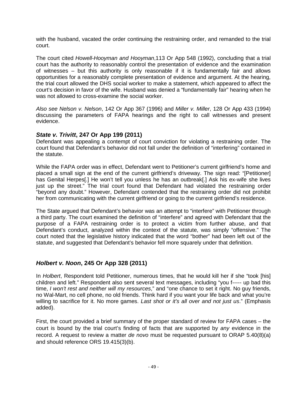with the husband, vacated the order continuing the restraining order, and remanded to the trial court.

The court cited *Howell-Hooyman and Hooyman*,113 Or App 548 (1992), concluding that a trial court has the authority to reasonably control the presentation of evidence and the examination of witnesses – but this authority is only reasonable if it is fundamentally fair and allows opportunities for a reasonably complete presentation of evidence and argument. At the hearing, the trial court allowed the DHS social worker to make a statement, which appeared to affect the court's decision in favor of the wife. Husband was denied a "fundamentally fair" hearing when he was not allowed to cross-examine the social worker.

*Also see Nelson v. Nelson*, 142 Or App 367 (1996) and *Miller v. Miller*, 128 Or App 433 (1994) discussing the parameters of FAPA hearings and the right to call witnesses and present evidence.

### *State v. Trivitt***, 247 Or App 199 (2011)**

Defendant was appealing a contempt of court conviction for violating a restraining order. The court found that Defendant's behavior did not fall under the definition of "interfering" contained in the statute.

While the FAPA order was in effect, Defendant went to Petitioner's current girlfriend's home and placed a small sign at the end of the current girlfriend's driveway. The sign read: "[Petitioner] has Genital Herpes[.] He won't tell you unless he has an outbreak[.] Ask his ex-wife she lives just up the street." The trial court found that Defendant had violated the restraining order "beyond any doubt." However, Defendant contended that the restraining order did not prohibit her from communicating with the current girlfriend or going to the current girlfriend's residence.

The State argued that Defendant's behavior was an attempt to "interfere" with Petitioner through a third party. The court examined the definition of "interfere" and agreed with Defendant that the purpose of a FAPA restraining order is to protect a victim from further abuse, and that Defendant's conduct, analyzed within the context of the statute, was simply "offensive." The court noted that the legislative history indicated that the word "bother" had been left out of the statute, and suggested that Defendant's behavior fell more squarely under that definition.

### *Holbert v. Noon***, 245 Or App 328 (2011)**

In *Holbert*, Respondent told Petitioner, numerous times, that he would kill her if she "took [his] children and left." Respondent also sent several text messages, including "you f----- up bad this time, *I won't rest and neither will my resources*," and "one chance to set it right. No guy friends, no Wal-Mart, no cell phone, no old friends. Think hard if you want your life back and what you're willing to sacrifice for it. No more games. *Last shot or it's all over and not just us*." (Emphasis added).

First, the court provided a brief summary of the proper standard of review for FAPA cases – the court is bound by the trial court's finding of facts that are supported by *any* evidence in the record. A request to review a matter *de novo* must be requested pursuant to ORAP 5.40(8)(a) and should reference ORS 19.415(3)(b).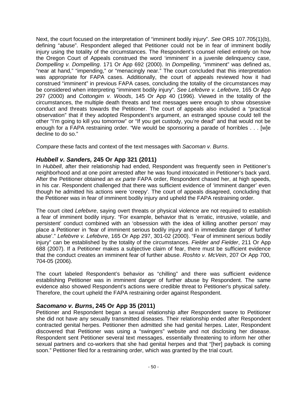Next, the court focused on the interpretation of "imminent bodily injury". *See* ORS 107.705(1)(b), defining "abuse". Respondent alleged that Petitioner could not be in fear of imminent bodily injury using the totality of the circumstances. The Respondent's counsel relied entirely on how the Oregon Court of Appeals construed the word 'imminent' in a juvenile delinquency case, *Dompelling v. Dompelling*. 171 Or App 692 (2000). In *Dompelling*, "imminent" was defined as, "near at hand," "impending," or "menacingly near." The court concluded that this interpretation was appropriate for FAPA cases. Additionally, the court of appeals reviewed how it had construed "imminent" in previous FAPA cases, concluding the totality of the circumstances may be considered when interpreting "imminent bodily injury". *See Lefebvre v. Lefebvre*, 165 Or App 297 (2000) and *Cottongim v. Woods*, 145 Or App 40 (1996). Viewed in the totality of the circumstances, the multiple death threats and text messages were enough to show obsessive conduct and threats towards the Petitioner. The court of appeals also included a "practical observation" that if they adopted Respondent's argument, an estranged spouse could tell the other "I'm going to kill you tomorrow" or "If you get custody, you're dead" and that would not be enough for a FAPA restraining order. "We would be sponsoring a parade of horribles . . . [w]e decline to do so."

*Compare* these facts and context of the text messages with *Sacoman v. Burns*.

## *Hubbell v. Sanders,* **245 Or App 321 (2011)**

In *Hubbell*, after their relationship had ended, Respondent was frequently seen in Petitioner's neighborhood and at one point arrested after he was found intoxicated in Petitioner's back yard. After the Petitioner obtained an *ex parte* FAPA order, Respondent chased her, at high speeds, in his car. Respondent challenged that there was sufficient evidence of 'imminent danger' even though he admitted his actions were 'creepy'. The court of appeals disagreed, concluding that the Petitioner was in fear of imminent bodily injury and upheld the FAPA restraining order.

The court cited *Lefebvre*, saying overt threats or physical violence are not required to establish a fear of imminent bodily injury. "For example, behavior that is 'erratic, intrusive, volatile, and persistent' conduct combined with an 'obsession with the idea of killing another person' may place a Petitioner in 'fear of imminent serious bodily injury and in immediate danger of further abuse'." *Lefebvre v. Lefebvre*, 165 Or App 297, 301-02 (2000). "Fear of imminent serious bodily injury" can be established by the totality of the circumstances. *Fielder and Fielder*, 211 Or App 688 (2007). If a Petitioner makes a subjective claim of fear, there must be sufficient evidence that the conduct creates an imminent fear of further abuse. *Roshto v. McVein*, 207 Or App 700, 704-05 (2006).

The court labeled Respondent's behavior as "chilling" and there was sufficient evidence establishing Petitioner was in imminent danger of further abuse by Respondent. The same evidence also showed Respondent's actions were credible threat to Petitioner's physical safety. Therefore, the court upheld the FAPA restraining order against Respondent.

### *Sacomano v. Burns***, 245 Or App 35 (2011)**

Petitioner and Respondent began a sexual relationship after Respondent swore to Petitioner she did not have any sexually transmitted diseases. Their relationship ended after Respondent contracted genital herpes. Petitioner then admitted she had genital herpes. Later, Respondent discovered that Petitioner was using a "swingers" website and not disclosing her disease. Respondent sent Petitioner several text messages, essentially threatening to inform her other sexual partners and co-workers that she had genital herpes and that "[her] payback is coming soon." Petitioner filed for a restraining order, which was granted by the trial court.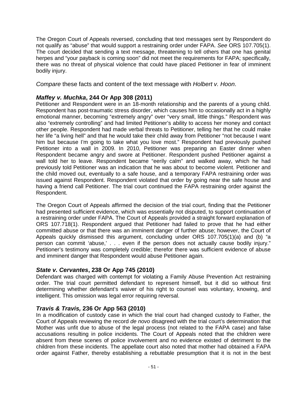The Oregon Court of Appeals reversed, concluding that text messages sent by Respondent do not qualify as "abuse" that would support a restraining order under FAPA. *See* ORS 107.705(1). The court decided that sending a text message, threatening to tell others that one has genital herpes and "your payback is coming soon" did not meet the requirements for FAPA; specifically, there was no threat of physical violence that could have placed Petitioner in fear of imminent bodily injury.

*Compare* these facts and content of the text message with *Holbert v. Hoon*.

## *Maffey v. Muchka***, 244 Or App 308 (2011)**

Petitioner and Respondent were in an 18-month relationship and the parents of a young child. Respondent has post-traumatic stress disorder, which causes him to occasionally act in a highly emotional manner, becoming "extremely angry" over "very small, little things." Respondent was also "extremely controlling" and had limited Petitioner's ability to access her money and contact other people. Respondent had made verbal threats to Petitioner, telling her that he could make her life "a living hell" and that he would take their child away from Petitioner "not because I want him but because I'm going to take what you love most." Respondent had previously pushed Petitioner into a wall in 2009. In 2010, Petitioner was preparing an Easter dinner when Respondent became angry and swore at Petitioner. Respondent pushed Petitioner against a wall told her to leave. Respondent became "eerily calm" and walked away, which he had previously told Petitioner was an indication that he was about to become violent. Petitioner and the child moved out, eventually to a safe house, and a temporary FAPA restraining order was issued against Respondent. Respondent violated that order by going near the safe house and having a friend call Petitioner. The trial court continued the FAPA restraining order against the Respondent.

The Oregon Court of Appeals affirmed the decision of the trial court, finding that the Petitioner had presented sufficient evidence, which was essentially not disputed, to support continuation of a restraining order under FAPA. The Court of Appeals provided a straight forward explanation of ORS 107.718(1). Respondent argued that Petitioner had failed to prove that he had either committed abuse or that there was an imminent danger of further abuse; however, the Court of Appeals quickly dismissed this argument, concluding under ORS 107.705(1)(a) and (b) "a person can commit 'abuse,' . . . even if the person does not actually cause bodily injury." Petitioner's testimony was completely credible; therefor there was sufficient evidence of abuse and imminent danger that Respondent would abuse Petitioner again.

### *State v. Cervantes***, 238 Or App 745 (2010)**

Defendant was charged with contempt for violating a Family Abuse Prevention Act restraining order. The trial court permitted defendant to represent himself, but it did so without first determining whether defendant's waiver of his right to counsel was voluntary, knowing, and intelligent. This omission was legal error requiring reversal.

### *Travis & Travis,* **236 Or App 563 (2010)**

In a modification of custody case in which the trial court had changed custody to Father, the Court of Appeals reviewing the record *de novo* disagreed with the trial court's determination that Mother was unfit due to abuse of the legal process (not related to the FAPA case) and false accusations resulting in police incidents. The Court of Appeals noted that the children were absent from these scenes of police involvement and no evidence existed of detriment to the children from these incidents. The appellate court also noted that mother had obtained a FAPA order against Father, thereby establishing a rebuttable presumption that it is not in the best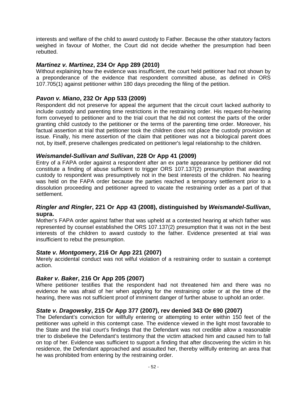interests and welfare of the child to award custody to Father. Because the other statutory factors weighed in favour of Mother, the Court did not decide whether the presumption had been rebutted.

#### *Martinez v. Martinez***, 234 Or App 289 (2010)**

Without explaining how the evidence was insufficient, the court held petitioner had not shown by a preponderance of the evidence that respondent committed abuse, as defined in ORS 107.705(1) against petitioner within 180 days preceding the filing of the petition.

#### *Pavon v. Miano***, 232 Or App 533 (2009)**

Respondent did not preserve for appeal the argument that the circuit court lacked authority to include custody and parenting time restrictions in the restraining order. His request-for-hearing form conveyed to petitioner and to the trial court that he did not contest the parts of the order granting child custody to the petitioner or the terms of the parenting time order. Moreover, his factual assertion at trial that petitioner took the children does not place the custody provision at issue. Finally, his mere assertion of the claim that petitioner was not a biological parent does not, by itself, preserve challenges predicated on petitioner's legal relationship to the children.

#### *Weismandel-Sullivan and Sullivan***, 228 Or App 41 (2009)**

Entry of a FAPA order against a respondent after an ex parte appearance by petitioner did not constitute a finding of abuse sufficient to trigger ORS 107.137(2) presumption that awarding custody to respondent was presumptively not in the best interests of the children. No hearing was held on the FAPA order because the parties reached a temporary settlement prior to a dissolution proceeding and petitioner agreed to vacate the restraining order as a part of that settlement.

#### *Ringler and Ringler***, 221 Or App 43 (2008), distinguished by** *Weismandel-Sullivan***, supra.**

Mother's FAPA order against father that was upheld at a contested hearing at which father was represented by counsel established the ORS 107.137(2) presumption that it was not in the best interests of the children to award custody to the father. Evidence presented at trial was insufficient to rebut the presumption.

#### *State v. Montgomery***, 216 Or App 221 (2007)**

Merely accidental conduct was not wilful violation of a restraining order to sustain a contempt action.

### *Baker v. Baker***, 216 Or App 205 (2007)**

Where petitioner testifies that the respondent had not threatened him and there was no evidence he was afraid of her when applying for the restraining order or at the time of the hearing, there was not sufficient proof of imminent danger of further abuse to uphold an order.

### *State v. Dragowsky***, 215 Or App 377 (2007), rev denied 343 Or 690 (2007)**

The Defendant's conviction for willfully entering or attempting to enter within 150 feet of the petitioner was upheld in this contempt case. The evidence viewed in the light most favorable to the State and the trial court's findings that the Defendant was not credible allow a reasonable trier to disbelieve the Defendant's testimony that the victim attacked him and caused him to fall on top of her. Evidence was sufficient to support a finding that after discovering the victim in his residence, the Defendant approached and assaulted her, thereby willfully entering an area that he was prohibited from entering by the restraining order.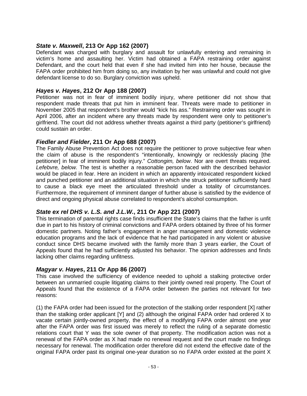#### *State v. Maxwell***, 213 Or App 162 (2007)**

Defendant was charged with burglary and assault for unlawfully entering and remaining in victim's home and assaulting her. Victim had obtained a FAPA restraining order against Defendant, and the court held that even if she had invited him into her house, because the FAPA order prohibited him from doing so, any invitation by her was unlawful and could not give defendant license to do so. Burglary conviction was upheld.

#### *Hayes v. Hayes***, 212 Or App 188 (2007)**

Petitioner was not in fear of imminent bodily injury, where petitioner did not show that respondent made threats that put him in imminent fear. Threats were made to petitioner in November 2005 that respondent's brother would "kick his ass." Restraining order was sought in April 2006, after an incident where any threats made by respondent were only to petitioner's girlfriend. The court did not address whether threats against a third party (petitioner's girlfriend) could sustain an order.

#### *Fiedler and Fielder***, 211 Or App 688 (2007)**

The Family Abuse Prevention Act does not require the petitioner to prove subjective fear when the claim of abuse is the respondent's "intentionally, knowingly or recklessly placing [the petitioner] in fear of imminent bodily injury." *Cottongim, below*. Nor are overt threats required. *Lefebvre, below.* The test is whether a reasonable person faced with the described behavior would be placed in fear. Here an incident in which an apparently intoxicated respondent kicked and punched petitioner and an additional situation in which she struck petitioner sufficiently hard to cause a black eye meet the articulated threshold under a totality of circumstances. Furthermore, the requirement of imminent danger of further abuse is satisfied by the evidence of direct and ongoing physical abuse correlated to respondent's alcohol consumption.

### *State ex rel DHS v. L.S. and J.L.W.***, 211 Or App 221 (2007)**

This termination of parental rights case finds insufficient the State's claims that the father is unfit due in part to his history of criminal convictions and FAPA orders obtained by three of his former domestic partners. Noting father's engagement in anger management and domestic violence education programs and the lack of evidence that he had participated in any violent or abusive conduct since DHS became involved with the family more than 3 years earlier, the Court of Appeals found that he had sufficiently adjusted his behavior. The opinion addresses and finds lacking other claims regarding unfitness.

#### *Magyar v. Hayes***, 211 Or App 86 (2007)**

This case involved the sufficiency of evidence needed to uphold a stalking protective order between an unmarried couple litigating claims to their jointly owned real property. The Court of Appeals found that the existence of a FAPA order between the parties not relevant for two reasons:

(1) the FAPA order had been issued for the protection of the stalking order respondent [X] rather than the stalking order applicant [Y] and (2) although the original FAPA order had ordered X to vacate certain jointly-owned property, the effect of a modifying FAPA order almost one year after the FAPA order was first issued was merely to reflect the ruling of a separate domestic relations court that Y was the sole owner of that property. The modification action was not a renewal of the FAPA order as X had made no renewal request and the court made no findings necessary for renewal. The modification order therefore did not extend the effective date of the original FAPA order past its original one-year duration so no FAPA order existed at the point X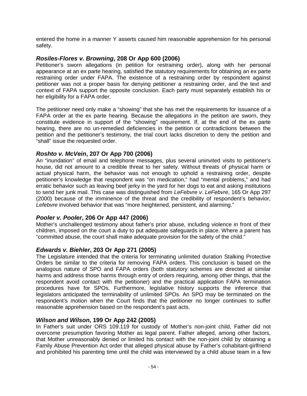entered the home in a manner Y asserts caused him reasonable apprehension for his personal safety.

#### *Rosiles-Flores v. Browning***, 208 Or App 600 (2006)**

Petitioner's sworn allegations (in petition for restraining order), along with her personal appearance at an ex parte hearing, satisfied the statutory requirements for obtaining an ex parte restraining order under FAPA. The existence of a restraining order by respondent against petitioner was not a proper basis for denying petitioner a restraining order, and the text and context of FAPA support the opposite conclusion. Each party must separately establish his or her eligibility for a FAPA order.

The petitioner need only make a "showing" that she has met the requirements for issuance of a FAPA order at the ex parte hearing. Because the allegations in the petition are sworn, they constitute evidence in support of the "showing" requirement. If, at the end of the ex parte hearing, there are no un-remedied deficiencies in the petition or contradictions between the petition and the petitioner's testimony, the trial court lacks discretion to deny the petition and "shall" issue the requested order.

### *Roshto v. McVein***, 207 Or App 700 (2006)**

An "inundation" of email and telephone messages, plus several uninvited visits to petitioner's house, did not amount to a credible threat to her safety. Without threats of physical harm or actual physical harm, the behavior was not enough to uphold a restraining order, despite petitioner's knowledge that respondent was "on medication," had "mental problems," and had erratic behavior such as leaving beef jerky in the yard for her dogs to eat and asking institutions to send her junk mail. This case was distinguished from *LeFebvre v. LeFebvre*, 165 Or App 297 (2000) because of the imminence of the threat and the credibility of respondent's behavior, Lefebvre involved behavior that was "more heightened, persistent, and alarming."

#### *Pooler v. Pooler***, 206 Or App 447 (2006)**

Mother's unchallenged testimony about father's prior abuse, including violence in front of their children, imposed on the court a duty to put adequate safeguards in place. Where a parent has "committed abuse, the court shall make adequate provision for the safety of the child."

#### *Edwards v. Biehler***, 203 Or App 271 (2005)**

The Legislature intended that the criteria for terminating unlimited duration Stalking Protective Orders be similar to the criteria for removing FAPA orders. This conclusion is based on the analogous nature of SPO and FAPA orders (both statutory schemes are directed at similar harms and address those harms through entry of orders requiring, among other things, that the respondent avoid contact with the petitioner) and the practical application FAPA termination procedures have for SPOs. Furthermore, legislative history supports the inference that legislators anticipated the terminability of unlimited SPOs. An SPO may be terminated on the respondent's motion when the Court finds that the petitioner no longer continues to suffer reasonable apprehension based on the respondent's past acts.

#### *Wilson and Wilson***, 199 Or App 242 (2005)**

In Father's suit under ORS 109.119 for custody of Mother's non-joint child, Father did not overcome presumption favoring Mother as legal parent. Father alleged, among other factors, that Mother unreasonably denied or limited his contact with the non-joint child by obtaining a Family Abuse Prevention Act order that alleged physical abuse by Father's cohabitant-girlfriend and prohibited his parenting time until the child was interviewed by a child abuse team in a few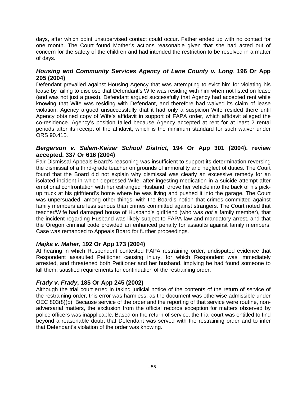days, after which point unsupervised contact could occur. Father ended up with no contact for one month. The Court found Mother's actions reasonable given that she had acted out of concern for the safety of the children and had intended the restriction to be resolved in a matter of days.

#### *Housing and Community Services Agency of Lane County v. Long*, **196 Or App 205 (2004)**

Defendant prevailed against Housing Agency that was attempting to evict him for violating his lease by failing to disclose that Defendant's Wife was residing with him when not listed on lease (and was not just a guest). Defendant argued successfully that Agency had accepted rent while knowing that Wife was residing with Defendant, and therefore had waived its claim of lease violation. Agency argued unsuccessfully that it had only a suspicion Wife resided there until Agency obtained copy of Wife's affidavit in support of FAPA order, which affidavit alleged the co-residence. Agency's position failed because Agency accepted at rent for at least 2 rental periods after its receipt of the affidavit, which is the minimum standard for such waiver under ORS 90.415.

### *Bergerson v. Salem-Keizer School District***, 194 Or App 301 (2004), review accepted, 337 Or 616 (2004)**

Fair Dismissal Appeals Board's reasoning was insufficient to support its determination reversing the dismissal of a third-grade teacher on grounds of immorality and neglect of duties. The Court found that the Board did not explain why dismissal was clearly an excessive remedy for an isolated incident in which depressed Wife, after ingesting medication in a suicide attempt after emotional confrontation with her estranged Husband, drove her vehicle into the back of his pickup truck at his girlfriend's home where he was living and pushed it into the garage. The Court was unpersuaded, among other things, with the Board's notion that crimes committed against family members are less serious than crimes committed against strangers. The Court noted that teacher/Wife had damaged house of Husband's girlfriend (who was *not* a family member), that the incident regarding Husband was likely subject to FAPA law and mandatory arrest, and that the Oregon criminal code provided an enhanced penalty for assaults against family members. Case was remanded to Appeals Board for further proceedings.

### *Majka v. Maher***, 192 Or App 173 (2004)**

At hearing in which Respondent contested FAPA restraining order, undisputed evidence that Respondent assaulted Petitioner causing injury, for which Respondent was immediately arrested, and threatened both Petitioner and her husband, implying he had found someone to kill them, satisfied requirements for continuation of the restraining order.

## *Frady v. Frady***, 185 Or App 245 (2002)**

Although the trial court erred in taking judicial notice of the contents of the return of service of the restraining order, this error was harmless, as the document was otherwise admissible under OEC 803(8)(b). Because service of the order and the reporting of that service were routine, nonadversarial matters, the exclusion from the official records exception for matters observed by police officers was inapplicable. Based on the return of service, the trial court was entitled to find beyond a reasonable doubt that Defendant was served with the restraining order and to infer that Defendant's violation of the order was knowing.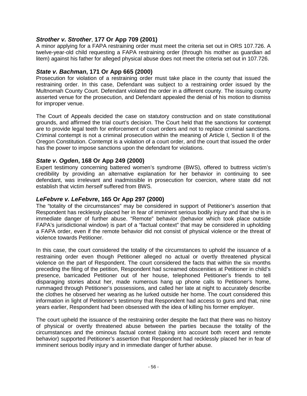## *Strother v. Strother*, **177 Or App 709 (2001)**

A minor applying for a FAPA restraining order must meet the criteria set out in ORS 107.726. A twelve-year-old child requesting a FAPA restraining order (through his mother as guardian ad litem) against his father for alleged physical abuse does not meet the criteria set out in 107.726.

## *State v. Bachman***, 171 Or App 665 (2000)**

Prosecution for violation of a restraining order must take place in the county that issued the restraining order. In this case, Defendant was subject to a restraining order issued by the Multnomah County Court. Defendant violated the order in a different county. The issuing county asserted venue for the prosecution, and Defendant appealed the denial of his motion to dismiss for improper venue.

The Court of Appeals decided the case on statutory construction and on state constitutional grounds, and affirmed the trial court's decision. The Court held that the sanctions for contempt are to provide legal teeth for enforcement of court orders and not to replace criminal sanctions. Criminal contempt is not a criminal prosecution within the meaning of Article I, Section II of the Oregon Constitution. Contempt is a violation of a court order, and the court that issued the order has the power to impose sanctions upon the defendant for violations.

### *State v. Ogden***, 168 Or App 249 (2000)**

Expert testimony concerning battered women's syndrome (BWS), offered to buttress victim's credibility by providing an alternative explanation for her behavior in continuing to see defendant, was irrelevant and inadmissible in prosecution for coercion, where state did not establish that victim *herself* suffered from BWS.

### *LeFebvre v. LeFebvre***, 165 Or App 297 (2000)**

The "totality of the circumstances" may be considered in support of Petitioner's assertion that Respondent has recklessly placed her in fear of imminent serious bodily injury and that she is in immediate danger of further abuse. "Remote" behavior (behavior which took place outside FAPA's jurisdictional window) is part of a "factual context" that may be considered in upholding a FAPA order, even if the remote behavior did not consist of physical violence or the threat of violence towards Petitioner.

In this case, the court considered the totality of the circumstances to uphold the issuance of a restraining order even though Petitioner alleged no actual or overtly threatened physical violence on the part of Respondent. The court considered the facts that within the six months preceding the filing of the petition, Respondent had screamed obscenities at Petitioner in child's presence, barricaded Petitioner out of her house, telephoned Petitioner's friends to tell disparaging stories about her, made numerous hang up phone calls to Petitioner's home, rummaged through Petitioner's possessions, and called her late at night to accurately describe the clothes he observed her wearing as he lurked outside her home. The court considered this information in light of Petitioner's testimony that Respondent had access to guns and that, nine years earlier, Respondent had been obsessed with the idea of killing his former employer.

The court upheld the issuance of the restraining order despite the fact that there was no history of physical or overtly threatened abuse between the parties because the totality of the circumstances and the ominous factual context (taking into account both recent and remote behavior) supported Petitioner's assertion that Respondent had recklessly placed her in fear of imminent serious bodily injury and in immediate danger of further abuse.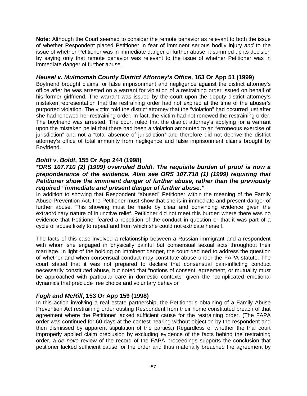**Note:** Although the Court seemed to consider the remote behavior as relevant to both the issue of whether Respondent placed Petitioner in fear of imminent serious bodily injury *and* to the issue of whether Petitioner was in immediate danger of further abuse, it summed up its decision by saying only that remote behavior was relevant to the issue of whether Petitioner was in immediate danger of further abuse.

## *Heusel v. Multnomah County District Attorney's Office***, 163 Or App 51 (1999)**

Boyfriend brought claims for false imprisonment and negligence against the district attorney's office after he was arrested on a warrant for violation of a restraining order issued on behalf of his former girlfriend. The warrant was issued by the court upon the deputy district attorney's mistaken representation that the restraining order had not expired at the time of the abuser's purported violation. The victim told the district attorney that the "violation" had occurred just after she had renewed her restraining order. In fact, the victim had not renewed the restraining order. The boyfriend was arrested. The court ruled that the district attorney's applying for a warrant upon the mistaken belief that there had been a violation amounted to an "erroneous exercise of jurisdiction" and not a "total absence of jurisdiction" and therefore did not deprive the district attorney's office of total immunity from negligence and false imprisonment claims brought by Boyfriend.

## *Boldt v. Boldt***, 155 Or App 244 (1998)**

#### *\*ORS 107.710 (2) (1999) overruled Boldt. The requisite burden of proof is now a preponderance of the evidence. Also see ORS 107.718 (1) (1999) requiring that Petitioner show the imminent danger of further abuse, rather than the previously required "immediate and present danger of further abuse."*

In addition to showing that Respondent "abused" Petitioner within the meaning of the Family Abuse Prevention Act, the Petitioner must show that she is in immediate and present danger of further abuse. This showing must be made by clear and convincing evidence given the extraordinary nature of injunctive relief. Petitioner did not meet this burden where there was no evidence that Petitioner feared a repetition of the conduct in question or that it was part of a cycle of abuse likely to repeat and from which she could not extricate herself.

The facts of this case involved a relationship between a Russian immigrant and a respondent with whom she engaged in physically painful but consensual sexual acts throughout their marriage. In light of the holding on imminent danger, the court declined to address the question of whether and when consensual conduct may constitute abuse under the FAPA statute. The court stated that it was not prepared to declare that consensual pain-inflicting conduct necessarily constituted abuse, but noted that "notions of consent, agreement, or mutuality must be approached with particular care in domestic contexts" given the "complicated emotional dynamics that preclude free choice and voluntary behavior"

### *Fogh and McRill***, 153 Or App 159 (1998)**

In this action involving a real estate partnership, the Petitioner's obtaining of a Family Abuse Prevention Act restraining order ousting Respondent from their home constituted breach of that agreement where the Petitioner lacked sufficient cause for the restraining order. (The FAPA order was continued for 60 days at the contest hearing without objection by the respondent and then dismissed by apparent stipulation of the parties.) Regardless of whether the trial court improperly applied claim preclusion by excluding evidence of the facts behind the restraining order, a *de novo* review of the record of the FAPA proceedings supports the conclusion that petitioner lacked sufficient cause for the order and thus materially breached the agreement by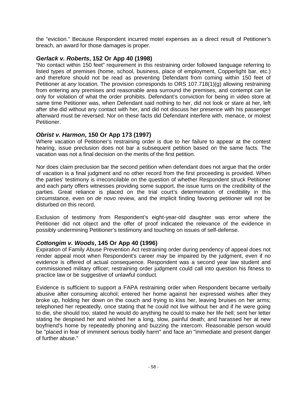the "eviction." Because Respondent incurred motel expenses as a direct result of Petitioner's breach, an award for those damages is proper.

#### *Gerlack v. Roberts***, 152 Or App 40 (1998)**

"No contact within 150 feet" requirement in this restraining order followed language referring to listed types of premises (home, school, business, place of employment, Copperlight bar, etc.) and therefore should not be read as preventing Defendant from coming within 150 feet of Petitioner at *any* location. The provision corresponds to ORS 107.718(1)(g) allowing restraining from entering any premises and reasonable area surround the premises, and contempt can lie only for violation of what the order prohibits. Defendant's conviction for being in video store at same time Petitioner was, when Defendant said nothing to her, did not look or stare at her, left after she did without any contact with her, and did not discuss her presence with his passenger afterward must be reversed. Nor on these facts did Defendant interfere with, menace, or molest Petitioner.

### *Obrist v. Harmon***, 150 Or App 173 (1997)**

Where vacation of Petitioner's restraining order is due to her failure to appear at the contest hearing, issue preclusion does not bar a subsequent petition based on the same facts. The vacation was not a final decision on the merits of the first petition.

Nor does claim preclusion bar the second petition when defendant does not argue that the order of vacation is a final judgment and no other record from the first proceeding is provided. When the parties' testimony is irreconcilable on the question of whether Respondent struck Petitioner and each party offers witnesses providing some support, the issue turns on the credibility of the parties. Great reliance is placed on the trial court's determination of credibility in this circumstance, even on *de novo* review, and the implicit finding favoring petitioner will not be disturbed on this record.

Exclusion of testimony from Respondent's eight-year-old daughter was error where the Petitioner did not object and the offer of proof indicated the relevance of the evidence in possibly undermining Petitioner's testimony and touching on issues of self-defense.

### *Cottongim v. Woods***, 145 Or App 40 (1996)**

Expiration of Family Abuse Prevention Act restraining order during pendency of appeal does not render appeal moot when Respondent's career *may* be impaired by the judgment, even if no evidence is offered of actual consequence. Respondent was a second year law student and commissioned military officer; restraining order judgment could call into question his fitness to practice law or be suggestive of unlawful conduct.

Evidence is sufficient to support a FAPA restraining order when Respondent became verbally abusive after consuming alcohol; entered her home against her expressed wishes after they broke up, holding her down on the couch and trying to kiss her, leaving bruises on her arms; telephoned her repeatedly, once stating that he could not live without her and if he were going to die, she should too; stated he would do anything he could to make her life hell; sent her letter stating he despised her and wished her a long, slow, painful death; and harassed her at new boyfriend's home by repeatedly phoning and buzzing the intercom. Reasonable person would be "placed in fear of imminent serious bodily harm" and face an "immediate and present danger of further abuse."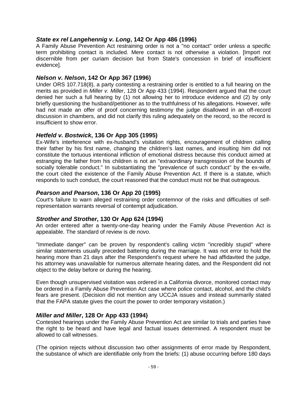#### *State ex rel Langehennig v. Long***, 142 Or App 486 (1996)**

A Family Abuse Prevention Act restraining order is not a "no contact" order unless a specific term prohibiting contact is included. Mere contact is not otherwise a violation. [Import not discernible from per curiam decision but from State's concession in brief of insufficient evidence].

#### *Nelson v. Nelson***, 142 Or App 367 (1996)**

Under ORS 107.718(8), a party contesting a restraining order is entitled to a full hearing on the merits as provided in *Miller v. Miller*, 128 Or App 433 (1994). Respondent argued that the court denied her such a full hearing by (1) not allowing her to introduce evidence and (2) by only briefly questioning the husband/petitioner as to the truthfulness of his allegations. However, wife had not made an offer of proof concerning testimony the judge disallowed in an off-record discussion in chambers, and did not clarify this ruling adequately on the record, so the record is insufficient to show error.

#### *Hetfeld v. Bostwick***, 136 Or App 305 (1995)**

Ex-Wife's interference with ex-husband's visitation rights, encouragement of children calling their father by his first name, changing the children's last names, and insulting him did not constitute the tortuous intentional infliction of emotional distress because this conduct aimed at estranging the father from his children is not an "extraordinary transgression of the bounds of socially tolerable conduct." In substantiating the "prevalence of such conduct" by the ex-wife, the court cited the existence of the Family Abuse Prevention Act. If there is a statute, which responds to such conduct, the court reasoned that the conduct must not be that outrageous.

#### *Pearson and Pearson***, 136 Or App 20 (1995)**

Court's failure to warn alleged restraining order contemnor of the risks and difficulties of selfrepresentation warrants reversal of contempt adjudication.

### *Strother and Strother***, 130 Or App 624 (1994)**

An order entered after a twenty-one-day hearing under the Family Abuse Prevention Act is appealable. The standard of review is *de novo*.

"Immediate danger" can be proven by respondent's calling victim "incredibly stupid" where similar statements usually preceded battering during the marriage. It was not error to hold the hearing more than 21 days after the Respondent's request where he had affidavited the judge, his attorney was unavailable for numerous alternate hearing dates, and the Respondent did not object to the delay before or during the hearing.

Even though unsupervised visitation was ordered in a California divorce, monitored contact may be ordered in a Family Abuse Prevention Act case where police contact, alcohol, and the child's fears are present. (Decision did not mention any UCCJA issues and instead summarily stated that the FAPA statute gives the court the power to order temporary visitation.)

#### *Miller and Miller***, 128 Or App 433 (1994)**

Contested hearings under the Family Abuse Prevention Act are similar to trials and parties have the right to be heard and have legal and factual issues determined. A respondent must be allowed to call witnesses.

(The opinion rejects without discussion two other assignments of error made by Respondent, the substance of which are identifiable only from the briefs: (1) abuse occurring before 180 days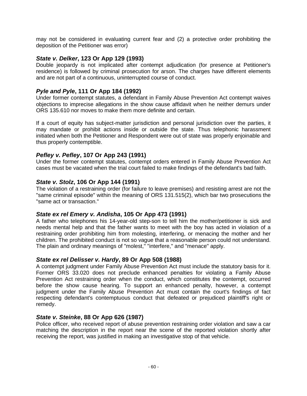may not be considered in evaluating current fear and (2) a protective order prohibiting the deposition of the Petitioner was error)

#### *State v. Delker***, 123 Or App 129 (1993)**

Double jeopardy is not implicated after contempt adjudication (for presence at Petitioner's residence) is followed by criminal prosecution for arson. The charges have different elements and are not part of a continuous, uninterrupted course of conduct.

### *Pyle and Pyle***, 111 Or App 184 (1992)**

Under former contempt statutes, a defendant in Family Abuse Prevention Act contempt waives objections to imprecise allegations in the show cause affidavit when he neither demurs under ORS 135.610 nor moves to make them more definite and certain.

If a court of equity has subject-matter jurisdiction and personal jurisdiction over the parties, it may mandate or prohibit actions inside or outside the state. Thus telephonic harassment initiated when both the Petitioner and Respondent were out of state was properly enjoinable and thus properly contemptible.

### *Pefley v. Pefley***, 107 Or App 243 (1991)**

Under the former contempt statutes, contempt orders entered in Family Abuse Prevention Act cases must be vacated when the trial court failed to make findings of the defendant's bad faith.

#### *State v. Stolz***, 106 Or App 144 (1991)**

The violation of a restraining order (for failure to leave premises) and resisting arrest are not the "same criminal episode" within the meaning of ORS 131.515(2), which bar two prosecutions the "same act or transaction."

#### *State ex rel Emery v. Andisha***, 105 Or App 473 (1991)**

A father who telephones his 14-year-old step-son to tell him the mother/petitioner is sick and needs mental help and that the father wants to meet with the boy has acted in violation of a restraining order prohibiting him from molesting, interfering, or menacing the mother and her children. The prohibited conduct is not so vague that a reasonable person could not understand. The plain and ordinary meanings of "molest," "interfere," and "menace" apply.

#### *State ex rel Delisser v. Hardy***, 89 Or App 508 (1988)**

A contempt judgment under Family Abuse Prevention Act must include the statutory basis for it. Former ORS 33.020 does not preclude enhanced penalties for violating a Family Abuse Prevention Act restraining order when the conduct, which constitutes the contempt, occurred before the show cause hearing. To support an enhanced penalty, however, a contempt judgment under the Family Abuse Prevention Act must contain the court's findings of fact respecting defendant's contemptuous conduct that defeated or prejudiced plaintiff's right or remedy.

#### *State v. Steinke***, 88 Or App 626 (1987)**

Police officer, who received report of abuse prevention restraining order violation and saw a car matching the description in the report near the scene of the reported violation shortly after receiving the report, was justified in making an investigative stop of that vehicle.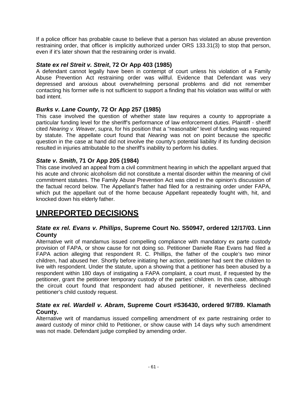If a police officer has probable cause to believe that a person has violated an abuse prevention restraining order, that officer is implicitly authorized under ORS 133.31(3) to stop that person, even if it's later shown that the restraining order is invalid.

### *State ex rel Streit v. Streit***, 72 Or App 403 (1985)**

A defendant cannot legally have been in contempt of court unless his violation of a Family Abuse Prevention Act restraining order was willful. Evidence that Defendant was very depressed and anxious about overwhelming personal problems and did not remember contacting his former wife is not sufficient to support a finding that his violation was willful or with bad intent.

## *Burks v. Lane County***, 72 Or App 257 (1985)**

This case involved the question of whether state law requires a county to appropriate a particular funding level for the sheriff's performance of law enforcement duties. Plaintiff - sheriff cited *Nearing v. Weaver*, *supra*, for his position that a "reasonable" level of funding was required by statute. The appellate court found that *Nearing* was not on point because the specific question in the case at hand did not involve the county's potential liability if its funding decision resulted in injuries attributable to the sheriff's inability to perform his duties.

## *State v. Smith***, 71 Or App 205 (1984)**

This case involved an appeal from a civil commitment hearing in which the appellant argued that his acute and chronic alcoholism did not constitute a mental disorder within the meaning of civil commitment statutes. The Family Abuse Prevention Act was cited in the opinion's discussion of the factual record below. The Appellant's father had filed for a restraining order under FAPA, which put the appellant out of the home because Appellant repeatedly fought with, hit, and knocked down his elderly father.

# **UNREPORTED DECISIONS**

#### *State ex rel. Evans v. Phillips***, Supreme Court No. S50947, ordered 12/17/03. Linn County**

Alternative writ of mandamus issued compelling compliance with mandatory ex parte custody provision of FAPA, or show cause for not doing so. Petitioner Danielle Rae Evans had filed a FAPA action alleging that respondent R. C. Phillips, the father of the couple's two minor children, had abused her. Shortly before initiating her action, petitioner had sent the children to live with respondent. Under the statute, upon a showing that a petitioner has been abused by a respondent within 180 days of instigating a FAPA complaint, a court must, if requested by the petitioner, grant the petitioner temporary custody of the parties' children. In this case, although the circuit court found that respondent had abused petitioner, it nevertheless declined petitioner's child custody request.

### *State ex rel. Wardell v. Abram***, Supreme Court #S36430, ordered 9/7/89. Klamath County.**

Alternative writ of mandamus issued compelling amendment of ex parte restraining order to award custody of minor child to Petitioner, or show cause with 14 days why such amendment was not made. Defendant judge complied by amending order.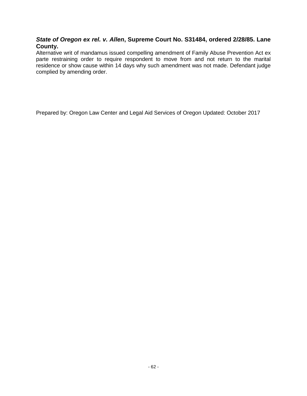#### *State of Oregon ex rel. v. Allen***, Supreme Court No. S31484, ordered 2/28/85. Lane County.**

Alternative writ of mandamus issued compelling amendment of Family Abuse Prevention Act ex parte restraining order to require respondent to move from and not return to the marital residence or show cause within 14 days why such amendment was not made. Defendant judge complied by amending order.

Prepared by: Oregon Law Center and Legal Aid Services of Oregon Updated: October 2017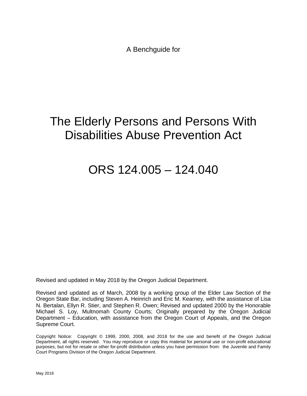A Benchguide for

# The Elderly Persons and Persons With Disabilities Abuse Prevention Act

# ORS 124.005 – 124.040

Revised and updated in May 2018 by the Oregon Judicial Department.

Revised and updated as of March, 2008 by a working group of the Elder Law Section of the Oregon State Bar, including Steven A. Heinrich and Eric M. Kearney, with the assistance of Lisa N. Bertalan, Ellyn R. Stier, and Stephen R. Owen; Revised and updated 2000 by the Honorable Michael S. Loy, Multnomah County Courts; Originally prepared by the Oregon Judicial Department – Education, with assistance from the Oregon Court of Appeals, and the Oregon Supreme Court.

Copyright Notice: Copyright © 1999, 2000, 2008, and 2018 for the use and benefit of the Oregon Judicial Department, all rights reserved. You may reproduce or copy this material for personal use or non-profit educational purposes, but not for resale or other for-profit distribution unless you have permission from: the Juvenile and Family Court Programs Division of the Oregon Judicial Department.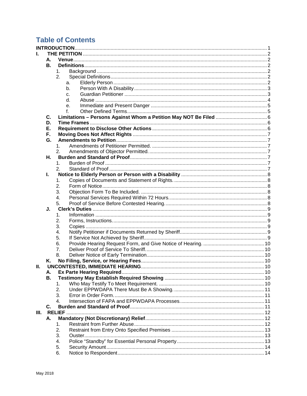# **Table of Contents**

|    |    | <b>INTRODUCTION.</b> |    |  |
|----|----|----------------------|----|--|
|    |    |                      |    |  |
|    | А. |                      |    |  |
|    | В. |                      |    |  |
|    |    | 1 <sub>1</sub>       |    |  |
|    |    | 2.                   |    |  |
|    |    |                      | a. |  |
|    |    |                      | b. |  |
|    |    |                      | C. |  |
|    |    |                      | d. |  |
|    |    |                      | e. |  |
|    |    |                      | f  |  |
|    | C. |                      |    |  |
|    | D. |                      |    |  |
|    | Е. |                      |    |  |
|    | F. |                      |    |  |
|    | G. |                      |    |  |
|    |    | 1 <sub>1</sub>       |    |  |
|    |    | 2.                   |    |  |
|    |    |                      |    |  |
|    | Η. |                      |    |  |
|    |    | $\mathbf{1}$ .       |    |  |
|    |    | 2.                   |    |  |
|    | L. |                      |    |  |
|    |    | 1.                   |    |  |
|    |    | 2.                   |    |  |
|    |    | 3.                   |    |  |
|    |    | 4.                   |    |  |
|    |    | 5.                   |    |  |
|    | J. |                      |    |  |
|    |    | $\mathbf 1$ .        |    |  |
|    |    | 2.                   |    |  |
|    |    | 3.                   |    |  |
|    |    | 4.                   |    |  |
|    |    | 5.                   |    |  |
|    |    | 6.                   |    |  |
|    |    | 7.                   |    |  |
|    |    | 8.                   |    |  |
|    | Κ. |                      |    |  |
| н. |    |                      |    |  |
|    | А. |                      |    |  |
|    | В. |                      |    |  |
|    |    | 1.                   |    |  |
|    |    | 2.                   |    |  |
|    |    | 3.                   |    |  |
|    |    | 4.                   |    |  |
|    | C. |                      |    |  |
| Ш. |    |                      |    |  |
|    | А. |                      |    |  |
|    |    | 1.                   |    |  |
|    |    | 2.                   |    |  |
|    |    | 3.                   |    |  |
|    |    | 4.                   |    |  |
|    |    | 5.                   |    |  |
|    |    | 6.                   |    |  |
|    |    |                      |    |  |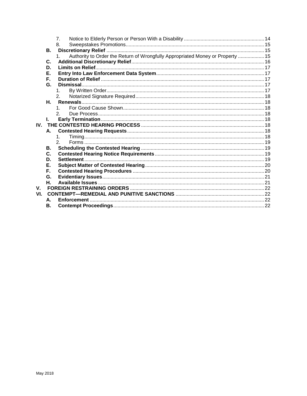|                  |    | $\overline{7}$ .                                                                    |  |
|------------------|----|-------------------------------------------------------------------------------------|--|
|                  |    | 8.                                                                                  |  |
|                  | В. |                                                                                     |  |
|                  |    | Authority to Order the Return of Wrongfully Appropriated Money or Property  15<br>1 |  |
|                  | C. |                                                                                     |  |
|                  | D. |                                                                                     |  |
|                  | Е. |                                                                                     |  |
|                  | Е. |                                                                                     |  |
|                  | G. |                                                                                     |  |
|                  |    | $1_{-}$                                                                             |  |
|                  |    | 2 <sub>1</sub>                                                                      |  |
|                  |    |                                                                                     |  |
|                  |    |                                                                                     |  |
|                  |    | 2.                                                                                  |  |
|                  |    |                                                                                     |  |
|                  |    |                                                                                     |  |
|                  | A. |                                                                                     |  |
|                  |    | $1_{-}$                                                                             |  |
|                  |    | 2.                                                                                  |  |
|                  | В. |                                                                                     |  |
|                  | C. |                                                                                     |  |
|                  | D. |                                                                                     |  |
|                  | Е. |                                                                                     |  |
|                  | Е. |                                                                                     |  |
|                  | G. |                                                                                     |  |
|                  | Н. |                                                                                     |  |
| $\mathbf{V}_{-}$ |    |                                                                                     |  |
| VI.              |    |                                                                                     |  |
|                  | A. |                                                                                     |  |
|                  | В. |                                                                                     |  |
|                  |    |                                                                                     |  |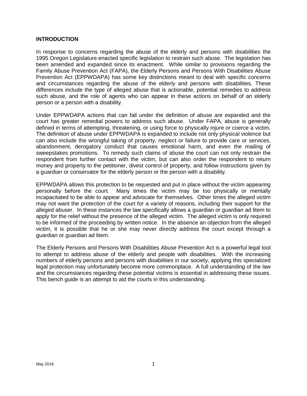#### <span id="page-69-0"></span>**INTRODUCTION**

In response to concerns regarding the abuse of the elderly and persons with disabilities the 1995 Oregon Legislature enacted specific legislation to restrain such abuse. The legislation has been amended and expanded since its enactment. While similar to provisions regarding the Family Abuse Prevention Act (FAPA), the Elderly Persons and Persons With Disabilities Abuse Prevention Act (EPPWDAPA) has some key distinctions meant to deal with specific concerns and circumstances regarding the abuse of the elderly and persons with disabilities. These differences include the type of alleged abuse that is actionable, potential remedies to address such abuse, and the role of agents who can appear in these actions on behalf of an elderly person or a person with a disability.

Under EPPWDAPA actions that can fall under the definition of abuse are expanded and the court has greater remedial powers to address such abuse. Under FAPA, abuse is generally defined in terms of attempting, threatening, or using force to physically injure or coerce a victim. The definition of abuse under EPPWDAPA is expanded to include not only physical violence but can also include the wrongful taking of property, neglect or failure to provide care or services, abandonment, derogatory conduct that causes emotional harm, and even the mailing of sweepstakes promotions. To remedy such claims of abuse the court can not only restrain the respondent from further contact with the victim, but can also order the respondent to return money and property to the petitioner, divest control of property, and follow instructions given by a guardian or conservator for the elderly person or the person with a disability.

EPPWDAPA allows this protection to be requested and put in place without the victim appearing personally before the court. Many times the victim may be too physically or mentally incapacitated to be able to appear and advocate for themselves. Other times the alleged victim may not want the protection of the court for a variety of reasons, including their support for the alleged abuser. In these instances the law specifically allows a guardian or guardian ad litem to apply for the relief without the presence of the alleged victim. The alleged victim is only required to be informed of the proceeding by written notice. In the absence an objection from the alleged victim, it is possible that he or she may never directly address the court except through a guardian or guardian ad litem.

The Elderly Persons and Persons With Disabilities Abuse Prevention Act is a powerful legal tool to attempt to address abuse of the elderly and people with disabilities. With the increasing numbers of elderly persons and persons with disabilities in our society, applying this specialized legal protection may unfortunately become more commonplace. A full understanding of the law and the circumstances regarding these potential victims is essential in addressing these issues. This bench guide is an attempt to aid the courts in this understanding.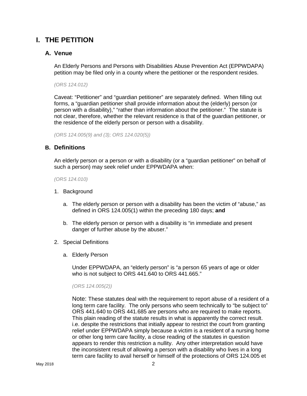## <span id="page-70-0"></span>**I. THE PETITION**

#### <span id="page-70-1"></span>**A. Venue**

An Elderly Persons and Persons with Disabilities Abuse Prevention Act (EPPWDAPA) petition may be filed only in a county where the petitioner or the respondent resides.

*(ORS 124.012)*

Caveat: "Petitioner" and "guardian petitioner" are separately defined. When filling out forms, a "guardian petitioner shall provide information about the (elderly) person (or person with a disability)," "rather than information about the petitioner." The statute is not clear, therefore, whether the relevant residence is that of the guardian petitioner, or the residence of the elderly person or person with a disability.

*(ORS 124.005(9) and (3); ORS 124.020(5))*

#### <span id="page-70-2"></span>**B. Definitions**

An elderly person or a person or with a disability (or a "guardian petitioner" on behalf of such a person) may seek relief under EPPWDAPA when:

*(ORS 124.010)*

- <span id="page-70-3"></span>1. Background
	- a. The elderly person or person with a disability has been the victim of "abuse," as defined in ORS 124.005(1) within the preceding 180 days; **and**
	- b. The elderly person or person with a disability is "in immediate and present danger of further abuse by the abuser."
- <span id="page-70-5"></span><span id="page-70-4"></span>2. Special Definitions
	- a. Elderly Person

Under EPPWDAPA, an "elderly person" is "a person 65 years of age or older who is not subject to ORS 441.640 to ORS 441.665."

#### *(ORS 124.005(2))*

Note: These statutes deal with the requirement to report abuse of a resident of a long term care facility. The only persons who seem technically to "be subject to" ORS 441.640 to ORS 441.685 are persons who are required to make reports. This plain reading of the statute results in what is apparently the correct result. i.e. despite the restrictions that initially appear to restrict the court from granting relief under EPPWDAPA simply because a victim is a resident of a nursing home or other long term care facility, a close reading of the statutes in question appears to render this restriction a nullity. Any other interpretation would have the inconsistent result of allowing a person with a disability who lives in a long term care facility to avail herself or himself of the protections of ORS 124.005 et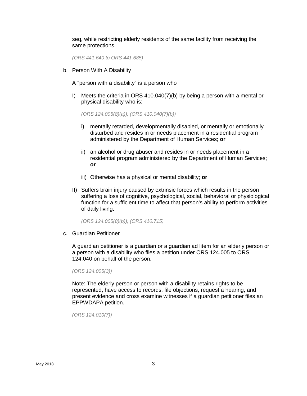seq, while restricting elderly residents of the same facility from receiving the same protections.

*(ORS 441.640 to ORS 441.685)*

- <span id="page-71-0"></span>b. Person With A Disability
	- A "person with a disability" is a person who
	- I) Meets the criteria in ORS 410.040(7)(b) by being a person with a mental or physical disability who is:

*(ORS 124.005(8)(a)); (ORS 410.040(7)(b))*

- i) mentally retarded, developmentally disabled, or mentally or emotionally disturbed and resides in or needs placement in a residential program administered by the Department of Human Services; **or**
- ii) an alcohol or drug abuser and resides in or needs placement in a residential program administered by the Department of Human Services; **or**
- iii) Otherwise has a physical or mental disability; **or**
- II) Suffers brain injury caused by extrinsic forces which results in the person suffering a loss of cognitive, psychological, social, behavioral or physiological function for a sufficient time to affect that person's ability to perform activities of daily living.

*(ORS 124.005(8)(b)); (ORS 410.715)*

<span id="page-71-1"></span>c. Guardian Petitioner

A guardian petitioner is a guardian or a guardian ad litem for an elderly person or a person with a disability who files a petition under ORS 124.005 to ORS 124.040 on behalf of the person.

*(ORS 124.005(3))*

Note: The elderly person or person with a disability retains rights to be represented, have access to records, file objections, request a hearing, and present evidence and cross examine witnesses if a guardian petitioner files an EPPWDAPA petition.

*(ORS 124.010(7))*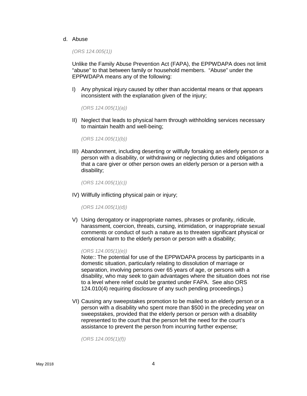#### d. Abuse

*(ORS 124.005(1))*

Unlike the Family Abuse Prevention Act (FAPA), the EPPWDAPA does not limit "abuse" to that between family or household members. "Abuse" under the EPPWDAPA means any of the following:

I) Any physical injury caused by other than accidental means or that appears inconsistent with the explanation given of the injury;

*(ORS 124.005(1)(a))*

II) Neglect that leads to physical harm through withholding services necessary to maintain health and well-being;

*(ORS 124.005(1)(b))*

III) Abandonment, including deserting or willfully forsaking an elderly person or a person with a disability, or withdrawing or neglecting duties and obligations that a care giver or other person owes an elderly person or a person with a disability;

*(ORS 124.005(1)(c))*

IV) Willfully inflicting physical pain or injury;

*(ORS 124.005(1)(d))*

V) Using derogatory or inappropriate names, phrases or profanity, ridicule, harassment, coercion, threats, cursing, intimidation, or inappropriate sexual comments or conduct of such a nature as to threaten significant physical or emotional harm to the elderly person or person with a disability;

#### *(ORS 124.005(1)(e))*

Note:: The potential for use of the EPPWDAPA process by participants in a domestic situation, particularly relating to dissolution of marriage or separation, involving persons over 65 years of age, or persons with a disability, who may seek to gain advantages where the situation does not rise to a level where relief could be granted under FAPA. See also ORS 124.010(4) requiring disclosure of any such pending proceedings.)

VI) Causing any sweepstakes promotion to be mailed to an elderly person or a person with a disability who spent more than \$500 in the preceding year on sweepstakes, provided that the elderly person or person with a disability represented to the court that the person felt the need for the court's assistance to prevent the person from incurring further expense;

*(ORS 124.005(1)(f))*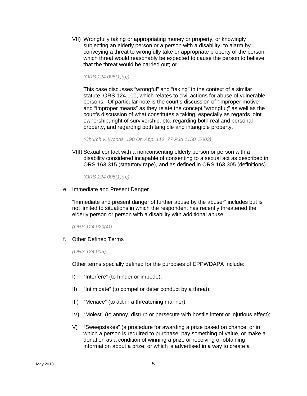VII) Wrongfully taking or appropriating money or property, or knowingly subjecting an elderly person or a person with a disability, to alarm by conveying a threat to wrongfully take or appropriate property of the person, which threat would reasonably be expected to cause the person to believe that the threat would be carried out; **or**

*(ORS 124.005(1)(g))*

This case discusses "wrongful" and "taking" in the context of a similar statute, ORS 124.100, which relates to civil actions for abuse of vulnerable persons. Of particular note is the court's discussion of "improper motive" and "improper means" as they relate the concept "wrongful;" as well as the court's discussion of what constitutes a taking, especially as regards joint ownership, right of survivorship, etc. regarding both real and personal property, and regarding both tangible and intangible property.

*(Church v. Woods, 190 Or. App. 112, 77 P3d 1150, 2003)*

VIII) Sexual contact with a nonconsenting elderly person or person with a disability considered incapable of consenting to a sexual act as described in ORS 163.315 (statutory rape), and as defined in ORS 163.305 (definitions).

*(ORS 124.005(1)(h))*

e. Immediate and Present Danger

"Immediate and present danger of further abuse by the abuser" includes but is not limited to situations in which the respondent has recently threatened the elderly person or person with a disability with additional abuse.

*(ORS 124.020(4))*

f. Other Defined Terms

*(ORS 124.005)*

Other terms specially defined for the purposes of EPPWDAPA include:

- I) "Interfere" (to hinder or impede);
- II) "Intimidate" (to compel or deter conduct by a threat);
- III) "Menace" (to act in a threatening manner);
- IV) "Molest" (to annoy, disturb or persecute with hostile intent or injurious effect);
- V) "Sweepstakes" (a procedure for awarding a prize based on chance; or in which a person is required to purchase, pay something of value, or make a donation as a condition of winning a prize or receiving or obtaining information about a prize; or which is advertised in a way to create a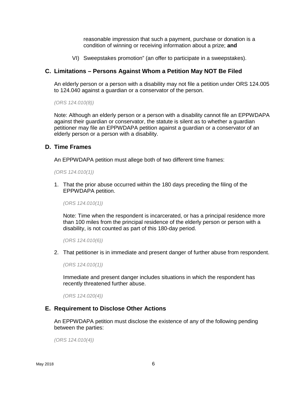reasonable impression that such a payment, purchase or donation is a condition of winning or receiving information about a prize; **and**

VI) Sweepstakes promotion" (an offer to participate in a sweepstakes).

#### **C. Limitations – Persons Against Whom a Petition May NOT Be Filed**

An elderly person or a person with a disability may not file a petition under ORS 124.005 to 124.040 against a guardian or a conservator of the person.

*(ORS 124.010(8))*

Note: Although an elderly person or a person with a disability cannot file an EPPWDAPA against their guardian or conservator, the statute is silent as to whether a guardian petitioner may file an EPPWDAPA petition against a guardian or a conservator of an elderly person or a person with a disability.

#### **D. Time Frames**

An EPPWDAPA petition must allege both of two different time frames:

*(ORS 124.010(1))*

1. That the prior abuse occurred within the 180 days preceding the filing of the EPPWDAPA petition.

*(ORS 124.010(1))*

Note: Time when the respondent is incarcerated, or has a principal residence more than 100 miles from the principal residence of the elderly person or person with a disability, is not counted as part of this 180-day period.

*(ORS 124.010(6))*

2. That petitioner is in immediate and present danger of further abuse from respondent.

*(ORS 124.010(1))*

Immediate and present danger includes situations in which the respondent has recently threatened further abuse.

*(ORS 124.020(4))*

#### **E. Requirement to Disclose Other Actions**

An EPPWDAPA petition must disclose the existence of any of the following pending between the parties:

*(ORS 124.010(4))*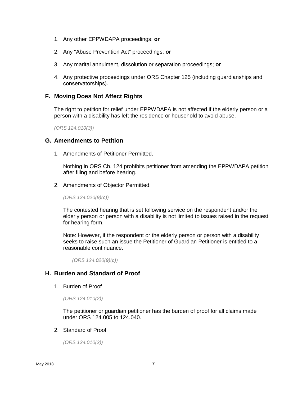- 1. Any other EPPWDAPA proceedings; **or**
- 2. Any "Abuse Prevention Act" proceedings; **or**
- 3. Any marital annulment, dissolution or separation proceedings; **or**
- 4. Any protective proceedings under ORS Chapter 125 (including guardianships and conservatorships).

#### **F. Moving Does Not Affect Rights**

The right to petition for relief under EPPWDAPA is not affected if the elderly person or a person with a disability has left the residence or household to avoid abuse.

*(ORS 124.010(3))*

# **G. Amendments to Petition**

1. Amendments of Petitioner Permitted.

Nothing in ORS Ch. 124 prohibits petitioner from amending the EPPWDAPA petition after filing and before hearing.

2. Amendments of Objector Permitted.

*(ORS 124.020(9)(c))*

The contested hearing that is set following service on the respondent and/or the elderly person or person with a disability is not limited to issues raised in the request for hearing form.

Note: However, if the respondent or the elderly person or person with a disability seeks to raise such an issue the Petitioner of Guardian Petitioner is entitled to a reasonable continuance.

*(ORS 124.020(9)(c))*

#### **H. Burden and Standard of Proof**

1. Burden of Proof

*(ORS 124.010(2))*

The petitioner or guardian petitioner has the burden of proof for all claims made under ORS 124.005 to 124.040.

2. Standard of Proof

*(ORS 124.010(2))*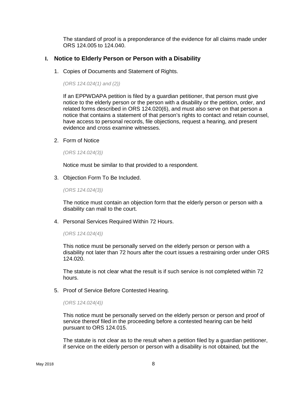The standard of proof is a preponderance of the evidence for all claims made under ORS 124.005 to 124.040.

#### **I. Notice to Elderly Person or Person with a Disability**

1. Copies of Documents and Statement of Rights.

*(ORS 124.024(1) and (2))*

If an EPPWDAPA petition is filed by a guardian petitioner, that person must give notice to the elderly person or the person with a disability or the petition, order, and related forms described in ORS 124.020(6), and must also serve on that person a notice that contains a statement of that person's rights to contact and retain counsel, have access to personal records, file objections, request a hearing, and present evidence and cross examine witnesses.

2. Form of Notice

*(ORS 124.024(3))*

Notice must be similar to that provided to a respondent.

3. Objection Form To Be Included.

*(ORS 124.024(3))*

The notice must contain an objection form that the elderly person or person with a disability can mail to the court.

4. Personal Services Required Within 72 Hours.

*(ORS 124.024(4))*

This notice must be personally served on the elderly person or person with a disability not later than 72 hours after the court issues a restraining order under ORS 124.020.

The statute is not clear what the result is if such service is not completed within 72 hours.

5. Proof of Service Before Contested Hearing.

*(ORS 124.024(4))*

This notice must be personally served on the elderly person or person and proof of service thereof filed in the proceeding before a contested hearing can be held pursuant to ORS 124.015.

The statute is not clear as to the result when a petition filed by a guardian petitioner, if service on the elderly person or person with a disability is not obtained, but the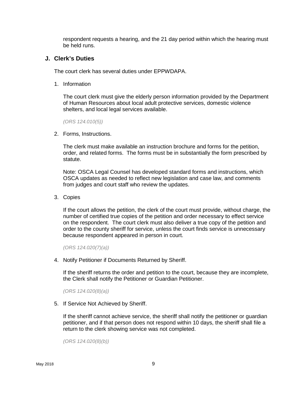respondent requests a hearing, and the 21 day period within which the hearing must be held runs.

#### **J. Clerk's Duties**

The court clerk has several duties under EPPWDAPA.

1. Information

The court clerk must give the elderly person information provided by the Department of Human Resources about local adult protective services, domestic violence shelters, and local legal services available.

*(ORS 124.010(5))*

2. Forms, Instructions.

The clerk must make available an instruction brochure and forms for the petition, order, and related forms. The forms must be in substantially the form prescribed by statute.

Note: OSCA Legal Counsel has developed standard forms and instructions, which OSCA updates as needed to reflect new legislation and case law, and comments from judges and court staff who review the updates.

3. Copies

If the court allows the petition, the clerk of the court must provide, without charge, the number of certified true copies of the petition and order necessary to effect service on the respondent. The court clerk must also deliver a true copy of the petition and order to the county sheriff for service, unless the court finds service is unnecessary because respondent appeared in person in court.

*(ORS 124.020(7)(a))*

4. Notify Petitioner if Documents Returned by Sheriff.

If the sheriff returns the order and petition to the court, because they are incomplete, the Clerk shall notify the Petitioner or Guardian Petitioner.

*(ORS 124.020(8)(a))*

5. If Service Not Achieved by Sheriff.

If the sheriff cannot achieve service, the sheriff shall notify the petitioner or guardian petitioner, and if that person does not respond within 10 days, the sheriff shall file a return to the clerk showing service was not completed.

*(ORS 124.020(8)(b))*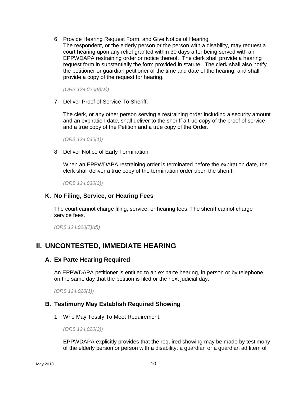6. Provide Hearing Request Form, and Give Notice of Hearing. The respondent, or the elderly person or the person with a disability, may request a court hearing upon any relief granted within 30 days after being served with an EPPWDAPA restraining order or notice thereof. The clerk shall provide a hearing request form in substantially the form provided in statute. The clerk shall also notify the petitioner or guardian petitioner of the time and date of the hearing, and shall provide a copy of the request for hearing.

*(ORS 124.020(9)(a))*

7. Deliver Proof of Service To Sheriff.

The clerk, or any other person serving a restraining order including a security amount and an expiration date, shall deliver to the sheriff a true copy of the proof of service and a true copy of the Petition and a true copy of the Order.

*(ORS 124.030(1))*

8. Deliver Notice of Early Termination.

When an EPPWDAPA restraining order is terminated before the expiration date, the clerk shall deliver a true copy of the termination order upon the sheriff.

*(ORS 124.030(3))*

#### **K. No Filing, Service, or Hearing Fees**

The court cannot charge filing, service, or hearing fees. The sheriff cannot charge service fees.

*(ORS 124.020(7)(d))*

# **II. UNCONTESTED, IMMEDIATE HEARING**

#### **A. Ex Parte Hearing Required**

An EPPWDAPA petitioner is entitled to an ex parte hearing, in person or by telephone, on the same day that the petition is filed or the next judicial day.

*(ORS 124.020(1))*

#### **B. Testimony May Establish Required Showing**

1. Who May Testify To Meet Requirement.

*(ORS 124.020(3))*

EPPWDAPA explicitly provides that the required showing may be made by testimony of the elderly person or person with a disability, a guardian or a guardian ad litem of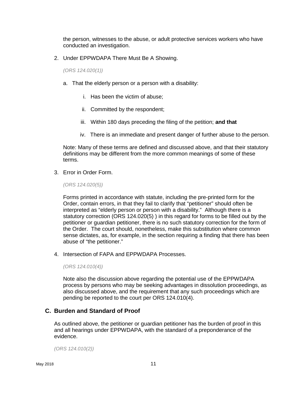the person, witnesses to the abuse, or adult protective services workers who have conducted an investigation.

2. Under EPPWDAPA There Must Be A Showing.

*(ORS 124.020(1))*

- a. That the elderly person or a person with a disability:
	- i. Has been the victim of abuse;
	- ii. Committed by the respondent;
	- iii. Within 180 days preceding the filing of the petition; **and that**
	- iv. There is an immediate and present danger of further abuse to the person.

Note: Many of these terms are defined and discussed above, and that their statutory definitions may be different from the more common meanings of some of these terms.

3. Error in Order Form.

*(ORS 124.020(5))*

Forms printed in accordance with statute, including the pre-printed form for the Order, contain errors, in that they fail to clarify that "petitioner" should often be interpreted as "elderly person or person with a disability." Although there is a statutory correction (ORS 124.020(5) ) in this regard for forms to be filled out by the petitioner or guardian petitioner, there is no such statutory correction for the form of the Order. The court should, nonetheless, make this substitution where common sense dictates, as, for example, in the section requiring a finding that there has been abuse of "the petitioner."

4. Intersection of FAPA and EPPWDAPA Processes.

*(ORS 124.010(4))*

Note also the discussion above regarding the potential use of the EPPWDAPA process by persons who may be seeking advantages in dissolution proceedings, as also discussed above, and the requirement that any such proceedings which are pending be reported to the court per ORS 124.010(4).

# **C. Burden and Standard of Proof**

As outlined above, the petitioner or guardian petitioner has the burden of proof in this and all hearings under EPPWDAPA, with the standard of a preponderance of the evidence.

*(ORS 124.010(2))*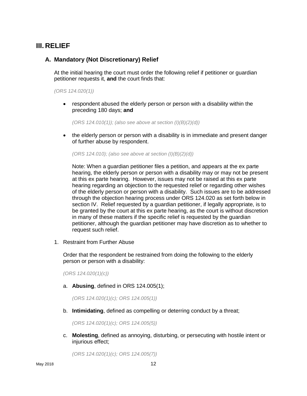# **III. RELIEF**

### **A. Mandatory (Not Discretionary) Relief**

At the initial hearing the court must order the following relief if petitioner or guardian petitioner requests it, **and** the court finds that:

*(ORS 124.020(1))*

• respondent abused the elderly person or person with a disability within the preceding 180 days; **and**

*(ORS 124.010(1)); (also see above at section (I)(B)(2)(d))*

• the elderly person or person with a disability is in immediate and present danger of further abuse by respondent.

*(ORS 124.010); (also see above at section (I)(B)(2)(d))*

Note: When a guardian petitioner files a petition, and appears at the ex parte hearing, the elderly person or person with a disability may or may not be present at this ex parte hearing. However, issues may not be raised at this ex parte hearing regarding an objection to the requested relief or regarding other wishes of the elderly person or person with a disability. Such issues are to be addressed through the objection hearing process under ORS 124.020 as set forth below in section IV. Relief requested by a guardian petitioner, if legally appropriate, is to be granted by the court at this ex parte hearing, as the court is without discretion in many of these matters if the specific relief is requested by the guardian petitioner, although the guardian petitioner may have discretion as to whether to request such relief.

1. Restraint from Further Abuse

Order that the respondent be restrained from doing the following to the elderly person or person with a disability:

*(ORS 124.020(1)(c))*

a. **Abusing**, defined in ORS 124.005(1);

*(ORS 124.020(1)(c); ORS 124.005(1))*

b. **Intimidating**, defined as compelling or deterring conduct by a threat;

*(ORS 124.020(1)(c); ORS 124.005(5))*

c. **Molesting**, defined as annoying, disturbing, or persecuting with hostile intent or injurious effect;

*(ORS 124.020(1)(c); ORS 124.005(7))*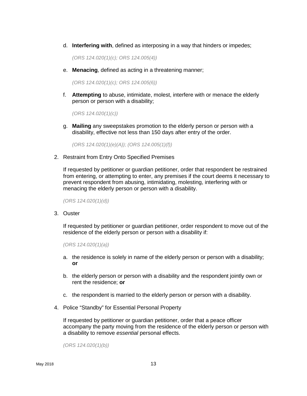d. **Interfering with**, defined as interposing in a way that hinders or impedes;

*(ORS 124.020(1)(c); ORS 124.005(4))*

e. **Menacing**, defined as acting in a threatening manner;

*(ORS 124.020(1)(c); ORS 124.005(6))*

f. **Attempting** to abuse, intimidate, molest, interfere with or menace the elderly person or person with a disability;

*(ORS 124.020(1)(c))*

g. **Mailing** any sweepstakes promotion to the elderly person or person with a disability, effective not less than 150 days after entry of the order.

*(ORS 124.020(1)(e)(A)); (ORS 124.005(1)(f))*

2. Restraint from Entry Onto Specified Premises

If requested by petitioner or guardian petitioner, order that respondent be restrained from entering, or attempting to enter, any premises if the court deems it necessary to prevent respondent from abusing, intimidating, molesting, interfering with or menacing the elderly person or person with a disability.

*(ORS 124.020(1)(d))*

3. Ouster

If requested by petitioner or guardian petitioner, order respondent to move out of the residence of the elderly person or person with a disability if:

*(ORS 124.020(1)(a))*

- a. the residence is solely in name of the elderly person or person with a disability; **or**
- b. the elderly person or person with a disability and the respondent jointly own or rent the residence; **or**
- c. the respondent is married to the elderly person or person with a disability.
- 4. Police "Standby" for Essential Personal Property

If requested by petitioner or guardian petitioner, order that a peace officer accompany the party moving from the residence of the elderly person or person with a disability to remove *essential* personal effects.

*(ORS 124.020(1)(b))*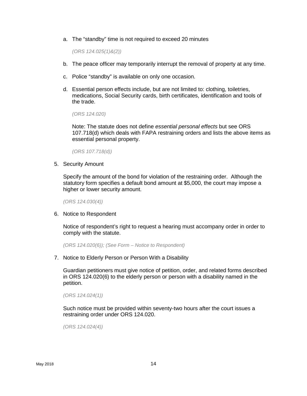a. The "standby" time is not required to exceed 20 minutes

*(ORS 124.025(1)&(2))*

- b. The peace officer may temporarily interrupt the removal of property at any time.
- c. Police "standby" is available on only one occasion.
- d. Essential person effects include, but are not limited to: clothing, toiletries, medications, Social Security cards, birth certificates, identification and tools of the trade.

*(ORS 124.020)*

Note: The statute does not define *essential personal effects* but see ORS 107.718(d) which deals with FAPA restraining orders and lists the above items as essential personal property.

*(ORS 107.718(d))*

5. Security Amount

Specify the amount of the bond for violation of the restraining order. Although the statutory form specifies a default bond amount at \$5,000, the court may impose a higher or lower security amount.

*(ORS 124.030(4))*

6. Notice to Respondent

Notice of respondent's right to request a hearing must accompany order in order to comply with the statute.

*(ORS 124.020(6)); (See Form – Notice to Respondent)*

7. Notice to Elderly Person or Person With a Disability

Guardian petitioners must give notice of petition, order, and related forms described in ORS 124.020(6) to the elderly person or person with a disability named in the petition.

*(ORS 124.024(1))*

Such notice must be provided within seventy-two hours after the court issues a restraining order under ORS 124.020.

*(ORS 124.024(4))*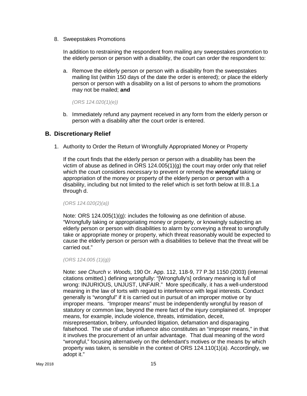8. Sweepstakes Promotions

In addition to restraining the respondent from mailing any sweepstakes promotion to the elderly person or person with a disability, the court can order the respondent to:

a. Remove the elderly person or person with a disability from the sweepstakes mailing list (within 150 days of the date the order is entered); or place the elderly person or person with a disability on a list of persons to whom the promotions may not be mailed; **and**

*(ORS 124.020(1)(e))*

b. Immediately refund any payment received in any form from the elderly person or person with a disability after the court order is entered.

#### **B. Discretionary Relief**

1. Authority to Order the Return of Wrongfully Appropriated Money or Property

If the court finds that the elderly person or person with a disability has been the victim of abuse as defined in ORS  $124.005(1)(q)$  the court may order only that relief which the court considers *necessary* to prevent or remedy the *wrongful* taking or appropriation of the money or property of the elderly person or person with a disability, including but not limited to the relief which is set forth below at III.B.1.a through d.

*(ORS 124.020(2)(a))*

Note: ORS 124.005(1)(g): includes the following as one definition of abuse. "Wrongfully taking or appropriating money or property, or knowingly subjecting an elderly person or person with disabilities to alarm by conveying a threat to wrongfully take or appropriate money or property, which threat reasonably would be expected to cause the elderly person or person with a disabilities to believe that the threat will be carried out."

*(ORS 124.005 (1)(g))*

Note: *see Church v. Woods,* 190 Or. App. 112, 118-9, 77 P.3d 1150 (2003) (internal citations omitted.) defining wrongfully: "[Wrongfully's] ordinary meaning is full of wrong: INJURIOUS, UNJUST, UNFAIR." More specifically, it has a well-understood meaning in the law of torts with regard to interference with legal interests. Conduct generally is "wrongful" if it is carried out in pursuit of an improper motive or by improper means. "Improper means" must be independently wrongful by reason of statutory or common law, beyond the mere fact of the injury complained of. Improper means, for example, include violence, threats, intimidation, deceit, misrepresentation, bribery, unfounded litigation, defamation and disparaging falsehood. The use of undue influence also constitutes an "improper means," in that it involves the procurement of an unfair advantage. That dual meaning of the word "wrongful," focusing alternatively on the defendant's motives or the means by which property was taken, is sensible in the context of ORS 124.110(1)(a). Accordingly, we adopt it."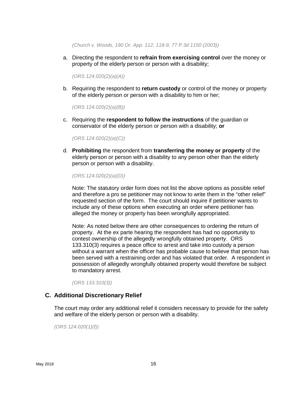*(Church v. Woods, 190 Or. App. 112, 118-9, 77 P.3d 1150 (2003))*

a. Directing the respondent to **refrain from exercising control** over the money or property of the elderly person or person with a disability;

*(ORS 124.020(2)(a)(A))*

b. Requiring the respondent to **return custody** or control of the money or property of the elderly person or person with a disability to him or her;

*(ORS 124.020(2)(a)(B))*

c. Requiring the **respondent to follow the instructions** of the guardian or conservator of the elderly person or person with a disability; **or**

*(ORS 124.020(2)(a)(C))*

d. **Prohibiting** the respondent from **transferring the money or property** of the elderly person or person with a disability to any person other than the elderly person or person with a disability.

*(ORS 124.020(2)(a)(D))*

Note: The statutory order form does not list the above options as possible relief and therefore a pro se petitioner may not know to write them in the "other relief" requested section of the form. The court should inquire if petitioner wants to include any of these options when executing an order where petitioner has alleged the money or property has been wrongfully appropriated.

Note: As noted below there are other consequences to ordering the return of property. At the ex parte hearing the respondent has had no opportunity to contest ownership of the allegedly wrongfully obtained property. ORS 133.310(3) requires a peace office to arrest and take into custody a person without a warrant when the officer has probable cause to believe that person has been served with a restraining order and has violated that order. A respondent in possession of allegedly wrongfully obtained property would therefore be subject to mandatory arrest.

*(ORS 133.310(3))*

#### **C. Additional Discretionary Relief**

The court may order any additional relief it considers necessary to provide for the safety and welfare of the elderly person or person with a disability.

*(ORS 124.020(1)(f))*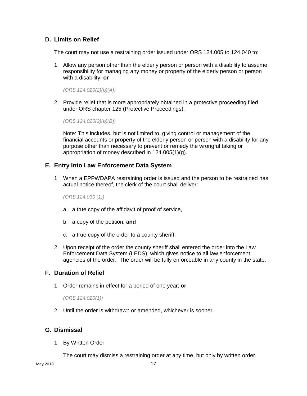# **D. Limits on Relief**

The court may not use a restraining order issued under ORS 124.005 to 124.040 to:

1. Allow any person other than the elderly person or person with a disability to assume responsibility for managing any money or property of the elderly person or person with a disability; **or**

*(ORS 124.020(2)(b)(A))*

2. Provide relief that is more appropriately obtained in a protective proceeding filed under ORS chapter 125 (Protective Proceedings).

*(ORS 124.020(2)(b)(B))*

Note: This includes, but is not limited to, giving control or management of the financial accounts or property of the elderly person or person with a disability for any purpose other than necessary to prevent or remedy the wrongful taking or appropriation of money described in 124.005(1)(g).

#### **E. Entry Into Law Enforcement Data System**

1. When a EPPWDAPA restraining order is issued and the person to be restrained has actual notice thereof, the clerk of the court shall deliver:

*(ORS 124.030 (1))*

- a. a true copy of the affidavit of proof of service,
- b. a copy of the petition, **and**
- c. a true copy of the order to a county sheriff.
- 2. Upon receipt of the order the county sheriff shall entered the order into the Law Enforcement Data System (LEDS), which gives notice to all law enforcement agencies of the order. The order will be fully enforceable in any county in the state.

#### **F. Duration of Relief**

1. Order remains in effect for a period of one year; **or**

*(ORS 124.020(1))*

2. Until the order is withdrawn or amended, whichever is sooner.

# **G. Dismissal**

1. By Written Order

The court may dismiss a restraining order at any time, but only by written order.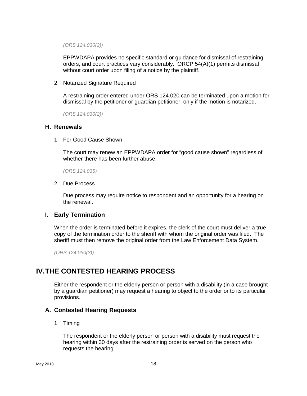*(ORS 124.030(2))*

EPPWDAPA provides no specific standard or guidance for dismissal of restraining orders, and court practices vary considerably. ORCP 54(A)(1) permits dismissal without court order upon filing of a notice by the plaintiff.

2. Notarized Signature Required

A restraining order entered under ORS 124.020 can be terminated upon a motion for dismissal by the petitioner or guardian petitioner, only if the motion is notarized.

*(ORS 124.030(2))*

#### **H. Renewals**

1. For Good Cause Shown

The court may renew an EPPWDAPA order for "good cause shown" regardless of whether there has been further abuse.

*(ORS 124.035)*

2. Due Process

Due process may require notice to respondent and an opportunity for a hearing on the renewal.

#### **I. Early Termination**

When the order is terminated before it expires, the clerk of the court must deliver a true copy of the termination order to the sheriff with whom the original order was filed. The sheriff must then remove the original order from the Law Enforcement Data System.

*(ORS 124.030(3))*

# **IV.THE CONTESTED HEARING PROCESS**

Either the respondent or the elderly person or person with a disability (in a case brought by a guardian petitioner) may request a hearing to object to the order or to its particular provisions.

#### **A. Contested Hearing Requests**

1. Timing

The respondent or the elderly person or person with a disability must request the hearing within 30 days after the restraining order is served on the person who requests the hearing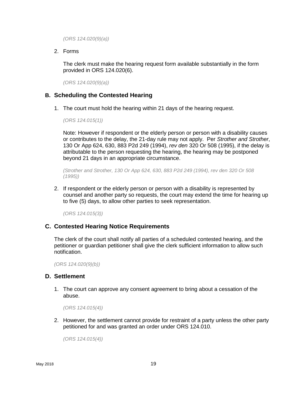*(ORS 124.020(9)(a))*

2. Forms

The clerk must make the hearing request form available substantially in the form provided in ORS 124.020(6).

*(ORS 124.020(9)(a))*

#### **B. Scheduling the Contested Hearing**

1. The court must hold the hearing within 21 days of the hearing request.

*(ORS 124.015(1))*

Note: However if respondent or the elderly person or person with a disability causes or contributes to the delay, the 21-day rule may not apply. Per *Strother and Strother*, 130 Or App 624, 630, 883 P2d 249 (1994), *rev den* 320 Or 508 (1995), if the delay is attributable to the person requesting the hearing, the hearing may be postponed beyond 21 days in an appropriate circumstance.

*(Strother and Strother, 130 Or App 624, 630, 883 P2d 249 (1994), rev den 320 Or 508 (1995))*

2. If respondent or the elderly person or person with a disability is represented by counsel and another party so requests, the court may extend the time for hearing up to five (5) days, to allow other parties to seek representation.

*(ORS 124.015(3))*

# **C. Contested Hearing Notice Requirements**

The clerk of the court shall notify all parties of a scheduled contested hearing, and the petitioner or guardian petitioner shall give the clerk sufficient information to allow such notification.

*(ORS 124.020(9)(b))*

#### **D. Settlement**

1. The court can approve any consent agreement to bring about a cessation of the abuse.

*(ORS 124.015(4))*

2. However, the settlement cannot provide for restraint of a party unless the other party petitioned for and was granted an order under ORS 124.010.

*(ORS 124.015(4))*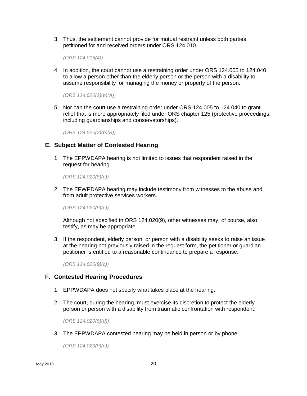3. Thus, the settlement cannot provide for mutual restraint unless both parties petitioned for and received orders under ORS 124.010.

*(ORS 124.015(4))*

4. In addition, the court cannot use a restraining order under ORS 124.005 to 124.040 to allow a person other than the elderly person or the person with a disability to assume responsibility for managing the money or property of the person.

*(ORS 124.020(2)(b)(A))*

5. Nor can the court use a restraining order under ORS 124.005 to 124.040 to grant relief that is more appropriately filed under ORS chapter 125 (protective proceedings, including guardianships and conservatorships).

*(ORS 124.020(2)(b)(B))*

#### **E. Subject Matter of Contested Hearing**

1. The EPPWDAPA hearing is not limited to issues that respondent raised in the request for hearing.

*(ORS 124.020(9)(c))*

2. The EPWPDAPA hearing may include testimony from witnesses to the abuse and from adult protective services workers.

*(ORS 124.020(9)(c))*

Although not specified in ORS 124.020(9), other witnesses may, of course, also testify, as may be appropriate.

3. If the respondent, elderly person, or person with a disability seeks to raise an issue at the hearing not previously raised in the request form, the petitioner or guardian petitioner is entitled to a reasonable continuance to prepare a response.

*(ORS 124.020(9)(c))*

#### **F. Contested Hearing Procedures**

- 1. EPPWDAPA does not specify what takes place at the hearing.
- 2. The court, during the hearing, must exercise its discretion to protect the elderly person or person with a disability from traumatic confrontation with respondent.

*(ORS 124.020(9)(d))*

3. The EPPWDAPA contested hearing may be held in person or by phone.

*(ORS 124.020(9)(c))*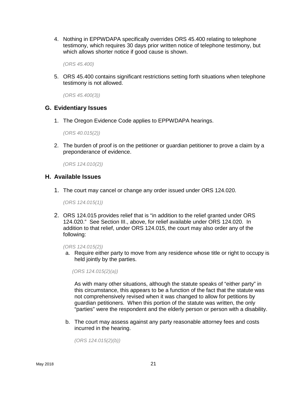4. Nothing in EPPWDAPA specifically overrides ORS 45.400 relating to telephone testimony, which requires 30 days prior written notice of telephone testimony, but which allows shorter notice if good cause is shown.

*(ORS 45.400)*

5. ORS 45.400 contains significant restrictions setting forth situations when telephone testimony is not allowed.

*(ORS 45.400(3))*

#### **G. Evidentiary Issues**

1. The Oregon Evidence Code applies to EPPWDAPA hearings.

*(ORS 40.015(2))*

2. The burden of proof is on the petitioner or guardian petitioner to prove a claim by a preponderance of evidence.

*(ORS 124.010(2))*

#### **H. Available Issues**

1. The court may cancel or change any order issued under ORS 124.020.

*(ORS 124.015(1))*

2. ORS 124.015 provides relief that is "in addition to the relief granted under ORS 124.020." See Section III., above, for relief available under ORS 124.020. In addition to that relief, under ORS 124.015, the court may also order any of the following:

*(ORS 124.015(2))*

a. Require either party to move from any residence whose title or right to occupy is held jointly by the parties.

*(ORS 124.015(2)(a))*

As with many other situations, although the statute speaks of "either party" in this circumstance, this appears to be a function of the fact that the statute was not comprehensively revised when it was changed to allow for petitions by guardian petitioners. When this portion of the statute was written, the only "parties" were the respondent and the elderly person or person with a disability.

b. The court may assess against any party reasonable attorney fees and costs incurred in the hearing.

*(ORS 124.015(2)(b))*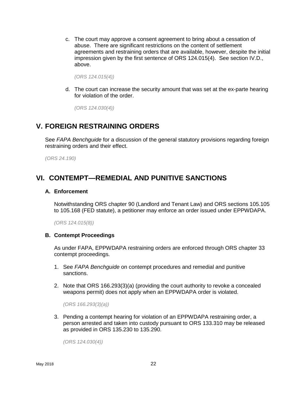c. The court may approve a consent agreement to bring about a cessation of abuse. There are significant restrictions on the content of settlement agreements and restraining orders that are available, however, despite the initial impression given by the first sentence of ORS 124.015(4). See section IV.D., above.

*(ORS 124.015(4))*

d. The court can increase the security amount that was set at the ex-parte hearing for violation of the order.

*(ORS 124.030(4))*

# **V. FOREIGN RESTRAINING ORDERS**

See *FAPA Benchguide* for a discussion of the general statutory provisions regarding foreign restraining orders and their effect.

*(ORS 24.190)*

# **VI. CONTEMPT—REMEDIAL AND PUNITIVE SANCTIONS**

#### **A. Enforcement**

Notwithstanding ORS chapter 90 (Landlord and Tenant Law) and ORS sections 105.105 to 105.168 (FED statute), a petitioner may enforce an order issued under EPPWDAPA.

*(ORS 124.015(8))*

#### **B. Contempt Proceedings**

As under FAPA, EPPWDAPA restraining orders are enforced through ORS chapter 33 contempt proceedings.

- 1. See *FAPA Benchguide* on contempt procedures and remedial and punitive sanctions.
- 2. Note that ORS 166.293(3)(a) (providing the court authority to revoke a concealed weapons permit) does not apply when an EPPWDAPA order is violated.

*(ORS 166.293(3)(a))*

3. Pending a contempt hearing for violation of an EPPWDAPA restraining order, a person arrested and taken into custody pursuant to ORS 133.310 may be released as provided in ORS 135.230 to 135.290.

*(ORS 124.030(4))*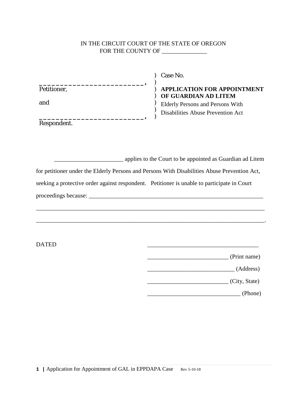#### IN THE CIRCUIT COURT OF THE STATE OF OREGON FOR THE COUNTY OF \_\_\_\_\_\_\_\_\_\_\_\_\_

 $\lambda$ 

) ) )

Petitioner,

**\_\_\_\_\_\_\_\_\_\_\_\_\_\_\_\_\_\_\_\_\_\_\_\_\_,**

and

**\_\_\_\_\_\_\_\_\_\_\_\_\_\_\_\_\_\_\_\_\_\_\_\_\_,** Respondent.

) Case No.

# ) **APPLICATION FOR APPOINTMENT** ) **OF GUARDIAN AD LITEM**

Elderly Persons and Persons With Disabilities Abuse Prevention Act

**Example 1** applies to the Court to be appointed as Guardian ad Litem for petitioner under the Elderly Persons and Persons With Disabilities Abuse Prevention Act, seeking a protective order against respondent. Petitioner is unable to participate in Court proceedings because: \_\_\_\_\_\_\_\_\_\_\_\_\_\_\_\_\_\_\_\_\_\_\_\_\_\_\_\_\_\_\_\_\_\_\_\_\_\_\_\_\_\_\_\_\_\_\_\_\_\_\_\_\_\_\_\_\_\_

\_\_\_\_\_\_\_\_\_\_\_\_\_\_\_\_\_\_\_\_\_\_\_\_\_\_\_\_\_\_\_\_\_\_\_\_\_\_\_\_\_\_\_\_\_\_\_\_\_\_\_\_\_\_\_\_\_\_\_\_\_\_\_\_\_\_\_\_\_\_\_\_\_\_\_\_.

 $\Box$ 

| (Print name) |
|--------------|

\_\_\_\_\_\_\_\_\_\_\_\_\_\_\_\_\_\_\_\_\_\_\_\_\_\_\_\_\_ (Address)

\_\_\_\_\_\_\_\_\_\_\_\_\_\_\_\_\_\_\_\_\_\_\_\_\_\_\_ (City, State)

\_\_\_\_\_\_\_\_\_\_\_\_\_\_\_\_\_\_\_\_\_\_\_\_\_\_\_\_\_\_\_ (Phone)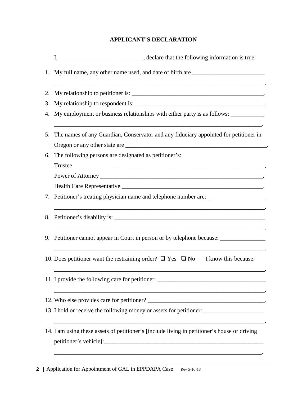# **APPLICANT'S DECLARATION**

|    | 1. My full name, any other name used, and date of birth are _____________________                    |
|----|------------------------------------------------------------------------------------------------------|
| 2. | ,我们也不会有什么。""我们的人,我们也不会有什么?""我们的人,我们也不会有什么?""我们的人,我们也不会有什么?""我们的人,我们也不会有什么?""我们的人                     |
| 3. |                                                                                                      |
|    | 4. My employment or business relationships with either party is as follows: ________________________ |
| 5. | The names of any Guardian, Conservator and any fiduciary appointed for petitioner in                 |
|    |                                                                                                      |
| 6. | The following persons are designated as petitioner's:                                                |
|    |                                                                                                      |
|    |                                                                                                      |
|    |                                                                                                      |
|    | 7. Petitioner's treating physician name and telephone number are: _______________                    |
|    |                                                                                                      |
|    | 9. Petitioner cannot appear in Court in person or by telephone because: _______________              |
|    | 10. Does petitioner want the restraining order? $\Box$ Yes $\Box$ No I know this because:            |
|    | 11. I provide the following care for petitioner: _______________________________                     |
|    |                                                                                                      |
|    | 13. I hold or receive the following money or assets for petitioner: _____________                    |
|    | 14. I am using these assets of petitioner's [include living in petitioner's house or driving         |

\_\_\_\_\_\_\_\_\_\_\_\_\_\_\_\_\_\_\_\_\_\_\_\_\_\_\_\_\_\_\_\_\_\_\_\_\_\_\_\_\_\_\_\_\_\_\_\_\_\_\_\_\_\_\_\_\_\_\_\_\_\_\_\_\_\_\_\_\_.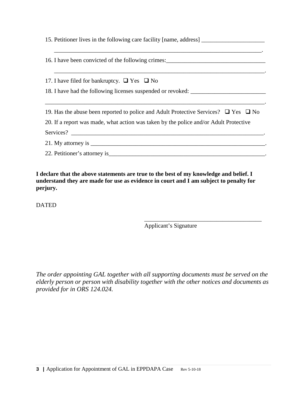| 15. Petitioner lives in the following care facility [name, address] ________________________________ |  |  |
|------------------------------------------------------------------------------------------------------|--|--|
| 16. I have been convicted of the following crimes:______________________________                     |  |  |
| 17. I have filed for bankruptcy. $\Box$ Yes $\Box$ No                                                |  |  |
| 18. I have had the following licenses suspended or revoked: _____________________                    |  |  |
|                                                                                                      |  |  |
| 19. Has the abuse been reported to police and Adult Protective Services? $\Box$ Yes $\Box$ No        |  |  |
| 20. If a report was made, what action was taken by the police and/or Adult Protective                |  |  |
| Services?                                                                                            |  |  |
|                                                                                                      |  |  |
|                                                                                                      |  |  |

**I declare that the above statements are true to the best of my knowledge and belief. I understand they are made for use as evidence in court and I am subject to penalty for perjury.**

DATED

\_\_\_\_\_\_\_\_\_\_\_\_\_\_\_\_\_\_\_\_\_\_\_\_\_\_\_\_\_\_\_\_\_\_\_\_\_\_\_ Applicant's Signature

*The order appointing GAL together with all supporting documents must be served on the elderly person or person with disability together with the other notices and documents as provided for in ORS 124.024.*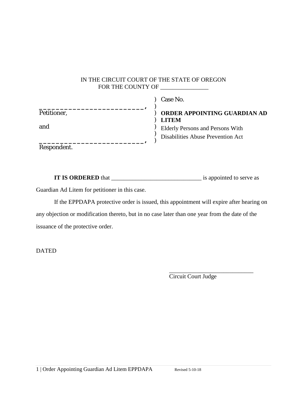# IN THE CIRCUIT COURT OF THE STATE OF OREGON FOR THE COUNTY OF \_\_\_\_\_\_\_\_\_\_\_\_\_\_\_\_

|             | Case No.                          |
|-------------|-----------------------------------|
| Petitioner, | ORDER APPOINTING GUARDIAN AD      |
| and         | <b>LITEM</b>                      |
|             | Elderly Persons and Persons With  |
|             | Disabilities Abuse Prevention Act |
| Respondent. |                                   |

**IT IS ORDERED** that \_\_\_\_\_\_\_\_\_\_\_\_\_\_\_\_\_\_\_\_\_\_\_\_\_\_\_\_\_\_ is appointed to serve as

Guardian Ad Litem for petitioner in this case.

If the EPPDAPA protective order is issued, this appointment will expire after hearing on any objection or modification thereto, but in no case later than one year from the date of the issuance of the protective order.

DATED

\_\_\_\_\_\_\_\_\_\_\_\_\_\_\_\_\_\_\_\_\_\_\_\_\_\_\_\_ Circuit Court Judge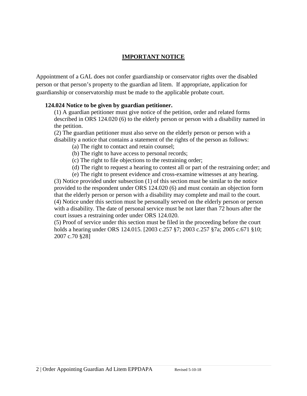# **IMPORTANT NOTICE**

Appointment of a GAL does not confer guardianship or conservator rights over the disabled person or that person's property to the guardian ad litem. If appropriate, application for guardianship or conservatorship must be made to the applicable probate court.

# **124.024 Notice to be given by guardian petitioner.**

(1) A guardian petitioner must give notice of the petition, order and related forms described in ORS 124.020 (6) to the elderly person or person with a disability named in the petition.

(2) The guardian petitioner must also serve on the elderly person or person with a disability a notice that contains a statement of the rights of the person as follows:

(a) The right to contact and retain counsel;

- (b) The right to have access to personal records;
- (c) The right to file objections to the restraining order;
- (d) The right to request a hearing to contest all or part of the restraining order; and

 (e) The right to present evidence and cross-examine witnesses at any hearing. (3) Notice provided under subsection (1) of this section must be similar to the notice provided to the respondent under ORS 124.020 (6) and must contain an objection form that the elderly person or person with a disability may complete and mail to the court. (4) Notice under this section must be personally served on the elderly person or person with a disability. The date of personal service must be not later than 72 hours after the court issues a restraining order under ORS 124.020.

(5) Proof of service under this section must be filed in the proceeding before the court holds a hearing under ORS 124.015. [2003 c.257 §7; 2003 c.257 §7a; 2005 c.671 §10; 2007 c.70 §28]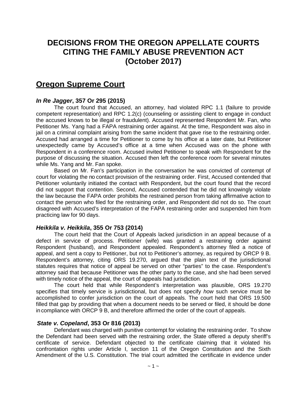# **DECISIONS FROM THE OREGON APPELLATE COURTS CITING THE FAMILY ABUSE PREVENTION ACT (October 2017)**

# **Oregon Supreme Court**

# *In Re Jagger***, 357 Or 295 (2015)**

The court found that Accused, an attorney, had violated RPC 1.1 (failure to provide competent representation) and RPC 1.2(c) (counseling or assisting client to engage in conduct the accused knows to be illegal or fraudulent). Accused represented Respondent Mr. Fan, who Petitioner Ms. Yang had a FAPA restraining order against. At the time, Respondent was also in jail on a criminal complaint arising from the same incident that gave rise to the restraining order. Accused had arranged a time for Petitioner to come by his office at a later date, but Petitioner unexpectedly came by Accused's office at a time when Accused was on the phone with Respondent in a conference room. Accused invited Petitioner to speak with Respondent for the purpose of discussing the situation. Accused then left the conference room for several minutes while Ms. Yang and Mr. Fan spoke.

Based on Mr. Fan's participation in the conversation he was convicted of contempt of court for violating the no contact provision of the restraining order. First, Accused contended that Petitioner voluntarily initiated the contact with Respondent, but the court found that the record did not support that contention. Second, Accused contended that he did not knowingly violate the law because the FAPA order prohibits the restrained person from taking affirmative action to contact the person who filed for the restraining order, and Respondent did not do so. The court disagreed with Accused's interpretation of the FAPA restraining order and suspended him from practicing law for 90 days.

#### *Heikkila v. Heikkila***, 355 Or 753 (2014)**

The court held that the Court of Appeals lacked jurisdiction in an appeal because of a defect in service of process. Petitioner (wife) was granted a restraining order against Respondent (husband), and Respondent appealed. Respondent's attorney filed a notice of appeal, and sent a copy to Petitioner, but not to Petitioner's attorney, as required by ORCP 9 B. Respondent's attorney, citing ORS 19.270, argued that the plain text of the jurisdictional statutes requires that notice of appeal be served on other "parties" to the case. Respondent's attorney said that because Petitioner was the other party to the case, and she had been served with timely notice of the appeal, the court of appeals had jurisdiction.

The court held that while Respondent's interpretation was plausible, ORS 19.270 specifies that timely service is jurisdictional, but does not specify *how* such service must be accomplished to confer jurisdiction on the court of appeals. The court held that ORS 19.500 filled that gap by providing that when a document needs to be served or filed, it should be done in compliance with ORCP 9 B, and therefore affirmed the order of the court of appeals.

#### *State v. Copeland***, 353 Or 816 (2013)**

Defendant was charged with punitive contempt for violating the restraining order. To show the Defendant had been served with the restraining order, the State offered a deputy sheriff's certificate of service. Defendant objected to the certificate claiming that it violated his confrontation rights under Article I, section 11 of the Oregon Constitution and the Sixth Amendment of the U.S. Constitution. The trial court admitted the certificate in evidence under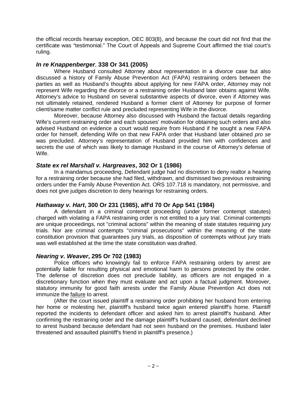the official records hearsay exception, OEC 803(8), and because the court did not find that the certificate was "testimonial." The Court of Appeals and Supreme Court affirmed the trial court's ruling.

#### *In re Knappenberger*, **338 Or 341 (2005)**

Where Husband consulted Attorney about representation in a divorce case but also discussed a history of Family Abuse Prevention Act (FAPA) restraining orders between the parties as well as Husband's thoughts about applying for new FAPA order, Attorney may not represent Wife regarding the divorce or a restraining order Husband later obtains against Wife. Attorney's advice to Husband on several substantive aspects of divorce, even if Attorney was not ultimately retained, rendered Husband a former client of Attorney for purpose of former client/same matter conflict rule and precluded representing Wife in the divorce.

Moreover, because Attorney also discussed with Husband the factual details regarding Wife's current restraining order and each spouses' motivation for obtaining such orders and also advised Husband on evidence a court would require from Husband if he sought a new FAPA order for himself, defending Wife on that new FAPA order that Husband later obtained *pro se*  was precluded. Attorney's representation of Husband provided him with confidences and secrets the use of which was likely to damage Husband in the course of Attorney's defense of Wife.

#### *State ex rel Marshall v. Hargreaves***, 302 Or 1 (1986)**

In a mandamus proceeding, Defendant judge had no discretion to deny realtor a hearing for a restraining order because she had filed, withdrawn, and dismissed two previous restraining orders under the Family Abuse Prevention Act. ORS 107.718 is mandatory, not permissive, and does not give judges discretion to deny hearings for restraining orders.

# *Hathaway v. Hart***, 300 Or 231 (1985), aff'd 70 Or App 541 (1984)**

A defendant in a criminal contempt proceeding (under former contempt statutes) charged with violating a FAPA restraining order is not entitled to a jury trial. Criminal contempts are unique proceedings, not "criminal actions" within the meaning of state statutes requiring jury trials. Nor are criminal contempts "criminal prosecutions" within the meaning of the state constitution provision that guarantees jury trials, as disposition of contempts without jury trials was well established at the time the state constitution was drafted.

# *Nearing v. Weaver***, 295 Or 702 (1983)**

Police officers who knowingly fail to enforce FAPA restraining orders by arrest are potentially liable for resulting physical and emotional harm to persons protected by the order. The defense of discretion does not preclude liability, as officers are not engaged in a discretionary function when they must evaluate and act upon a factual judgment. Moreover, statutory immunity for good faith arrests under the Family Abuse Prevention Act does not immunize the **failure** to arrest.

(After the court issued plaintiff a restraining order prohibiting her husband from entering her home or molesting her, plaintiff's husband twice again entered plaintiff's home. Plaintiff reported the incidents to defendant officer and asked him to arrest plaintiff's husband. After confirming the restraining order and the damage plaintiff's husband caused, defendant declined to arrest husband because defendant had not seen husband on the premises. Husband later threatened and assaulted plaintiff's friend in plaintiff's presence.)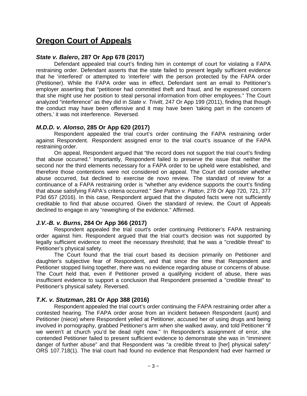# **Oregon Court of Appeals**

### *State v. Balero***, 287 Or App 678 (2017)**

Defendant appealed trial court's finding him in contempt of court for violating a FAPA restraining order. Defendant asserts that the state failed to present legally sufficient evidence that he 'interfered' or attempted to 'interfere' with the person protected by the FAPA order (Petitioner). While the FAPA order was in effect, Defendant sent an email to Petitioner's employer asserting that "petitioner had committed theft and fraud, and he expressed concern that she might use her position to steal personal information from other employees." The Court analyzed "interference" as they did in *State v. Trivitt*, 247 Or App 199 (2011), finding that though the conduct may have been offensive and it may have been 'taking part in the concern of others,' it was not interference. Reversed.

#### *M.D.D. v. Alonso***, 285 Or App 620 (2017)**

Respondent appealed the trial court's order continuing the FAPA restraining order against Respondent. Respondent assigned error to the trial court's issuance of the FAPA restraining order.

On appeal, Respondent argued that "the record does not support the trial court's finding that abuse occurred." Importantly, Respondent failed to preserve the issue that neither the second nor the third elements necessary for a FAPA order to be upheld were established, and therefore those contentions were not considered on appeal. The Court did consider whether abuse occurred, but declined to exercise de novo review. The standard of review for a continuance of a FAPA restraining order is "whether any evidence supports the court's finding that abuse satisfying FAPA's criteria occurred." *See Patton v. Patton*, 278 Or App 720, 721, 377 P3d 657 (2016). In this case, Respondent argued that the disputed facts were not sufficiently creditable to find that abuse occurred. Given the standard of review, the Court of Appeals declined to engage in any "reweighing of the evidence." Affirmed.

#### *J.V.-B. v. Burns***, 284 Or App 366 (2017)**

Respondent appealed the trial court's order continuing Petitioner's FAPA restraining order against him. Respondent argued that the trial court's decision was not supported by legally sufficient evidence to meet the necessary threshold; that he was a "credible threat" to Petitioner's physical safety.

The Court found that the trial court based its decision primarily on Petitioner and daughter's subjective fear of Respondent, and that since the time that Respondent and Petitioner stopped living together, there was no evidence regarding abuse or concerns of abuse. The Court held that, even if Petitioner proved a qualifying incident of abuse, there was insufficient evidence to support a conclusion that Respondent presented a "credible threat" to Petitioner's physical safety. Reversed.

# *T.K. v. Stutzman***, 281 Or App 388 (2016)**

Respondent appealed the trial court's order continuing the FAPA restraining order after a contested hearing. The FAPA order arose from an incident between Respondent (aunt) and Petitioner (niece) where Respondent yelled at Petitioner, accused her of using drugs and being involved in pornography, grabbed Petitioner's arm when she walked away, and told Petitioner "if we weren't at church you'd be dead right now." In Respondent's assignment of error, she contended Petitioner failed to present sufficient evidence to demonstrate she was in "imminent danger of further abuse" and that Respondent was "a credible threat to [her] physical safety" ORS 107.718(1). The trial court had found no evidence that Respondent had ever harmed or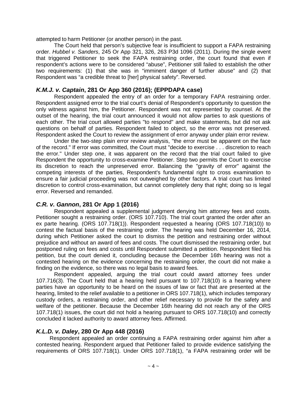attempted to harm Petitioner (or another person) in the past.

The Court held that person's subjective fear is insufficient to support a FAPA restraining order. *Hubbel v. Sanders*, 245 Or App 321, 326, 263 P3d 1096 (2011). During the single event that triggered Petitioner to seek the FAPA restraining order, the court found that even if respondent's actions were to be considered "abuse", Petitioner still failed to establish the other two requirements: (1) that she was in "imminent danger of further abuse" and (2) that Respondent was "a credible threat to [her] physical safety". Reversed.

#### *K.M.J. v. Captain***, 281 Or App 360 (2016); (EPPDAPA case)**

Respondent appealed the entry of an order for a temporary FAPA restraining order. Respondent assigned error to the trial court's denial of Respondent's opportunity to question the only witness against him, the Petitioner. Respondent was not represented by counsel. At the outset of the hearing, the trial court announced it would not allow parties to ask questions of each other. The trial court allowed parties "to respond" and make statements, but did not ask questions on behalf of parties. Respondent failed to object, so the error was not preserved. Respondent asked the Court to review the assignment of error anyway under plain error review.

Under the two-step plain error review analysis, "the error must be apparent on the face of the record." If error was committed, the Court must "decide to exercise . . . discretion to reach the error." Under step one, it was apparent on the record that the trial court failed to give Respondent the opportunity to cross-examine Petitioner. Step two permits the Court to exercise its discretion to reach the unpreserved error. Balancing the "gravity of error" against the competing interests of the parties, Respondent's fundamental right to cross examination to ensure a fair judicial proceeding was not outweighed by other factors. A trial court has limited discretion to control cross-examination, but cannot completely deny that right; doing so is legal error. Reversed and remanded.

#### *C.R. v. Gannon***, 281 Or App 1 (2016)**

Respondent appealed a supplemental judgment denying him attorney fees and costs. Petitioner sought a restraining order. (ORS 107.710). The trial court granted the order after an ex parte hearing. (ORS 107.718(1)). Respondent requested a hearing (ORS 107.718(10)) to contest the factual basis of the restraining order. The hearing was held December 16, 2014, during which Petitioner asked the court to dismiss the petition and restraining order without prejudice and without an award of fees and costs. The court dismissed the restraining order, but postponed ruling on fees and costs until Respondent submitted a petition. Respondent filed his petition, but the court denied it, concluding because the December 16th hearing was not a contested hearing on the evidence concerning the restraining order, the court did not make a finding on the evidence, so there was no legal basis to award fees.

Respondent appealed, arguing the trial court could award attorney fees under 107.716(3). The Court held that a hearing held pursuant to 107.718(10) is a hearing where parties have an opportunity to be heard on the issues of law or fact that are presented at the hearing, limited to the relief available to a petitioner in ORS 107.718(1), which includes temporary custody orders, a restraining order, and other relief necessary to provide for the safety and welfare of the petitioner. Because the December 16th hearing did not reach any of the ORS 107.718(1) issues, the court did not hold a hearing pursuant to ORS 107.718(10) and correctly concluded it lacked authority to award attorney fees. Affirmed.

#### *K.L.D. v. Daley***, 280 Or App 448 (2016)**

Respondent appealed an order continuing a FAPA restraining order against him after a contested hearing. Respondent argued that Petitioner failed to provide evidence satisfying the requirements of ORS 107.718(1). Under ORS 107.718(1), "a FAPA restraining order will be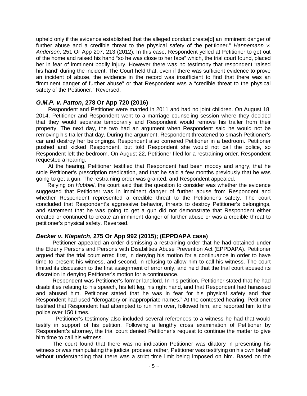upheld only if the evidence established that the alleged conduct create[d] an imminent danger of further abuse and a credible threat to the physical safety of the petitioner." *Hannemann v. Anderson*, 251 Or App 207, 213 (2012). In this case, Respondent yelled at Petitioner to get out of the home and raised his hand "so he was close to her face" which, the trial court found, placed her in fear of imminent bodily injury. However there was no testimony that respondent 'raised his hand' during the incident. The Court held that, even if there was sufficient evidence to prove an incident of abuse, the evidence in the record was insufficient to find that there was an "imminent danger of further abuse" or that Respondent was a "credible threat to the physical safety of the Petitioner." Reversed.

#### *G.M.P. v. Patton***, 278 Or App 720 (2016)**

Respondent and Petitioner were married in 2011 and had no joint children. On August 18, 2014, Petitioner and Respondent went to a marriage counseling session where they decided that they would separate temporarily and Respondent would remove his trailer from their property. The next day, the two had an argument when Respondent said he would not be removing his trailer that day. During the argument, Respondent threatened to smash Petitioner's car and destroy her belongings. Respondent also cornered Petitioner in a bedroom. Petitioner pushed and kicked Respondent, but told Respondent she would not call the police, so Respondent left the bedroom. On August 22, Petitioner filed for a restraining order. Respondent requested a hearing.

At the hearing, Petitioner testified that Respondent had been moody and angry, that he stole Petitioner's prescription medication, and that he said a few months previously that he was going to get a gun. The restraining order was granted, and Respondent appealed.

Relying on *Hubbell*, the court said that the question to consider was whether the evidence suggested that Petitioner was in imminent danger of further abuse from Respondent and whether Respondent represented a credible threat to the Petitioner's safety. The court concluded that Respondent's aggressive behavior, threats to destroy Petitioner's belongings, and statement that he was going to get a gun did not demonstrate that Respondent either created or continued to create an imminent danger of further abuse or was a credible threat to petitioner's physical safety. Reversed.

# *Decker v. Klapatch***, 275 Or App 992 (2015); (EPPDAPA case)**

Petitioner appealed an order dismissing a restraining order that he had obtained under the Elderly Persons and Persons with Disabilities Abuse Prevention Act (EPPDAPA). Petitioner argued that the trial court erred first, in denying his motion for a continuance in order to have time to present his witness, and second, in refusing to allow him to call his witness. The court limited its discussion to the first assignment of error only, and held that the trial court abused its discretion in denying Petitioner's motion for a continuance.

Respondent was Petitioner's former landlord. In his petition, Petitioner stated that he had disabilities relating to his speech, his left leg, his right hand, and that Respondent had harassed and abused him. Petitioner stated that he was in fear for his physical safety and that Respondent had used "derogatory or inappropriate names." At the contested hearing, Petitioner testified that Respondent had attempted to run him over, followed him, and reported him to the police over 150 times.

Petitioner's testimony also included several references to a witness he had that would testify in support of his petition. Following a lengthy cross examination of Petitioner by Respondent's attorney, the trial court denied Petitioner's request to continue the matter to give him time to call his witness.

The court found that there was no indication Petitioner was dilatory in presenting his witness or was manipulating the judicial process; rather, Petitioner was testifying on his own behalf without understanding that there was a strict time limit being imposed on him. Based on the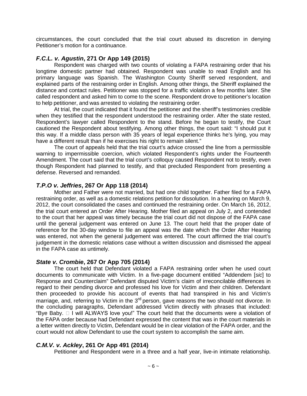circumstances, the court concluded that the trial court abused its discretion in denying Petitioner's motion for a continuance.

#### *F.C.L. v. Agustin***, 271 Or App 149 (2015)**

Respondent was charged with two counts of violating a FAPA restraining order that his longtime domestic partner had obtained. Respondent was unable to read English and his primary language was Spanish. The Washington County Sheriff served respondent, and explained parts of the restraining order in English. Among other things, the Sheriff explained the distance and contact rules. Petitioner was stopped for a traffic violation a few months later. She called respondent and asked him to come to the scene. Respondent drove to petitioner's location to help petitioner, and was arrested to violating the restraining order.

At trial, the court indicated that it found the petitioner and the sheriff's testimonies credible when they testified that the respondent understood the restraining order. After the state rested, Respondent's lawyer called Respondent to the stand. Before he began to testify, the Court cautioned the Respondent about testifying. Among other things, the court said: "I should put it this way. If a middle class person with 35 years of legal experience thinks he's lying, you may have a different result than if he exercises his right to remain silent."

The court of appeals held that the trial court's advice crossed the line from a permissible warning to impermissible coercion, which violated Respondent's rights under the Fourteenth Amendment. The court said that the trial court's colloquy caused Respondent not to testify, even though Respondent had planned to testify, and that precluded Respondent from presenting a defense. Reversed and remanded.

#### *T.P.O v. Jeffries***, 267 Or App 118 (2014)**

Mother and Father were not married, but had one child together. Father filed for a FAPA restraining order, as well as a domestic relations petition for dissolution. In a hearing on March 9, 2012, the court consolidated the cases and continued the restraining order. On March 16, 2012, the trial court entered an Order After Hearing. Mother filed an appeal on July 2, and contended to the court that her appeal was timely because the trial court did not dispose of the FAPA case until the general judgement was entered on June 13. The court held that the proper date of reference for the 30-day window to file an appeal was the date which the Order After Hearing was entered, not when the general judgement was entered. The court affirmed the trial court's judgement in the domestic relations case without a written discussion and dismissed the appeal in the FAPA case as untimely.

#### *State v. Crombie***, 267 Or App 705 (2014)**

The court held that Defendant violated a FAPA restraining order when he used court documents to communicate with Victim. In a five-page document entitled "Addendem [*sic*] to Response and Counterclaim" Defendant disputed Victim's claim of irreconcilable differences in regard to their pending divorce and professed his love for Victim and their children. Defendant then proceeded to provide his account of events that had transpired in his and Victim's marriage, and, referring to Victim in the 3<sup>rd</sup> person, gave reasons the two should not divorce. In the concluding paragraphs, Defendant addressed Victim directly with phrases that included: "Bye Baby.  $\Box$  I will ALWAYS love you!" The court held that the documents were a violation of the FAPA order because had Defendant expressed the content that was in the court materials in a letter written directly to Victim, Defendant would be in clear violation of the FAPA order, and the court would not allow Defendant to use the court system to accomplish the same aim.

# *C.M.V. v. Ackley***, 261 Or App 491 (2014)**

Petitioner and Respondent were in a three and a half year, live-in intimate relationship.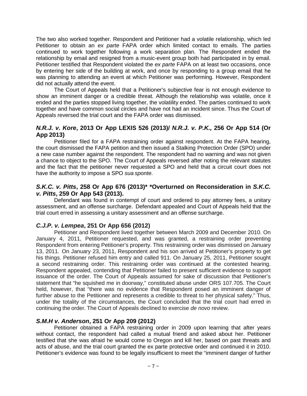The two also worked together. Respondent and Petitioner had a volatile relationship, which led Petitioner to obtain an *ex parte* FAPA order which limited contact to emails. The parties continued to work together following a work separation plan. The Respondent ended the relationship by email and resigned from a music-event group both had participated in by email. Petitioner testified that Respondent violated the *ex parte* FAPA on at least two occasions, once by entering her side of the building at work, and once by responding to a group email that he was planning to attending an event at which Petitioner was performing. However, Respondent did not actually attend the event.

The Court of Appeals held that a Petitioner's subjective fear is not enough evidence to show an imminent danger or a credible threat. Although the relationship was volatile, once it ended and the parties stopped living together, the volatility ended. The parties continued to work together and have common social circles and have not had an incident since. Thus the Court of Appeals reversed the trial court and the FAPA order was dismissed.

### *N.R.J. v. Kore***, 2013 Or App LEXIS 526 (2013)/** *N.R.J. v. P.K.,* **256 Or App 514 (Or App 2013)**

Petitioner filed for a FAPA restraining order against respondent. At the FAPA hearing, the court dismissed the FAPA petition and then issued a Stalking Protection Order (SPO) under a new case number against the respondent. The respondent had no warning and was not given a chance to object to the SPO. The Court of Appeals reversed after noting the relevant statutes and the fact that the petitioner never requested a SPO and held that a circuit court does not have the authority to impose a SPO *sua sponte*.

# *S.K.C. v. Pitts***, 258 Or App 676 (2013)\* \*Overturned on Reconsideration in** *S.K.C. v. Pitts***, 259 Or App 543 (2013).**

Defendant was found in contempt of court and ordered to pay attorney fees, a unitary assessment, and an offense surcharge. Defendant appealed and Court of Appeals held that the trial court erred in assessing a unitary assessment and an offense surcharge.

# *C.J.P. v. Lempea***, 251 Or App 656 (2012)**

Petitioner and Respondent lived together between March 2009 and December 2010. On January 4, 2011, Petitioner requested, and was granted, a restraining order preventing Respondent from entering Petitioner's property. This restraining order was dismissed on January 13, 2011. On January 23, 2011, Respondent and his son arrived at Petitioner's property to get his things. Petitioner refused him entry and called 911. On January 25, 2011, Petitioner sought a second restraining order. This restraining order was continued at the contested hearing. Respondent appealed, contending that Petitioner failed to present sufficient evidence to support issuance of the order. The Court of Appeals assumed for sake of discussion that Petitioner's statement that "he squished me in doorway," constituted abuse under ORS 107.705. The Court held, however, that "there was no evidence that Respondent posed an imminent danger of further abuse to the Petitioner and represents a credible to threat to her physical safety." Thus, under the totality of the circumstances, the Court concluded that the trial court had erred in continuing the order. The Court of Appeals declined to exercise *de novo* review.

# *S.M.H v. Anderson***, 251 Or App 209 (2012)**

Petitioner obtained a FAPA restraining order in 2009 upon learning that after years without contact, the respondent had called a mutual friend and asked about her. Petitioner testified that she was afraid he would come to Oregon and kill her, based on past threats and acts of abuse, and the trial court granted the ex parte protective order and continued it in 2010. Petitioner's evidence was found to be legally insufficient to meet the "imminent danger of further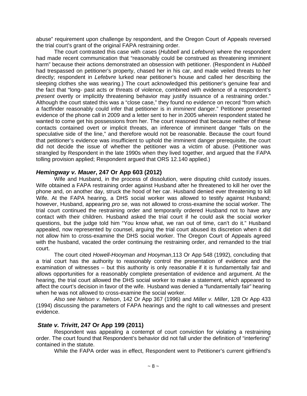abuse" requirement upon challenge by respondent, and the Oregon Court of Appeals reversed the trial court's grant of the original FAPA restraining order.

The court contrasted this case with cases (*Hubbell* and *Lefebvre*) where the respondent had made recent communication that "reasonably could be construed as threatening imminent harm" because their actions demonstrated an obsession with petitioner. (Respondent in *Hubbell*  had trespassed on petitioner's property, chased her in his car, and made veiled threats to her directly; respondent in *Lefebvre* lurked near petitioner's house and called her describing the sleeping clothes she was wearing.) The court acknowledged this petitioner's genuine fear and the fact that "long- past acts or threats of violence, combined with evidence of a respondent's *present* overtly or implicitly threatening behavior may justify issuance of a restraining order." Although the court stated this was a "close case," they found no evidence on record "from which a factfinder reasonably could infer that petitioner is in *imminent* danger." Petitioner presented evidence of the phone call in 2009 and a letter sent to her in 2005 wherein respondent stated he wanted to come get his possessions from her. The court reasoned that because neither of these contacts contained overt or implicit threats, an inference of imminent danger "falls on the speculative side of the line," and therefore would not be reasonable. Because the court found that petitioner's evidence was insufficient to uphold the imminent danger prerequisite, the court did not decide the issue of whether the petitioner was a victim of abuse. (Petitioner was strangled by Respondent in the late 1990s when they lived together, and argued that the FAPA tolling provision applied; Respondent argued that ORS 12.140 applied.)

#### *Hemingway v. Mauer***, 247 Or App 603 (2012)**

Wife and Husband, in the process of dissolution, were disputing child custody issues. Wife obtained a FAPA restraining order against Husband after he threatened to kill her over the phone and, on another day, struck the hood of her car. Husband denied ever threatening to kill Wife. At the FAPA hearing, a DHS social worker was allowed to testify against Husband; however, Husband, appearing *pro se*, was not allowed to cross-examine the social worker. The trial court continued the restraining order and temporarily ordered Husband not to have any contact with their children. Husband asked the trial court if he could ask the social worker questions, but the judge told him "You know what, we ran out of time, can't do it." Husband appealed, now represented by counsel, arguing the trial court abused its discretion when it did not allow him to cross-examine the DHS social worker. The Oregon Court of Appeals agreed with the husband, vacated the order continuing the restraining order, and remanded to the trial court.

The court cited *Howell-Hooyman and Hooyman*,113 Or App 548 (1992), concluding that a trial court has the authority to reasonably control the presentation of evidence and the examination of witnesses – but this authority is only reasonable if it is fundamentally fair and allows opportunities for a reasonably complete presentation of evidence and argument. At the hearing, the trial court allowed the DHS social worker to make a statement, which appeared to affect the court's decision in favor of the wife. Husband was denied a "fundamentally fair" hearing when he was not allowed to cross-examine the social worker.

*Also see Nelson v. Nelson*, 142 Or App 367 (1996) and *Miller v. Miller*, 128 Or App 433 (1994) discussing the parameters of FAPA hearings and the right to call witnesses and present evidence.

#### *State v. Trivitt***, 247 Or App 199 (2011)**

Respondent was appealing a contempt of court conviction for violating a restraining order. The court found that Respondent's behavior did not fall under the definition of "interfering" contained in the statute.

While the FAPA order was in effect, Respondent went to Petitioner's current girlfriend's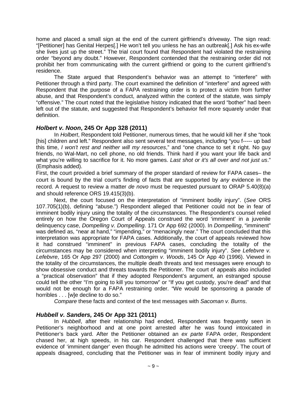home and placed a small sign at the end of the current girlfriend's driveway. The sign read: "[Petitioner] has Genital Herpes[.] He won't tell you unless he has an outbreak[.] Ask his ex-wife she lives just up the street." The trial court found that Respondent had violated the restraining order "beyond any doubt." However, Respondent contended that the restraining order did not prohibit her from communicating with the current girlfriend or going to the current girlfriend's residence.

The State argued that Respondent's behavior was an attempt to "interfere" with Petitioner through a third party. The court examined the definition of "interfere" and agreed with Respondent that the purpose of a FAPA restraining order is to protect a victim from further abuse, and that Respondent's conduct, analyzed within the context of the statute, was simply "offensive." The court noted that the legislative history indicated that the word "bother" had been left out of the statute, and suggested that Respondent's behavior fell more squarely under that definition.

# *Holbert v. Noon***, 245 Or App 328 (2011)**

In *Holbert*, Respondent told Petitioner, numerous times, that he would kill her if she "took [his] children and left." Respondent also sent several text messages, including "you f----- up bad this time, *I won't rest and neither will my resources*," and "one chance to set it right. No guy friends, no Wal-Mart, no cell phone, no old friends. Think hard if you want your life back and what you're willing to sacrifice for it. No more games. *Last shot or it's all over and not just us*." (Emphasis added).

First, the court provided a brief summary of the proper standard of review for FAPA cases– the court is bound by the trial court's finding of facts that are supported by *any* evidence in the record. A request to review a matter *de novo* must be requested pursuant to ORAP 5.40(8)(a) and should reference ORS 19.415(3)(b).

Next, the court focused on the interpretation of "imminent bodily injury". (*See* ORS 107.705(1)(b), defining "abuse.") Respondent alleged that Petitioner could not be in fear of imminent bodily injury using the totality of the circumstances. The Respondent's counsel relied entirely on how the Oregon Court of Appeals construed the word 'imminent' in a juvenile delinquency case, *Dompelling v. Dompelling*. 171 Or App 692 (2000). In *Dompelling*, "imminent" was defined as, "near at hand," "impending," or "menacingly near." The court concluded that this interpretation was appropriate for FAPA cases. Additionally, the court of appeals reviewed how it had construed "imminent" in previous FAPA cases, concluding the totality of the circumstances may be considered when interpreting "imminent bodily injury". *See Lefebvre v. Lefebvre*, 165 Or App 297 (2000) and *Cottongim v. Woods*, 145 Or App 40 (1996). Viewed in the totality of the circumstances, the multiple death threats and text messages were enough to show obsessive conduct and threats towards the Petitioner. The court of appeals also included a "practical observation" that if they adopted Respondent's argument, an estranged spouse could tell the other "I'm going to kill you tomorrow" or "If you get custody, you're dead" and that would not be enough for a FAPA restraining order. "We would be sponsoring a parade of horribles . . . [w]e decline to do so."

*Compare* these facts and context of the text messages with *Sacoman v. Burns*.

# *Hubbell v. Sanders,* **245 Or App 321 (2011)**

In *Hubbell*, after their relationship had ended, Respondent was frequently seen in Petitioner's neighborhood and at one point arrested after he was found intoxicated in Petitioner's back yard. After the Petitioner obtained an *ex parte* FAPA order, Respondent chased her, at high speeds, in his car. Respondent challenged that there was sufficient evidence of 'imminent danger' even though he admitted his actions were 'creepy'. The court of appeals disagreed, concluding that the Petitioner was in fear of imminent bodily injury and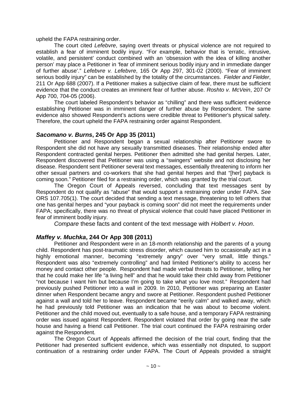upheld the FAPA restraining order.

The court cited *Lefebvre*, saying overt threats or physical violence are not required to establish a fear of imminent bodily injury. "For example, behavior that is 'erratic, intrusive, volatile, and persistent' conduct combined with an 'obsession with the idea of killing another person' may place a Petitioner in 'fear of imminent serious bodily injury and in immediate danger of further abuse'." *Lefebvre v. Lefebvre*, 165 Or App 297, 301-02 (2000). "Fear of imminent serious bodily injury" can be established by the totality of the circumstances. *Fielder and Fielder*, 211 Or App 688 (2007). If a Petitioner makes a subjective claim of fear, there must be sufficient evidence that the conduct creates an imminent fear of further abuse. *Roshto v. McVein*, 207 Or App 700, 704-05 (2006).

The court labeled Respondent's behavior as "chilling" and there was sufficient evidence establishing Petitioner was in imminent danger of further abuse by Respondent. The same evidence also showed Respondent's actions were credible threat to Petitioner's physical safety. Therefore, the court upheld the FAPA restraining order against Respondent.

#### *Sacomano v. Burns***, 245 Or App 35 (2011)**

Petitioner and Respondent began a sexual relationship after Petitioner swore to Respondent she did not have any sexually transmitted diseases. Their relationship ended after Respondent contracted genital herpes. Petitioner then admitted she had genital herpes. Later, Respondent discovered that Petitioner was using a "swingers" website and not disclosing her disease. Respondent sent Petitioner several text messages, essentially threatening to inform her other sexual partners and co-workers that she had genital herpes and that "[her] payback is coming soon." Petitioner filed for a restraining order, which was granted by the trial court.

The Oregon Court of Appeals reversed, concluding that text messages sent by Respondent do not qualify as "abuse" that would support a restraining order under FAPA. *See*  ORS 107.705(1). The court decided that sending a text message, threatening to tell others that one has genital herpes and "your payback is coming soon" did not meet the requirements under FAPA; specifically, there was no threat of physical violence that could have placed Petitioner in fear of imminent bodily injury.

*Compare* these facts and content of the text message with *Holbert v. Hoon*.

# *Maffey v. Muchka***, 244 Or App 308 (2011)**

Petitioner and Respondent were in an 18-month relationship and the parents of a young child. Respondent has post-traumatic stress disorder, which caused him to occasionally act in a highly emotional manner, becoming "extremely angry" over "very small, little things." Respondent was also "extremely controlling" and had limited Petitioner's ability to access her money and contact other people. Respondent had made verbal threats to Petitioner, telling her that he could make her life "a living hell" and that he would take their child away from Petitioner "not because I want him but because I'm going to take what you love most." Respondent had previously pushed Petitioner into a wall in 2009. In 2010, Petitioner was preparing an Easter dinner when Respondent became angry and swore at Petitioner. Respondent pushed Petitioner against a wall and told her to leave. Respondent became "eerily calm" and walked away, which he had previously told Petitioner was an indication that he was about to become violent. Petitioner and the child moved out, eventually to a safe house, and a temporary FAPA restraining order was issued against Respondent. Respondent violated that order by going near the safe house and having a friend call Petitioner. The trial court continued the FAPA restraining order against the Respondent.

The Oregon Court of Appeals affirmed the decision of the trial court, finding that the Petitioner had presented sufficient evidence, which was essentially not disputed, to support continuation of a restraining order under FAPA. The Court of Appeals provided a straight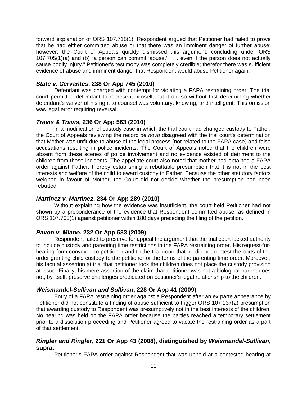forward explanation of ORS 107.718(1). Respondent argued that Petitioner had failed to prove that he had either committed abuse or that there was an imminent danger of further abuse; however, the Court of Appeals quickly dismissed this argument, concluding under ORS 107.705(1)(a) and (b) "a person can commit 'abuse,' . . . even if the person does not actually cause bodily injury." Petitioner's testimony was completely credible; therefor there was sufficient evidence of abuse and imminent danger that Respondent would abuse Petitioner again.

#### *State v. Cervantes***, 238 Or App 745 (2010)**

Defendant was charged with contempt for violating a FAPA restraining order. The trial court permitted defendant to represent himself, but it did so without first determining whether defendant's waiver of his right to counsel was voluntary, knowing, and intelligent. This omission was legal error requiring reversal.

#### *Travis & Travis,* **236 Or App 563 (2010)**

In a modification of custody case in which the trial court had changed custody to Father, the Court of Appeals reviewing the record *de novo* disagreed with the trial court's determination that Mother was unfit due to abuse of the legal process (not related to the FAPA case) and false accusations resulting in police incidents. The Court of Appeals noted that the children were absent from these scenes of police involvement and no evidence existed of detriment to the children from these incidents. The appellate court also noted that mother had obtained a FAPA order against Father, thereby establishing a rebuttable presumption that it is not in the best interests and welfare of the child to award custody to Father. Because the other statutory factors weighed in favour of Mother, the Court did not decide whether the presumption had been rebutted.

#### *Martinez v. Martinez***, 234 Or App 289 (2010)**

Without explaining how the evidence was insufficient, the court held Petitioner had not shown by a preponderance of the evidence that Respondent committed abuse, as defined in ORS 107.705(1) against petitioner within 180 days preceding the filing of the petition.

# *Pavon v. Miano***, 232 Or App 533 (2009)**

Respondent failed to preserve for appeal the argument that the trial court lacked authority to include custody and parenting time restrictions in the FAPA restraining order. His request-forhearing form conveyed to petitioner and to the trial court that he did not contest the parts of the order granting child custody to the petitioner or the terms of the parenting time order. Moreover, his factual assertion at trial that petitioner took the children does not place the custody provision at issue. Finally, his mere assertion of the claim that petitioner was not a biological parent does not, by itself, preserve challenges predicated on petitioner's legal relationship to the children.

# *Weismandel-Sullivan and Sullivan***, 228 Or App 41 (2009)**

Entry of a FAPA restraining order against a Respondent after an ex parte appearance by Petitioner did not constitute a finding of abuse sufficient to trigger ORS 107.137(2) presumption that awarding custody to Respondent was presumptively not in the best interests of the children. No hearing was held on the FAPA order because the parties reached a temporary settlement prior to a dissolution proceeding and Petitioner agreed to vacate the restraining order as a part of that settlement.

#### *Ringler and Ringler***, 221 Or App 43 (2008), distinguished by** *Weismandel-Sullivan***, supra.**

Petitioner's FAPA order against Respondent that was upheld at a contested hearing at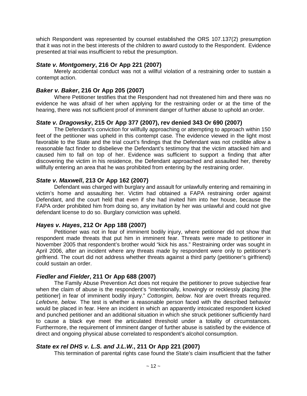which Respondent was represented by counsel established the ORS 107.137(2) presumption that it was not in the best interests of the children to award custody to the Respondent. Evidence presented at trial was insufficient to rebut the presumption.

#### *State v. Montgomery***, 216 Or App 221 (2007)**

Merely accidental conduct was not a willful violation of a restraining order to sustain a contempt action.

#### *Baker v. Baker***, 216 Or App 205 (2007)**

Where Petitioner testifies that the Respondent had not threatened him and there was no evidence he was afraid of her when applying for the restraining order or at the time of the hearing, there was not sufficient proof of imminent danger of further abuse to uphold an order.

#### *State v. Dragowsky***, 215 Or App 377 (2007), rev denied 343 Or 690 (2007)**

The Defendant's conviction for willfully approaching or attempting to approach within 150 feet of the petitioner was upheld in this contempt case. The evidence viewed in the light most favorable to the State and the trial court's findings that the Defendant was not credible allow a reasonable fact finder to disbelieve the Defendant's testimony that the victim attacked him and caused him to fall on top of her. Evidence was sufficient to support a finding that after discovering the victim in his residence, the Defendant approached and assaulted her, thereby willfully entering an area that he was prohibited from entering by the restraining order.

#### *State v. Maxwell***, 213 Or App 162 (2007)**

Defendant was charged with burglary and assault for unlawfully entering and remaining in victim's home and assaulting her. Victim had obtained a FAPA restraining order against Defendant, and the court held that even if she had invited him into her house, because the FAPA order prohibited him from doing so, any invitation by her was unlawful and could not give defendant license to do so. Burglary conviction was upheld.

#### *Hayes v. Hayes***, 212 Or App 188 (2007)**

Petitioner was not in fear of imminent bodily injury, where petitioner did not show that respondent made threats that put him in imminent fear. Threats were made to petitioner in November 2005 that respondent's brother would "kick his ass." Restraining order was sought in April 2006, after an incident where any threats made by respondent were only to petitioner's girlfriend. The court did not address whether threats against a third party (petitioner's girlfriend) could sustain an order.

#### *Fiedler and Fielder***, 211 Or App 688 (2007)**

The Family Abuse Prevention Act does not require the petitioner to prove subjective fear when the claim of abuse is the respondent's "intentionally, knowingly or recklessly placing [the petitioner] in fear of imminent bodily injury." *Cottongim, below*. Nor are overt threats required. *Lefebvre, below.* The test is whether a reasonable person faced with the described behavior would be placed in fear. Here an incident in which an apparently intoxicated respondent kicked and punched petitioner and an additional situation in which she struck petitioner sufficiently hard to cause a black eye meet the articulated threshold under a totality of circumstances. Furthermore, the requirement of imminent danger of further abuse is satisfied by the evidence of direct and ongoing physical abuse correlated to respondent's alcohol consumption.

#### *State ex rel DHS v. L.S. and J.L.W.***, 211 Or App 221 (2007)**

This termination of parental rights case found the State's claim insufficient that the father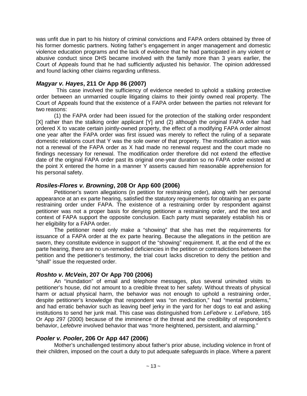was unfit due in part to his history of criminal convictions and FAPA orders obtained by three of his former domestic partners. Noting father's engagement in anger management and domestic violence education programs and the lack of evidence that he had participated in any violent or abusive conduct since DHS became involved with the family more than 3 years earlier, the Court of Appeals found that he had sufficiently adjusted his behavior. The opinion addressed and found lacking other claims regarding unfitness.

## *Magyar v. Hayes***, 211 Or App 86 (2007)**

This case involved the sufficiency of evidence needed to uphold a stalking protective order between an unmarried couple litigating claims to their jointly owned real property. The Court of Appeals found that the existence of a FAPA order between the parties not relevant for two reasons:

(1) the FAPA order had been issued for the protection of the stalking order respondent [X] rather than the stalking order applicant [Y] and (2) although the original FAPA order had ordered X to vacate certain jointly-owned property, the effect of a modifying FAPA order almost one year after the FAPA order was first issued was merely to reflect the ruling of a separate domestic relations court that Y was the sole owner of that property. The modification action was not a renewal of the FAPA order as X had made no renewal request and the court made no findings necessary for renewal. The modification order therefore did not extend the effective date of the original FAPA order past its original one-year duration so no FAPA order existed at the point X entered the home in a manner Y asserts caused him reasonable apprehension for his personal safety.

## *Rosiles-Flores v. Browning***, 208 Or App 600 (2006)**

Petitioner's sworn allegations (in petition for restraining order), along with her personal appearance at an ex parte hearing, satisfied the statutory requirements for obtaining an ex parte restraining order under FAPA. The existence of a restraining order by respondent against petitioner was not a proper basis for denying petitioner a restraining order, and the text and context of FAPA support the opposite conclusion. Each party must separately establish his or her eligibility for a FAPA order.

The petitioner need only make a "showing" that she has met the requirements for issuance of a FAPA order at the ex parte hearing. Because the allegations in the petition are sworn, they constitute evidence in support of the "showing" requirement. If, at the end of the ex parte hearing, there are no un-remedied deficiencies in the petition or contradictions between the petition and the petitioner's testimony, the trial court lacks discretion to deny the petition and "shall" issue the requested order.

# *Roshto v. McVein***, 207 Or App 700 (2006)**

An "inundation" of email and telephone messages, plus several uninvited visits to petitioner's house, did not amount to a credible threat to her safety. Without threats of physical harm or actual physical harm, the behavior was not enough to uphold a restraining order, despite petitioner's knowledge that respondent was "on medication," had "mental problems," and had erratic behavior such as leaving beef jerky in the yard for her dogs to eat and asking institutions to send her junk mail. This case was distinguished from *LeFebvre v. LeFebvre*, 165 Or App 297 (2000) because of the imminence of the threat and the credibility of respondent's behavior, *Lefebvre* involved behavior that was "more heightened, persistent, and alarming."

## *Pooler v. Pooler***, 206 Or App 447 (2006)**

Mother's unchallenged testimony about father's prior abuse, including violence in front of their children, imposed on the court a duty to put adequate safeguards in place. Where a parent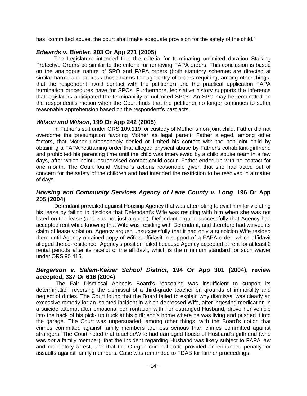has "committed abuse, the court shall make adequate provision for the safety of the child."

## *Edwards v. Biehler***, 203 Or App 271 (2005)**

The Legislature intended that the criteria for terminating unlimited duration Stalking Protective Orders be similar to the criteria for removing FAPA orders. This conclusion is based on the analogous nature of SPO and FAPA orders (both statutory schemes are directed at similar harms and address those harms through entry of orders requiring, among other things, that the respondent avoid contact with the petitioner) and the practical application FAPA termination procedures have for SPOs. Furthermore, legislative history supports the inference that legislators anticipated the terminability of unlimited SPOs. An SPO may be terminated on the respondent's motion when the Court finds that the petitioner no longer continues to suffer reasonable apprehension based on the respondent's past acts.

## *Wilson and Wilson***, 199 Or App 242 (2005)**

In Father's suit under ORS 109.119 for custody of Mother's non-joint child, Father did not overcome the presumption favoring Mother as legal parent. Father alleged, among other factors, that Mother unreasonably denied or limited his contact with the non-joint child by obtaining a FAPA restraining order that alleged physical abuse by Father's cohabitant-girlfriend and prohibited his parenting time until the child was interviewed by a child abuse team in a few days, after which point unsupervised contact could occur. Father ended up with no contact for one month. The Court found Mother's actions reasonable given that she had acted out of concern for the safety of the children and had intended the restriction to be resolved in a matter of days.

## *Housing and Community Services Agency of Lane County v. Long*, **196 Or App 205 (2004)**

Defendant prevailed against Housing Agency that was attempting to evict him for violating his lease by failing to disclose that Defendant's Wife was residing with him when she was not listed on the lease (and was not just a guest). Defendant argued successfully that Agency had accepted rent while knowing that Wife was residing with Defendant, and therefore had waived its claim of lease violation. Agency argued unsuccessfully that it had only a suspicion Wife resided there until Agency obtained copy of Wife's affidavit in support of a FAPA order, which affidavit alleged the co-residence. Agency's position failed because Agency accepted at rent for at least 2 rental periods after its receipt of the affidavit, which is the minimum standard for such waiver under ORS 90.415.

## *Bergerson v. Salem-Keizer School District***, 194 Or App 301 (2004), review accepted, 337 Or 616 (2004)**

The Fair Dismissal Appeals Board's reasoning was insufficient to support its determination reversing the dismissal of a third-grade teacher on grounds of immorality and neglect of duties. The Court found that the Board failed to explain why dismissal was clearly an excessive remedy for an isolated incident in which depressed Wife, after ingesting medication in a suicide attempt after emotional confrontation with her estranged Husband, drove her vehicle into the back of his pick- up truck at his girlfriend's home where he was living and pushed it into the garage. The Court was unpersuaded, among other things, with the Board's notion that crimes committed against family members are less serious than crimes committed against strangers. The Court noted that teacher/Wife had damaged house of Husband's girlfriend (who was *not* a family member), that the incident regarding Husband was likely subject to FAPA law and mandatory arrest, and that the Oregon criminal code provided an enhanced penalty for assaults against family members. Case was remanded to FDAB for further proceedings.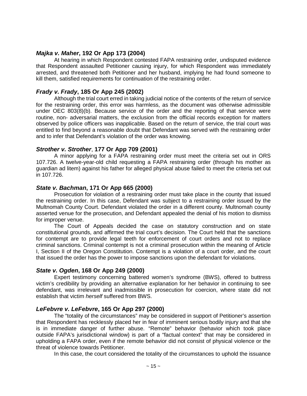## *Majka v. Maher***, 192 Or App 173 (2004)**

At hearing in which Respondent contested FAPA restraining order, undisputed evidence that Respondent assaulted Petitioner causing injury, for which Respondent was immediately arrested, and threatened both Petitioner and her husband, implying he had found someone to kill them, satisfied requirements for continuation of the restraining order.

# *Frady v. Frady***, 185 Or App 245 (2002)**

Although the trial court erred in taking judicial notice of the contents of the return of service for the restraining order, this error was harmless, as the document was otherwise admissible under OEC 803(8)(b). Because service of the order and the reporting of that service were routine, non- adversarial matters, the exclusion from the official records exception for matters observed by police officers was inapplicable. Based on the return of service, the trial court was entitled to find beyond a reasonable doubt that Defendant was served with the restraining order and to infer that Defendant's violation of the order was knowing.

## *Strother v. Strother*, **177 Or App 709 (2001)**

A minor applying for a FAPA restraining order must meet the criteria set out in ORS 107.726. A twelve-year-old child requesting a FAPA restraining order (through his mother as guardian ad litem) against his father for alleged physical abuse failed to meet the criteria set out in 107.726.

## *State v. Bachman***, 171 Or App 665 (2000)**

Prosecution for violation of a restraining order must take place in the county that issued the restraining order. In this case, Defendant was subject to a restraining order issued by the Multnomah County Court. Defendant violated the order in a different county. Multnomah county asserted venue for the prosecution, and Defendant appealed the denial of his motion to dismiss for improper venue.

The Court of Appeals decided the case on statutory construction and on state constitutional grounds, and affirmed the trial court's decision. The Court held that the sanctions for contempt are to provide legal teeth for enforcement of court orders and not to replace criminal sanctions. Criminal contempt is not a criminal prosecution within the meaning of Article I, Section II of the Oregon Constitution. Contempt is a violation of a court order, and the court that issued the order has the power to impose sanctions upon the defendant for violations.

## *State v. Ogden***, 168 Or App 249 (2000)**

Expert testimony concerning battered women's syndrome (BWS), offered to buttress victim's credibility by providing an alternative explanation for her behavior in continuing to see defendant, was irrelevant and inadmissible in prosecution for coercion, where state did not establish that victim *herself* suffered from BWS.

# *LeFebvre v. LeFebvre***, 165 Or App 297 (2000)**

The "totality of the circumstances" may be considered in support of Petitioner's assertion that Respondent has recklessly placed her in fear of imminent serious bodily injury and that she is in immediate danger of further abuse. "Remote" behavior (behavior which took place outside FAPA's jurisdictional window) is part of a "factual context" that may be considered in upholding a FAPA order, even if the remote behavior did not consist of physical violence or the threat of violence towards Petitioner.

In this case, the court considered the totality of the circumstances to uphold the issuance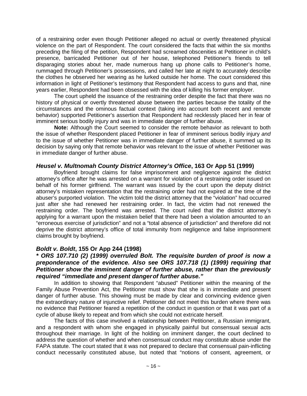of a restraining order even though Petitioner alleged no actual or overtly threatened physical violence on the part of Respondent. The court considered the facts that within the six months preceding the filing of the petition, Respondent had screamed obscenities at Petitioner in child's presence, barricaded Petitioner out of her house, telephoned Petitioner's friends to tell disparaging stories about her, made numerous hang up phone calls to Petitioner's home, rummaged through Petitioner's possessions, and called her late at night to accurately describe the clothes he observed her wearing as he lurked outside her home. The court considered this information in light of Petitioner's testimony that Respondent had access to guns and that, nine years earlier, Respondent had been obsessed with the idea of killing his former employer.

The court upheld the issuance of the restraining order despite the fact that there was no history of physical or overtly threatened abuse between the parties because the totality of the circumstances and the ominous factual context (taking into account both recent and remote behavior) supported Petitioner's assertion that Respondent had recklessly placed her in fear of imminent serious bodily injury and was in immediate danger of further abuse.

**Note:** Although the Court seemed to consider the remote behavior as relevant to both the issue of whether Respondent placed Petitioner in fear of imminent serious bodily injury *and*  to the issue of whether Petitioner was in immediate danger of further abuse, it summed up its decision by saying only that remote behavior was relevant to the issue of whether Petitioner was in immediate danger of further abuse.

## *Heusel v. Multnomah County District Attorney's Office***, 163 Or App 51 (1999)**

Boyfriend brought claims for false imprisonment and negligence against the district attorney's office after he was arrested on a warrant for violation of a restraining order issued on behalf of his former girlfriend. The warrant was issued by the court upon the deputy district attorney's mistaken representation that the restraining order had not expired at the time of the abuser's purported violation. The victim told the district attorney that the "violation" had occurred just after she had renewed her restraining order. In fact, the victim had not renewed the restraining order. The boyfriend was arrested. The court ruled that the district attorney's applying for a warrant upon the mistaken belief that there had been a violation amounted to an "erroneous exercise of jurisdiction" and not a "total absence of jurisdiction" and therefore did not deprive the district attorney's office of total immunity from negligence and false imprisonment claims brought by boyfriend.

## *Boldt v. Boldt***, 155 Or App 244 (1998)**

# *\* ORS 107.710 (2) (1999) overruled Bolt. The requisite burden of proof is now a preponderance of the evidence. Also see ORS 107.718 (1) (1999) requiring that Petitioner show the imminent danger of further abuse, rather than the previously required "immediate and present dangerof further abuse."*

In addition to showing that Respondent "abused" Petitioner within the meaning of the Family Abuse Prevention Act, the Petitioner must show that she is in immediate and present danger of further abuse. This showing must be made by clear and convincing evidence given the extraordinary nature of injunctive relief. Petitioner did not meet this burden where there was no evidence that Petitioner feared a repetition of the conduct in question or that it was part of a cycle of abuse likely to repeat and from which she could not extricate herself.

The facts of this case involved a relationship between Petitioner, a Russian immigrant, and a respondent with whom she engaged in physically painful but consensual sexual acts throughout their marriage. In light of the holding on imminent danger, the court declined to address the question of whether and when consensual conduct may constitute abuse under the FAPA statute. The court stated that it was not prepared to declare that consensual pain-inflicting conduct necessarily constituted abuse, but noted that "notions of consent, agreement, or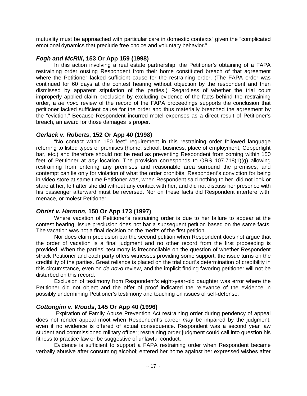mutuality must be approached with particular care in domestic contexts" given the "complicated emotional dynamics that preclude free choice and voluntary behavior."

## *Fogh and McRill***, 153 Or App 159 (1998)**

In this action involving a real estate partnership, the Petitioner's obtaining of a FAPA restraining order ousting Respondent from their home constituted breach of that agreement where the Petitioner lacked sufficient cause for the restraining order. (The FAPA order was continued for 60 days at the contest hearing without objection by the respondent and then dismissed by apparent stipulation of the parties.) Regardless of whether the trial court improperly applied claim preclusion by excluding evidence of the facts behind the restraining order, a *de novo* review of the record of the FAPA proceedings supports the conclusion that petitioner lacked sufficient cause for the order and thus materially breached the agreement by the "eviction." Because Respondent incurred motel expenses as a direct result of Petitioner's breach, an award for those damages is proper.

## *Gerlack v. Roberts***, 152 Or App 40 (1998)**

"No contact within 150 feet" requirement in this restraining order followed language referring to listed types of premises (home, school, business, place of employment, Copperlight bar, etc.) and therefore should not be read as preventing Respondent from coming within 150 feet of Petitioner at *any* location. The provision corresponds to ORS 107.718(1)(g) allowing restraining from entering any premises and reasonable area surround the premises, and contempt can lie only for violation of what the order prohibits. Respondent's conviction for being in video store at same time Petitioner was, when Respondent said nothing to her, did not look or stare at her, left after she did without any contact with her, and did not discuss her presence with his passenger afterward must be reversed. Nor on these facts did Respondent interfere with, menace, or molest Petitioner.

# *Obrist v. Harmon***, 150 Or App 173 (1997)**

Where vacation of Petitioner's restraining order is due to her failure to appear at the contest hearing, issue preclusion does not bar a subsequent petition based on the same facts. The vacation was not a final decision on the merits of the first petition.

Nor does claim preclusion bar the second petition when Respondent does not argue that the order of vacation is a final judgment and no other record from the first proceeding is provided. When the parties' testimony is irreconcilable on the question of whether Respondent struck Petitioner and each party offers witnesses providing some support, the issue turns on the credibility of the parties. Great reliance is placed on the trial court's determination of credibility in this circumstance, even on *de novo* review, and the implicit finding favoring petitioner will not be disturbed on this record.

Exclusion of testimony from Respondent's eight-year-old daughter was error where the Petitioner did not object and the offer of proof indicated the relevance of the evidence in possibly undermining Petitioner's testimony and touching on issues of self-defense.

# *Cottongim v. Woods***, 145 Or App 40 (1996)**

Expiration of Family Abuse Prevention Act restraining order during pendency of appeal does not render appeal moot when Respondent's career *may* be impaired by the judgment, even if no evidence is offered of actual consequence. Respondent was a second year law student and commissioned military officer; restraining order judgment could call into question his fitness to practice law or be suggestive of unlawful conduct.

Evidence is sufficient to support a FAPA restraining order when Respondent became verbally abusive after consuming alcohol; entered her home against her expressed wishes after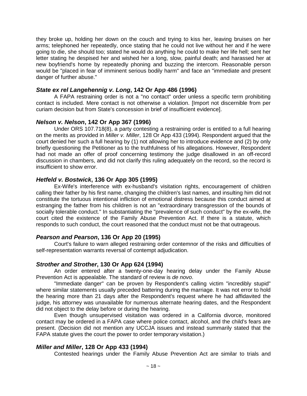they broke up, holding her down on the couch and trying to kiss her, leaving bruises on her arms; telephoned her repeatedly, once stating that he could not live without her and if he were going to die, she should too; stated he would do anything he could to make her life hell; sent her letter stating he despised her and wished her a long, slow, painful death; and harassed her at new boyfriend's home by repeatedly phoning and buzzing the intercom. Reasonable person would be "placed in fear of imminent serious bodily harm" and face an "immediate and present danger of further abuse."

## *State ex rel Langehennig v. Long***, 142 Or App 486 (1996)**

A FAPA restraining order is not a "no contact" order unless a specific term prohibiting contact is included. Mere contact is not otherwise a violation. [Import not discernible from per curiam decision but from State's concession in brief of insufficient evidence].

## *Nelson v. Nelson***, 142 Or App 367 (1996)**

Under ORS 107.718(8), a party contesting a restraining order is entitled to a full hearing on the merits as provided in *Miller v. Miller*, 128 Or App 433 (1994). Respondent argued that the court denied her such a full hearing by (1) not allowing her to introduce evidence and (2) by only briefly questioning the Petitioner as to the truthfulness of his allegations. However, Respondent had not made an offer of proof concerning testimony the judge disallowed in an off-record discussion in chambers, and did not clarify this ruling adequately on the record, so the record is insufficient to show error.

## *Hetfeld v. Bostwick***, 136 Or App 305 (1995)**

Ex-Wife's interference with ex-husband's visitation rights, encouragement of children calling their father by his first name, changing the children's last names, and insulting him did not constitute the tortuous intentional infliction of emotional distress because this conduct aimed at estranging the father from his children is not an "extraordinary transgression of the bounds of socially tolerable conduct." In substantiating the "prevalence of such conduct" by the ex-wife, the court cited the existence of the Family Abuse Prevention Act. If there is a statute, which responds to such conduct, the court reasoned that the conduct must not be that outrageous.

# *Pearson and Pearson***, 136 Or App 20 (1995)**

Court's failure to warn alleged restraining order contemnor of the risks and difficulties of self-representation warrants reversal of contempt adjudication.

## *Strother and Strother***, 130 Or App 624 (1994)**

An order entered after a twenty-one-day hearing delay under the Family Abuse Prevention Act is appealable. The standard of review is *de novo*.

"Immediate danger" can be proven by Respondent's calling victim "incredibly stupid" where similar statements usually preceded battering during the marriage. It was not error to hold the hearing more than 21 days after the Respondent's request where he had affidavited the judge, his attorney was unavailable for numerous alternate hearing dates, and the Respondent did not object to the delay before or during the hearing.

Even though unsupervised visitation was ordered in a California divorce, monitored contact may be ordered in a FAPA case where police contact, alcohol, and the child's fears are present. (Decision did not mention any UCCJA issues and instead summarily stated that the FAPA statute gives the court the power to order temporary visitation.)

## *Miller and Miller***, 128 Or App 433 (1994)**

Contested hearings under the Family Abuse Prevention Act are similar to trials and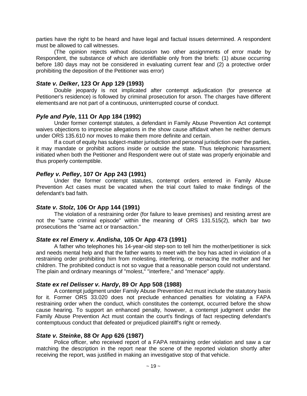parties have the right to be heard and have legal and factual issues determined. A respondent must be allowed to call witnesses.

(The opinion rejects without discussion two other assignments of error made by Respondent, the substance of which are identifiable only from the briefs: (1) abuse occurring before 180 days may not be considered in evaluating current fear and (2) a protective order prohibiting the deposition of the Petitioner was error)

#### *State v. Delker***, 123 Or App 129 (1993)**

Double jeopardy is not implicated after contempt adjudication (for presence at Petitioner's residence) is followed by criminal prosecution for arson. The charges have different elementsand are not part of a continuous, uninterrupted course of conduct.

#### *Pyle and Pyle***, 111 Or App 184 (1992)**

Under former contempt statutes, a defendant in Family Abuse Prevention Act contempt waives objections to imprecise allegations in the show cause affidavit when he neither demurs under ORS 135.610 nor moves to make them more definite and certain.

If a court of equity has subject-matter jurisdiction and personal jurisdiction over the parties, it may mandate or prohibit actions inside or outside the state. Thus telephonic harassment initiated when both the Petitioner and Respondent were out of state was properly enjoinable and thus properly contemptible.

#### *Pefley v. Pefley***, 107 Or App 243 (1991)**

Under the former contempt statutes, contempt orders entered in Family Abuse Prevention Act cases must be vacated when the trial court failed to make findings of the defendant's bad faith.

## *State v. Stolz***, 106 Or App 144 (1991)**

The violation of a restraining order (for failure to leave premises) and resisting arrest are not the "same criminal episode" within the meaning of ORS 131.515(2), which bar two prosecutions the "same act or transaction."

## *State ex rel Emery v. Andisha***, 105 Or App 473 (1991)**

A father who telephones his 14-year-old step-son to tell him the mother/petitioner is sick and needs mental help and that the father wants to meet with the boy has acted in violation of a restraining order prohibiting him from molesting, interfering, or menacing the mother and her children. The prohibited conduct is not so vague that a reasonable person could not understand. The plain and ordinary meanings of "molest," "interfere," and "menace" apply.

#### *State ex rel Delisser v. Hardy***, 89 Or App 508 (1988)**

A contempt judgment under Family Abuse Prevention Act must include the statutory basis for it. Former ORS 33.020 does not preclude enhanced penalties for violating a FAPA restraining order when the conduct, which constitutes the contempt, occurred before the show cause hearing. To support an enhanced penalty, however, a contempt judgment under the Family Abuse Prevention Act must contain the court's findings of fact respecting defendant's contemptuous conduct that defeated or prejudiced plaintiff's right or remedy.

## *State v. Steinke***, 88 Or App 626 (1987)**

Police officer, who received report of a FAPA restraining order violation and saw a car matching the description in the report near the scene of the reported violation shortly after receiving the report, was justified in making an investigative stop of that vehicle.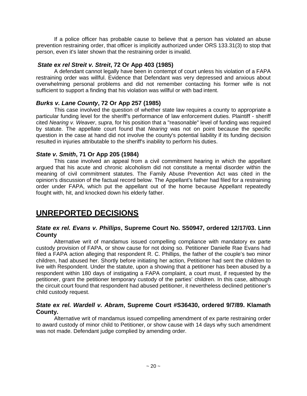If a police officer has probable cause to believe that a person has violated an abuse prevention restraining order, that officer is implicitly authorized under ORS 133.31(3) to stop that person, even it's later shown that the restraining order is invalid.

# *State ex rel Streit v. Streit***, 72 Or App 403 (1985)**

A defendant cannot legally have been in contempt of court unless his violation of a FAPA restraining order was willful. Evidence that Defendant was very depressed and anxious about overwhelming personal problems and did not remember contacting his former wife is not sufficient to support a finding that his violation was willful or with bad intent.

# *Burks v. Lane County***, 72 Or App 257 (1985)**

This case involved the question of whether state law requires a county to appropriate a particular funding level for the sheriff's performance of law enforcement duties. Plaintiff - sheriff cited *Nearing v. Weaver*, *supra*, for his position that a "reasonable" level of funding was required by statute. The appellate court found that *Nearing* was not on point because the specific question in the case at hand did not involve the county's potential liability if its funding decision resulted in injuries attributable to the sheriff's inability to perform his duties.

# *State v. Smith***, 71 Or App 205 (1984)**

This case involved an appeal from a civil commitment hearing in which the appellant argued that his acute and chronic alcoholism did not constitute a mental disorder within the meaning of civil commitment statutes. The Family Abuse Prevention Act was cited in the opinion's discussion of the factual record below. The Appellant's father had filed for a restraining order under FAPA, which put the appellant out of the home because Appellant repeatedly fought with, hit, and knocked down his elderly father.

# **UNREPORTED DECISIONS**

# *State ex rel. Evans v. Phillips***, Supreme Court No. S50947, ordered 12/17/03. Linn County**

Alternative writ of mandamus issued compelling compliance with mandatory ex parte custody provision of FAPA, or show cause for not doing so. Petitioner Danielle Rae Evans had filed a FAPA action alleging that respondent R. C. Phillips, the father of the couple's two minor children, had abused her. Shortly before initiating her action, Petitioner had sent the children to live with Respondent. Under the statute, upon a showing that a petitioner has been abused by a respondent within 180 days of instigating a FAPA complaint, a court must, if requested by the petitioner, grant the petitioner temporary custody of the parties' children. In this case, although the circuit court found that respondent had abused petitioner, it nevertheless declined petitioner's child custody request.

# *State ex rel. Wardell v. Abram***, Supreme Court #S36430, ordered 9/7/89. Klamath County.**

Alternative writ of mandamus issued compelling amendment of ex parte restraining order to award custody of minor child to Petitioner, or show cause with 14 days why such amendment was not made. Defendant judge complied by amending order.